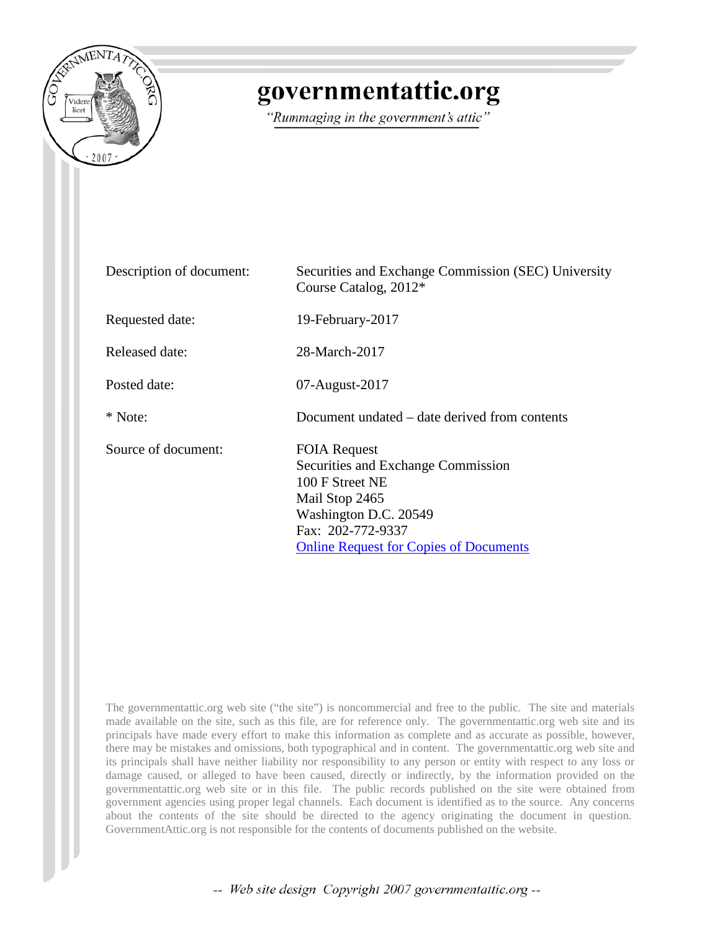

## governmentattic.org

"Rummaging in the government's attic"

| Description of document: | Securities and Exchange Commission (SEC) University<br>Course Catalog, 2012*                                                                                                                  |
|--------------------------|-----------------------------------------------------------------------------------------------------------------------------------------------------------------------------------------------|
| Requested date:          | 19-February-2017                                                                                                                                                                              |
| Released date:           | 28-March-2017                                                                                                                                                                                 |
| Posted date:             | $07$ -August-2017                                                                                                                                                                             |
| * Note:                  | Document undated – date derived from contents                                                                                                                                                 |
| Source of document:      | <b>FOIA Request</b><br>Securities and Exchange Commission<br>100 F Street NE<br>Mail Stop 2465<br>Washington D.C. 20549<br>Fax: 202-772-9337<br><b>Online Request for Copies of Documents</b> |

The governmentattic.org web site ("the site") is noncommercial and free to the public. The site and materials made available on the site, such as this file, are for reference only. The governmentattic.org web site and its principals have made every effort to make this information as complete and as accurate as possible, however, there may be mistakes and omissions, both typographical and in content. The governmentattic.org web site and its principals shall have neither liability nor responsibility to any person or entity with respect to any loss or damage caused, or alleged to have been caused, directly or indirectly, by the information provided on the governmentattic.org web site or in this file. The public records published on the site were obtained from government agencies using proper legal channels. Each document is identified as to the source. Any concerns about the contents of the site should be directed to the agency originating the document in question. GovernmentAttic.org is not responsible for the contents of documents published on the website.

-- Web site design Copyright 2007 governmentattic.org --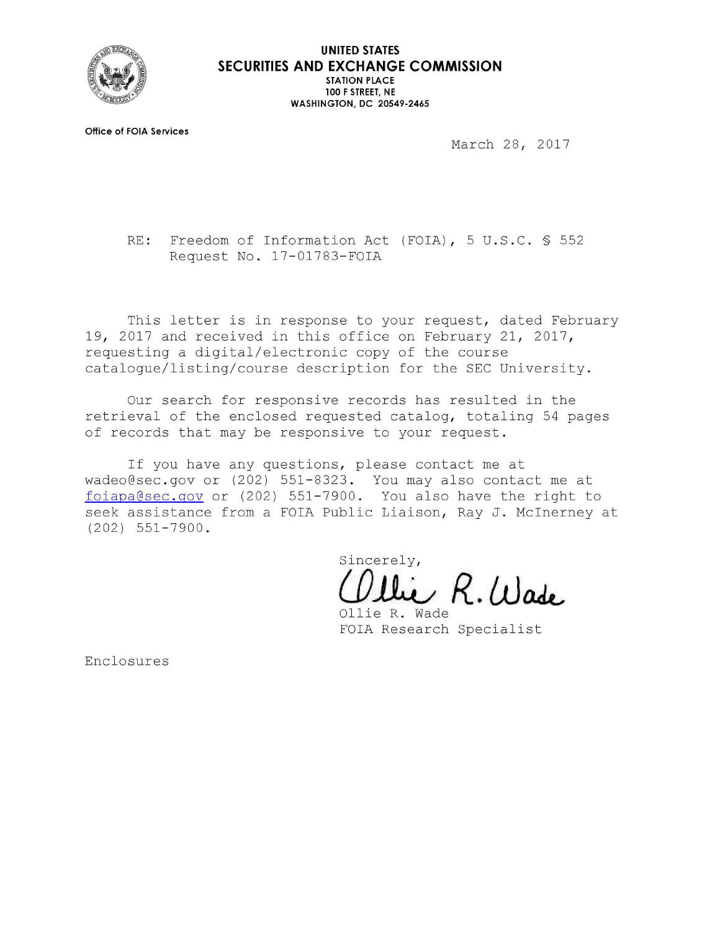

**Office of FOIA Services** 

March 28, 2017

RE: Freedom of Information Act (FOIA), 5 U.S.C. § 552 Request No. 17-01783-FOIA

This letter is in response to your request, dated February 19, 2017 and received in this office on February 21, 2017, requesting a digital/electronic copy of the course catalogue/listing/course description for the SEC University.

Our search for responsive records has resulted in the retrieval of the enclosed requested catalog, totaling 54 pages of records that may be responsive to your request.

If you have any questions, please contact me at wadeo@sec.gov or (202) 551-8323. You may also contact me at foiapa@sec.gov or (202) 551-7900. You also have the right to seek assistance from a FOIA Public Liaison, Ray J. Mcinerney at (202) 551-7900.

Sincerely,

**(JJ .&u R. ltJ aJt..** 

Ollie R. Wade FOIA Research Specialist

Enclosures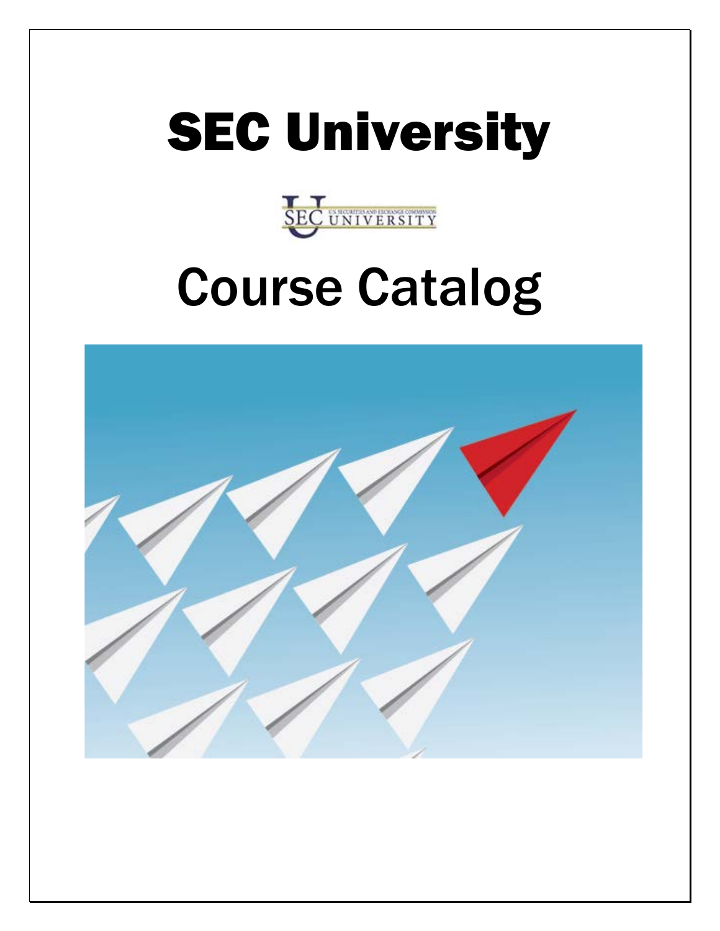



# Course Catalog

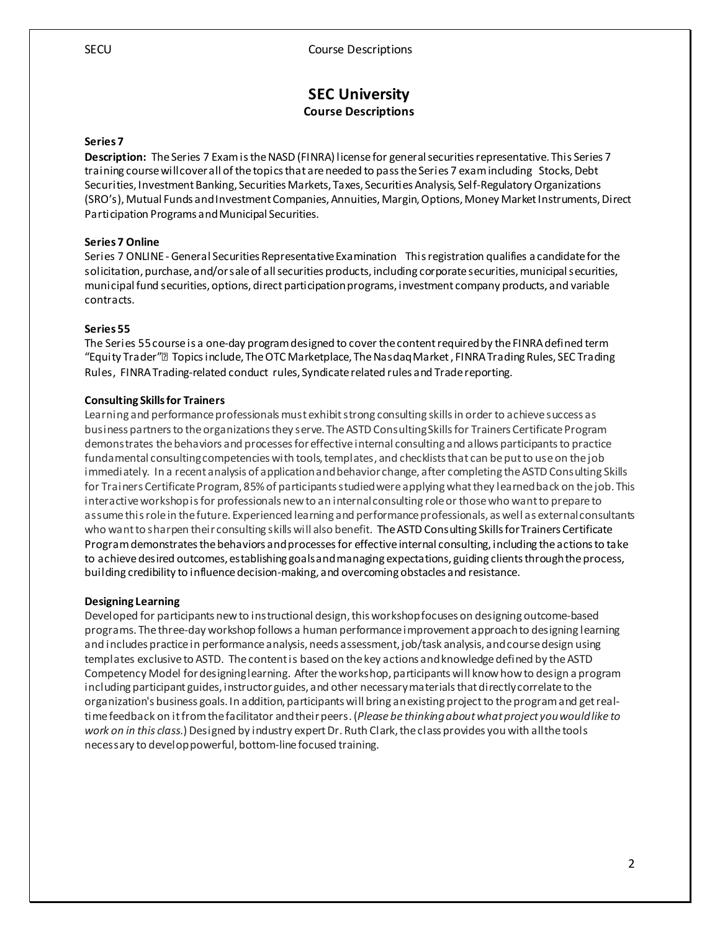#### **SEC University Course Descriptions**

#### **Series 7**

**Description:** The Series 7 Exam is the NASD (FINRA) license for general securities representative. This Series 7 training course will cover all of the topics that are needed to pass the Series 7 exam including Stocks, Debt Securities, Investment Banking, Securities Markets, Taxes, Securities Analysis, Self-Regulatory Organizations (SRO's), Mutual Funds and Investment Companies, Annuities, Margin, Options, Money Market Instruments, Direct Participation Programs and Municipal Securities.

#### **Series 7 Online**

Series 7 ONLINE -General Securities Representative Examination This registration qualifies a candidate for the solicitation, purchase, and/or sale of all securities products, including corporate securities, municipal securities, municipal fund securities, options, direct participation programs, investment company products, and variable contracts.

#### **Series 55**

The Series 55 course is a one-day program designed to cover the content required by the FINRA defined term "Equity Trader" Topics include, The OTC Marketplace, The Nasdaq Market, FINRA Trading Rules, SEC Trading Rules, FINRA Trading-related conduct rules, Syndicate related rules and Trade reporting.

#### **Consulting Skills for Trainers**

Learning and performance professionals must exhibit strong consulting skills in order to achieve success as business partners to the organizations they serve. The ASTD Consulting Skills for Trainers Certificate Program demonstrates the behaviors and processes for effective internal consulting and allows participants to practice fundamental consulting competencies with tools, templates, and checklists that can be put to use on the job immediately. In a recent analysis of application and behavior change, after completing the ASTD Consulting Skills for Trainers Certificate Program, 85% of participants studied were applying what they learned back on the job. This interactive workshop is for professionals new to an internal consulting role or those who want to prepare to assume this role in the future. Experienced learning and performance professionals, as well as external consultants who want to sharpen their consulting skills will also benefit. The ASTD Consulting Skills for Trainers Certificate Program demonstrates the behaviors and processes for effective internal consulting, including the actions to take to achieve desired outcomes, establishing goals and managing expectations, guiding clients through the process, building credibility to influence decision-making, and overcoming obstacles and resistance.

#### **Designing Learning**

Developed for participants new to instructional design, this workshop focuses on designing outcome-based programs. The three-day workshop follows a human performance improvement approach to designing learning and includes practice in performance analysis, needs assessment, job/task analysis, and course design using templates exclusive to ASTD. The content is based on the key actions and knowledge defined by the ASTD Competency Model for designing learning. After the workshop, participants will know how to design a program including participant guides, instructor guides, and other necessary materials that directly correlate to the organization's business goals. In addition, participants will bring an existing project to the program and get realtime feedback on it from the facilitator and their peers. (*Please be thinking about what project you would like to work on in this class.*) Designed by industry expert Dr. Ruth Clark, the class provides you with all the tools necessary to develop powerful, bottom-line focused training.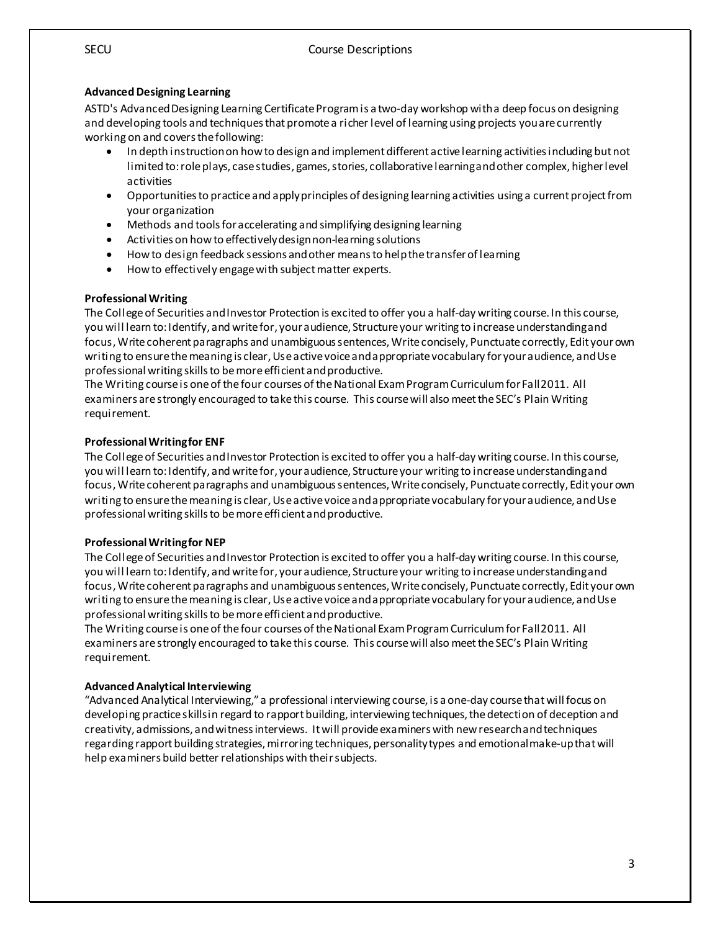#### **Advanced Designing Learning**

ASTD's Advanced Designing Learning Certificate Program is a two-day workshop with a deep focus on designing and developing tools and techniques that promote a richer level of learning using projects you are currently working on and covers the following:

- In depth instruction on how to design and implement different active learning activities including but not limited to: role plays, casestudies, games, stories, collaborative learning and other complex, higher level activities
- Opportunities to practice and apply principles of designing learning activities using a current project from your organization
- Methods and tools for accelerating and simplifying designing learning
- Activities on how to effectively design non-learning solutions
- How to design feedback sessions and other means to help the transfer of learning
- How to effectively engage with subject matter experts.

#### **Professional Writing**

The College of Securities and Investor Protection is excited to offer you a half-day writing course. In this course, you will learn to: Identify, and write for, your audience, Structure your writing to increase understanding and focus, Write coherent paragraphs and unambiguous sentences, Write concisely, Punctuate correctly, Edit your own writing to ensure the meaning is clear, Use active voice and appropriate vocabulary for your audience, and Use professional writing skills to be more efficient and productive.

The Writing course is one of the four courses of the National Exam Program Curriculum for Fall 2011. All examiners are strongly encouraged to take this course. This course will also meet the SEC's Plain Writing requirement.

#### **Professional Writing for ENF**

The College of Securities and Investor Protection is excited to offer you a half-day writing course. In this course, you will learn to: Identify, and write for, your audience, Structure your writing to increase understanding and focus, Write coherent paragraphs and unambiguous sentences, Write concisely, Punctuate correctly, Edit your own writing to ensure the meaning is clear, Use active voice and appropriate vocabulary for your audience, and Use professional writing skills to be more efficient and productive.

#### **Professional Writing for NEP**

The College of Securities and Investor Protection is excited to offer you a half-day writing course. In this course, you will learn to: Identify, and write for, your audience, Structure your writing to increase understanding and focus, Write coherent paragraphs and unambiguous sentences, Write concisely, Punctuate correctly, Edit your own writing to ensure the meaning is clear, Use active voice and appropriate vocabulary for your audience, and Use professional writing skills to be more efficient and productive.

The Writing course is one of the four courses of the National Exam Program Curriculum for Fall 2011. All examiners are strongly encouraged to take this course. This course will also meet the SEC's Plain Writing requirement.

#### **Advanced Analytical Interviewing**

"Advanced Analytical Interviewing," a professional interviewing course, is a one-day course that will focus on developing practice skills in regard to rapport building, interviewing techniques, the detection of deception and creativity, admissions, and witness interviews. It will provide examiners with new research and techniques regarding rapport building strategies, mirroring techniques, personality types and emotional make-up that will help examiners build better relationships with their subjects.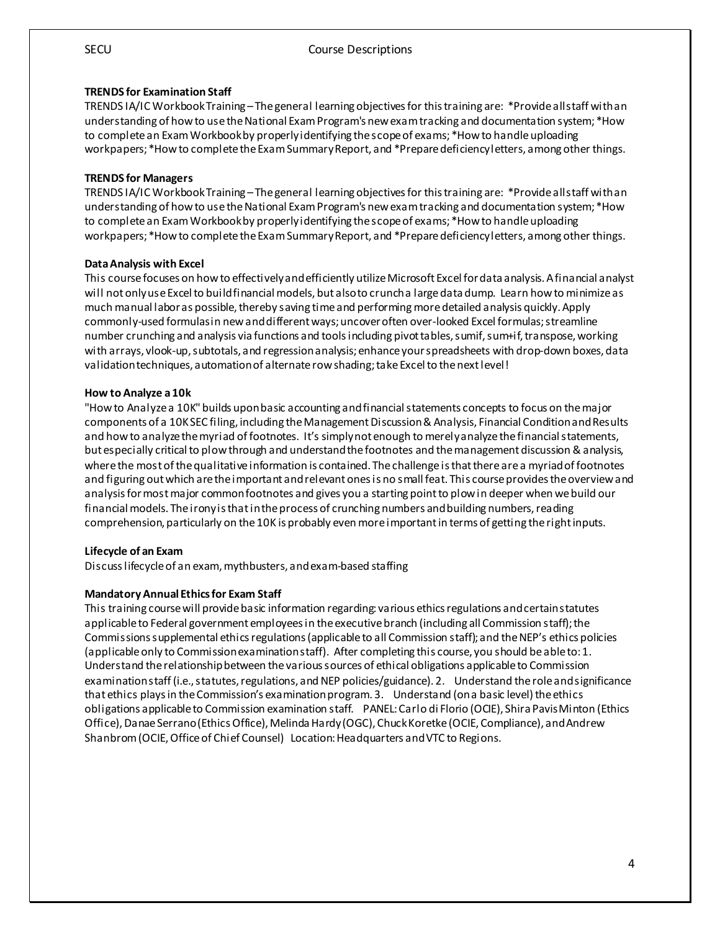#### **TRENDS for Examination Staff**

TRENDS IA/IC Workbook Training –The general learning objectives for this training are: \*Provide all staff with an understanding of how to use the National Exam Program's new exam tracking and documentation system; \*How to complete an Exam Workbook by properly identifying the scope of exams; \*How to handle uploading workpapers; \*How to complete the Exam Summary Report, and \*Prepare deficiency letters, among other things.

#### **TRENDS for Managers**

TRENDS IA/IC Workbook Training –The general learning objectives for this training are: \*Provide all staff with an understanding of how to use the National Exam Program's new exam tracking and documentation system; \*How to complete an Exam Workbook by properly identifying the scope of exams; \*How to handle uploading workpapers; \*How to complete the Exam Summary Report, and \*Prepare deficiency letters, among other things.

#### **Data Analysis with Excel**

This course focuses on how to effectively and efficiently utilize Microsoft Excel for data analysis. A financial analyst will not only use Excel to build financial models, but also to crunch a large data dump. Learn how to minimize as much manual labor as possible, thereby saving time and performing more detailed analysis quickly. Apply commonly-used formulas in new and different ways; uncover often over-looked Excel formulas; streamline number crunching and analysis via functions and tools including pivot tables, sumif, sum+if, transpose, working with arrays, vlook-up, subtotals, and regression analysis; enhance your spreadsheets with drop-down boxes, data validation techniques, automation of alternate row shading; take Excel to the next level!

#### **How to Analyze a 10k**

"How to Analyze a 10K" builds upon basic accounting and financial statements concepts to focus on the major components of a 10K SEC filing, including the Management Discussion & Analysis, Financial Condition and Results and how to analyze the myriad of footnotes. It's simply not enough to merely analyze the financial statements, but especially critical to plow through and understand the footnotes and the management discussion & analysis, where the most of the qualitative information is contained. The challenge is that there are a myriad of footnotes and figuring out which are the important and relevant ones is no small feat. This course provides the overview and analysis for most major common footnotes and gives you a starting point to plow in deeper when we build our financial models. The irony is that in the process of crunching numbers and building numbers, reading comprehension, particularly on the 10K is probably even more important in terms of getting the right inputs.

#### **Lifecycle of an Exam**

Discuss lifecycle of an exam, mythbusters, and exam-based staffing

#### **Mandatory Annual Ethics for Exam Staff**

This training course will provide basic information regarding: various ethics regulations and certain statutes applicable to Federal government employees in the executive branch (including all Commission staff); the Commissions supplemental ethics regulations (applicable to all Commission staff); and the NEP's ethics policies (applicable only to Commission examination staff). After completing this course, you should be able to: 1. Understand the relationship between the various sources of ethical obligations applicable to Commission examination staff (i.e., statutes, regulations, and NEP policies/guidance). 2. Understand the role and significance that ethics plays in the Commission's examination program. 3. Understand (on a basic level) the ethics obligations applicable to Commission examination staff. PANEL: Carlo di Florio (OCIE), Shira Pavis Minton (Ethics Office), Danae Serrano (Ethics Office), Melinda Hardy (OGC), Chuck Koretke (OCIE, Compliance), and Andrew Shanbrom (OCIE, Office of Chief Counsel) Location: Headquarters and VTC to Regions.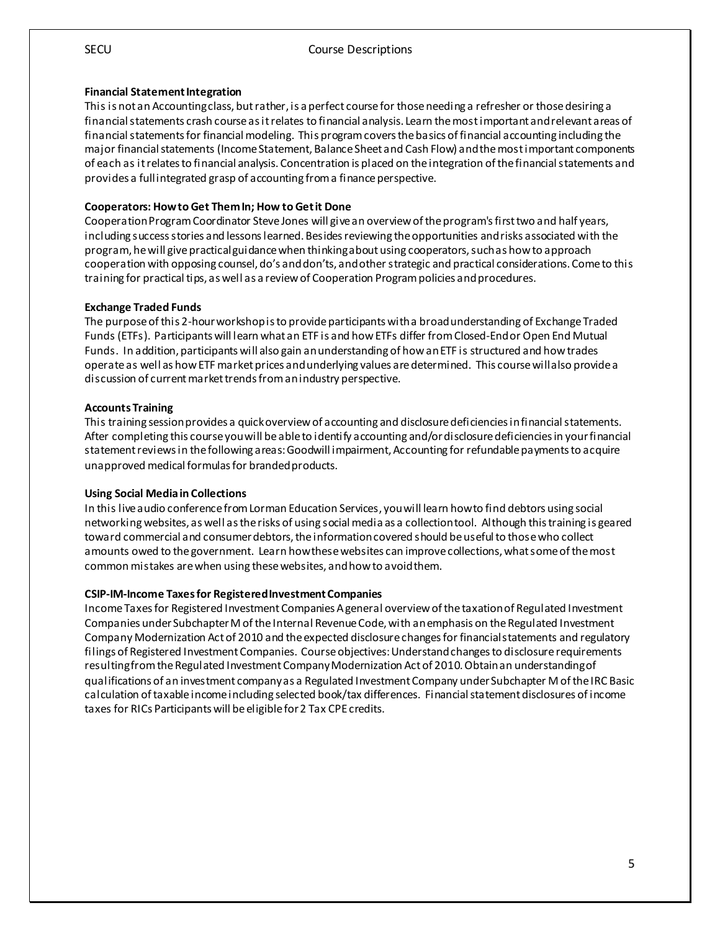#### **Financial Statement Integration**

This is not an Accounting class, but rather, is a perfect course for those needing a refresher or those desiring a financial statements crash course as it relates to financial analysis. Learn the most important and relevant areas of financial statements for financial modeling. This program covers the basics of financial accounting including the major financial statements (Income Statement, Balance Sheet and Cash Flow) and the most important components of each as it relates to financial analysis. Concentration is placed on the integration of the financial statements and provides a full integrated grasp of accounting from a finance perspective.

#### **Cooperators: How to Get Them In; How to Get it Done**

Cooperation Program Coordinator Steve Jones will give an overview of the program's first two and half years, including success stories and lessons learned. Besides reviewing the opportunities and risks associated with the program, he will give practical guidance when thinking about using cooperators, such as how to approach cooperation with opposing counsel, do's and don'ts, and other strategic and practical considerations. Come to this training for practical tips, as well as a review of Cooperation Program policies and procedures.

#### **Exchange Traded Funds**

The purpose of this 2-hour workshop is to provide participants with a broad understanding of Exchange Traded Funds (ETFs). Participants will learn what an ETF is and how ETFs differ from Closed-End or Open End Mutual Funds. In addition, participants will also gain an understanding of how an ETF is structured and how trades operate as well as how ETF market prices and underlying values are determined. This course will also provide a discussion of current market trends from an industry perspective.

#### **Accounts Training**

This training session provides a quick overview of accounting and disclosure deficiencies in financial statements. After completing this course you will be able to identify accounting and/or disclosure deficiencies in your financial statement reviews in the following areas: Goodwill impairment, Accounting for refundable payments to acquire unapproved medical formulas for branded products.

#### **Using Social Media in Collections**

In this live audio conference from Lorman Education Services, you will learn how to find debtors using social networking websites, as well as the risks of using social media as a collection tool. Although this training is geared toward commercial and consumer debtors, the information covered should be useful to those who collect amounts owed to the government. Learn how these websites can improve collections, what some of the most common mistakes are when using these websites, and how to avoid them.

#### **CSIP-IM-Income Taxes for Registered Investment Companies**

Income Taxes for Registered Investment Companies A general overview of the taxation of Regulated Investment Companies under Subchapter M of the Internal Revenue Code, with an emphasis on the Regulated Investment Company Modernization Act of 2010 and the expected disclosure changes for financial statements and regulatory filings of Registered Investment Companies. Course objectives: Understand changes to disclosure requirements resulting from the Regulated Investment Company Modernization Act of 2010. Obtain an understanding of qualifications of an investment company as a Regulated Investment Company under Subchapter M of the IRC Basic calculation of taxable income including selected book/tax differences. Financial statement disclosures of income taxes for RICs Participants will be eligible for 2 Tax CPE credits.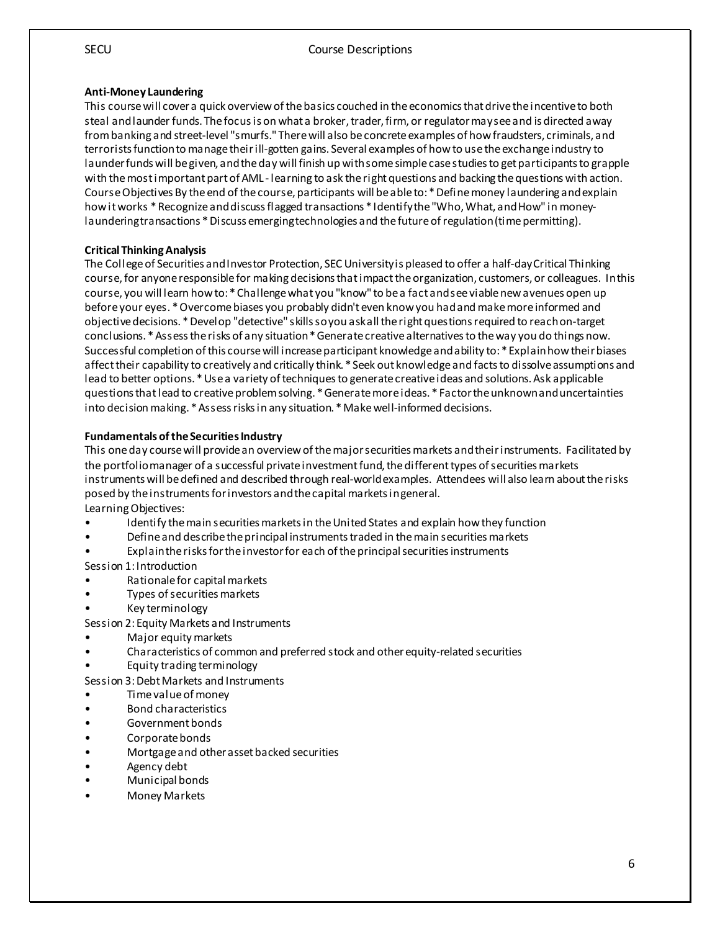#### **Anti-Money Laundering**

This course will cover a quick overview of the basics couched in the economics that drive the incentive to both steal and launder funds. The focus is on what a broker, trader, firm, or regulator may see and is directed away from banking and street-level "smurfs." There will also be concrete examples of how fraudsters, criminals, and terrorists function to managetheir ill-gotten gains. Several examples of how to use the exchange industry to launder funds will be given, and the day will finish up with some simple case studies to get participants to grapple with the most important part of AML - learning to ask the right questions and backing the questions with action. Course Objectives By the end of the course, participants will be able to: \* Define money laundering and explain how it works \* Recognize and discuss flagged transactions \* Identify the "Who, What, and How" in moneylaundering transactions \* Discuss emerging technologies and the future of regulation (time permitting).

#### **Critical Thinking Analysis**

The College of Securities and Investor Protection, SEC University is pleased to offer a half-day Critical Thinking course, for anyone responsible for making decisions that impact the organization, customers, or colleagues. In this course, you will learn how to: \* Challenge what you "know" to be a fact and see viable new avenues open up before your eyes. \* Overcome biases you probably didn't even know you had and make more informed and objective decisions. \* Develop "detective" skills so you ask all the right questions required to reach on-target conclusions. \* Assess the risks of any situation \* Generate creative alternatives to the way you do things now. Successful completion of this course will increase participant knowledge and ability to: \* Explain how their biases affect their capability to creatively and critically think. \* Seek out knowledge and facts to dissolve assumptions and lead to better options. \* Use a variety of techniques to generate creative ideas and solutions. Ask applicable questions that lead to creative problem solving. \* Generate more ideas. \* Factor the unknown and uncertainties into decision making. \* Assess risks in any situation. \* Make well-informed decisions.

#### **Fundamentals of the Securities Industry**

This one day course will provide an overview of the major securities markets and their instruments. Facilitated by the portfolio manager of a successful private investment fund, the different types of securities markets instruments will be defined and described through real-world examples. Attendees will also learn about the risks posed by the instruments for investors and the capital markets in general.

Learning Objectives:

- Identify the main securities markets in the United States and explain how they function
- Define and describe the principal instruments traded in the main securities markets
- Explain the risks for the investor for each of the principal securities instruments

Session 1: Introduction

- Rationale for capital markets
- Types of securities markets
- Key terminology

Session 2: Equity Markets and Instruments

- Major equity markets
- Characteristics of common and preferred stock and other equity-related securities
- Equity trading terminology

Session 3: Debt Markets and Instruments

- Time value of money
- Bond characteristics
- Government bonds
- Corporate bonds
- Mortgage and other asset backed securities
- Agency debt
- Municipal bonds
- Money Markets

6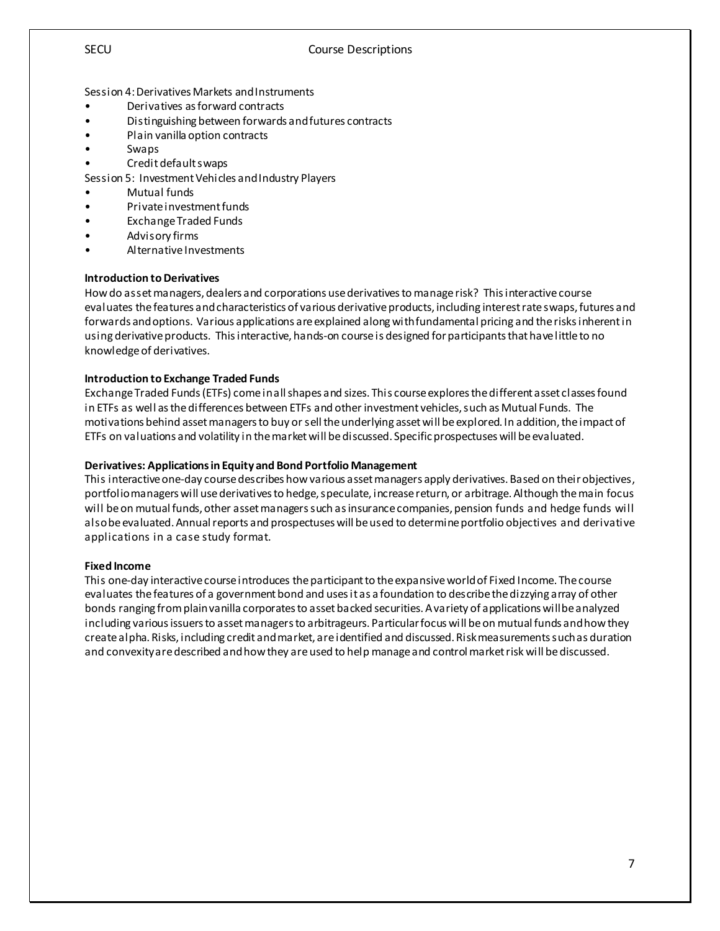Session 4: Derivatives Markets and Instruments

- Derivatives as forward contracts
- Distinguishing between forwards and futures contracts
- Plain vanilla option contracts
- Swaps
- Credit default swaps

Session 5: Investment Vehicles and Industry Players

- Mutual funds
- Private investment funds
- Exchange Traded Funds
- Advisory firms
- Alternative Investments

#### **Introduction to Derivatives**

How do asset managers, dealers and corporations use derivatives to manage risk? This interactive course evaluates the features and characteristics of various derivative products, including interest rate swaps, futures and forwards and options. Various applications are explained along with fundamental pricing and the risks inherent in using derivative products. This interactive, hands-on course is designed for participants that have little to no knowledge of derivatives.

#### **Introduction to Exchange Traded Funds**

Exchange Traded Funds (ETFs) come in all shapes and sizes. This course explores the different asset classes found in ETFs as well as the differences between ETFs and other investment vehicles, such as Mutual Funds. The motivations behind asset managers to buy or sell the underlying asset will be explored. In addition, theimpact of ETFs on valuations and volatility in the market will be discussed. Specific prospectuses will be evaluated.

#### **Derivatives: Applications in Equity and Bond Portfolio Management**

This interactive one-day course describes how various asset managers apply derivatives. Based on their objectives, portfolio managers will use derivatives to hedge, speculate, increase return, or arbitrage. Although the main focus will be on mutual funds, other asset managers such as insurance companies, pension funds and hedge funds will also be evaluated. Annual reports and prospectuses will be used to determine portfolio objectives and derivative applications in a case study format.

#### **Fixed Income**

This one-day interactive course introduces the participant to the expansiveworld of Fixed Income. The course evaluates the features of a government bond and uses it as a foundation to describe the dizzying array of other bonds ranging from plain vanilla corporates to asset backed securities. A variety of applications will be analyzed including various issuers to asset managers to arbitrageurs. Particular focus will be on mutual funds and how they create alpha. Risks, including credit and market, are identified and discussed. Risk measurements such as duration and convexity are described and how they are used to help manage and control market risk will be discussed.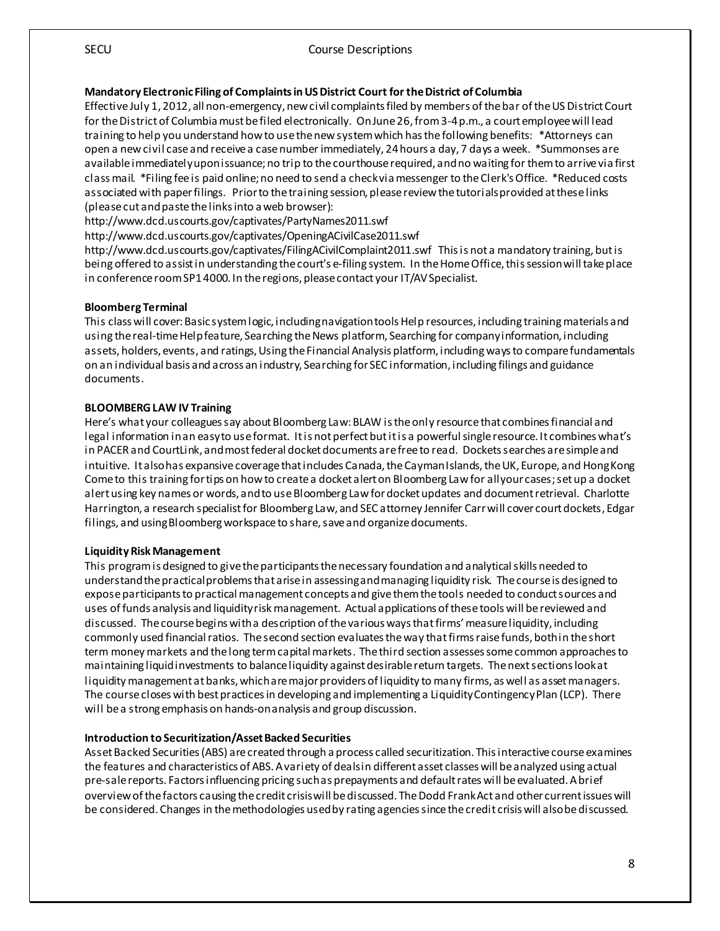#### SECU Course Descriptions

#### **Mandatory Electronic Filing of Complaints in US District Court for the District of Columbia**

Effective July 1, 2012, all non-emergency, new civil complaints filed by members of the bar of the US District Court for the District of Columbia must be filed electronically. On June 26, from 3-4 p.m., a court employee will lead training to help you understand how to use the new system which has the following benefits: \*Attorneys can open a new civil case and receive a case number immediately, 24 hours a day, 7 days a week. \*Summonses are available immediately upon issuance; no trip to the courthouse required, and no waiting for them to arrive via first class mail. \*Filing fee is paid online; no need to send a check via messenger to the Clerk's Office. \*Reduced costs associated with paper filings. Prior to the training session, please review the tutorials provided at these links (please cut and paste the links into a web browser):

http://www.dcd.uscourts.gov/captivates/PartyNames2011.swf

http://www.dcd.uscourts.gov/captivates/OpeningACivilCase2011.swf

http://www.dcd.uscourts.gov/captivates/FilingACivilComplaint2011.swf This is not a mandatory training, but is being offered to assist in understanding the court's e-filing system. In the Home Office, this session will take place in conference room SP1 4000. In the regions, please contact your IT/AV Specialist.

#### **Bloomberg Terminal**

This class will cover: Basic system logic, including navigation tools Help resources, including training materials and using the real-time Help feature, Searching the News platform, Searching for company information, including assets, holders, events, and ratings, Using the Financial Analysis platform, including ways to compare fundamentals on an individual basis and across an industry, Searching for SEC information, including filings and guidance documents.

#### **BLOOMBERG LAW IV Training**

Here's what your colleagues say about Bloomberg Law: BLAW is the only resource that combines financial and legal information in an easy to use format. It is not perfect but it is a powerful single resource. It combines what's in PACER and CourtLink, and most federal docket documents are free to read. Dockets searches are simple and intuitive. It also has expansive coverage that includes Canada, the Cayman Islands, the UK, Europe, and Hong Kong Come to this training for tips on how to create a docket alert on Bloomberg Law for all your cases; set up a docket alert using key names or words, and to use Bloomberg Law for docket updates and document retrieval. Charlotte Harrington, a research specialist for Bloomberg Law, and SEC attorney Jennifer Carr will cover court dockets, Edgar filings, and using Bloomberg workspace to share, save and organize documents.

#### **Liquidity Risk Management**

This program is designed to give the participants the necessary foundation and analytical skills needed to understand the practical problems that arise in assessing and managing liquidity risk. The course is designed to expose participants to practical management concepts and give them the tools needed to conduct sources and uses of funds analysis and liquidity risk management. Actual applications of these tools will be reviewed and discussed. The course begins with a description of the various ways that firms' measure liquidity, including commonly used financial ratios. The second section evaluates the way that firms raise funds, both in the short term money markets and thelong term capital markets. The third section assesses some common approaches to maintaining liquid investments to balance liquidity against desirable return targets. The next sections look at liquidity management at banks, which are major providers of liquidity to many firms, as well as asset managers. The course closes with best practices in developing and implementing a Liquidity Contingency Plan (LCP). There will be a strong emphasis on hands-on analysis and group discussion.

#### **Introduction to Securitization/Asset Backed Securities**

Asset Backed Securities (ABS) are created through a process called securitization. This interactive course examines the features and characteristics of ABS. A variety of deals in different asset classes will be analyzed using actual pre-sale reports. Factors influencing pricing such as prepayments and default rates will be evaluated. A brief overview of the factors causing the credit crisis will be discussed. The Dodd Frank Act and other current issues will be considered. Changes in the methodologies used by rating agencies since the credit crisis will also be discussed.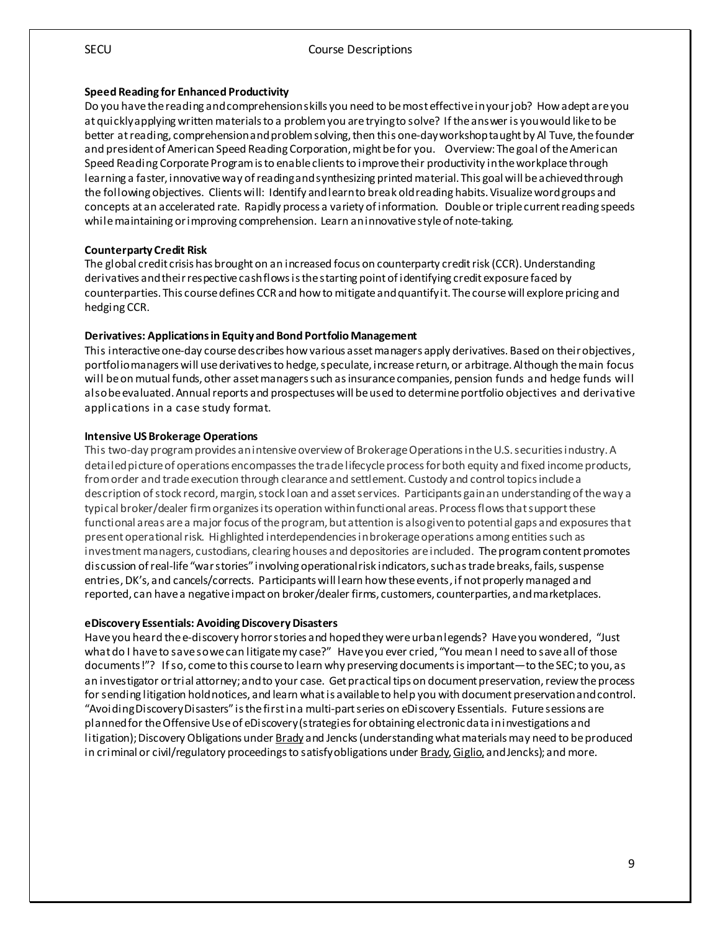#### **Speed Reading for Enhanced Productivity**

Do you have the reading and comprehension skills you need to be most effective in your job? How adept are you atquickly applying written materials to a problem you are trying to solve? If the answer is you would like to be better at reading, comprehension and problem solving, then this one-day workshop taught by Al Tuve, the founder and president of American Speed Reading Corporation, might be for you. Overview: The goal of the American Speed Reading Corporate Program is to enable clients to improve their productivity in the workplace through learning a faster, innovative way of reading and synthesizing printed material. This goal will be achieved through the following objectives. Clients will: Identify and learn to break old reading habits. Visualize word groups and concepts at an accelerated rate. Rapidly process a variety of information. Double or triple current reading speeds while maintaining or improving comprehension. Learn an innovative style of note-taking.

#### **Counterparty Credit Risk**

The global credit crisis has brought on an increased focus on counterparty credit risk (CCR). Understanding derivatives and their respective cash flows is the starting point of identifying credit exposure faced by counterparties. This course defines CCR and how to mitigate and quantify it. The course will explore pricing and hedging CCR.

#### **Derivatives: Applications in Equity and Bond Portfolio Management**

This interactive one-day course describes how various asset managers apply derivatives. Based on their objectives, portfolio managers will use derivatives to hedge, speculate, increase return, or arbitrage. Although the main focus will be on mutual funds, other asset managers such as insurance companies, pension funds and hedge funds will also be evaluated. Annual reports and prospectuses will be used to determine portfolio objectives and derivative applications in a case study format.

#### **Intensive US Brokerage Operations**

This two-day program provides an intensive overview of Brokerage Operations in the U.S. securities industry. A detailed picture of operations encompasses the trade lifecycle process for both equity and fixed income products, from order and trade execution through clearance and settlement. Custody and control topics include a description of stock record, margin, stock loan and asset services. Participants gain an understanding of the way a typical broker/dealer firm organizes its operation within functional areas. Process flows that support these functional areas are a major focus of the program, but attention is also given to potential gaps and exposures that present operational risk. Highlighted interdependencies in brokerage operations among entities such as investment managers, custodians, clearing houses and depositories are included. The program content promotes discussion of real-life "war stories" involving operational risk indicators, such as trade breaks, fails, suspense entries, DK's, and cancels/corrects. Participants will learn how these events, if not properly managed and reported, can have a negative impact on broker/dealer firms, customers, counterparties, and marketplaces.

#### **eDiscovery Essentials: Avoiding Discovery Disasters**

Have you heard the e-discovery horror stories and hoped they were urban legends? Have you wondered, "Just what do I have to save so we can litigate my case?" Have you ever cried, "You mean I need to save all of those documents!"? If so, come to this course to learn why preserving documents is important—to the SEC; to you, as an investigator or trial attorney; and to your case. Get practical tips on document preservation, review the process for sending litigation hold notices, and learn what is available to help you with document preservation and control. "Avoiding Discovery Disasters" is the first in a multi-part series on eDiscovery Essentials. Future sessions are planned for the Offensive Use of eDiscovery (strategies for obtaining electronic data in investigations and litigation); Discovery Obligations under **Brady** and Jencks (understanding what materials may need to be produced in criminal or civil/regulatory proceedings to satisfy obligations under Brady, Giglio, and Jencks); and more.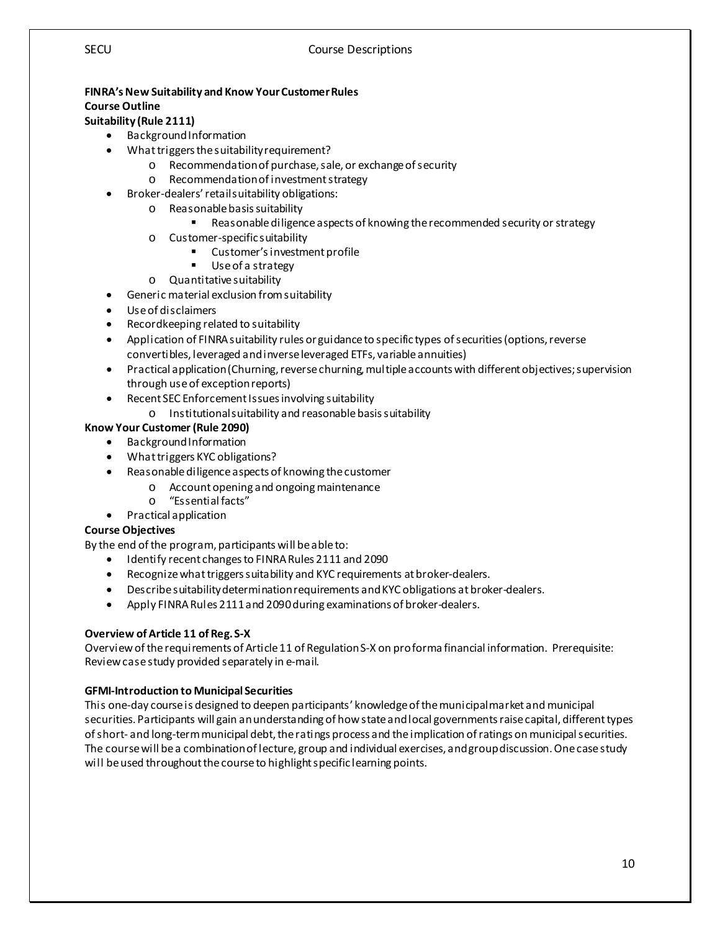#### **FINRA's New Suitability and Know Your Customer Rules Course Outline**

#### **Suitability (Rule 2111)**

- Background Information
- What triggers the suitability requirement?
	- o Recommendation of purchase, sale, or exchange of security
	- Recommendation of investment strategy
- Broker-dealers' retail suitability obligations:
	- o Reasonable basis suitability
		- Reasonable diligence aspects of knowing the recommended security or strategy
	- o Customer-specific suitability
		- Customer's investment profile
		- Use of a strategy
	- o Quantitative suitability
- Generic material exclusion from suitability
- Use of disclaimers
- Recordkeeping related to suitability
- Application of FINRA suitability rules or guidance to specific types of securities (options, reverse convertibles, leveraged and inverse leveraged ETFs, variable annuities)
- Practical application (Churning, reverse churning, multiple accounts with different objectives; supervision through use of exception reports)
- Recent SEC Enforcement Issues involving suitability
	- o Institutional suitability and reasonable basis suitability

#### **Know Your Customer (Rule 2090)**

- Background Information
- What triggers KYC obligations?
- Reasonable diligence aspects of knowing the customer
	- o Account opening and ongoing maintenance<br>o "Essential facts"
	- "Essential facts"
- Practical application

#### **Course Objectives**

By the end of the program, participants will be able to:

- Identify recent changes to FINRA Rules 2111 and 2090
- Recognize what triggers suitability and KYC requirements at broker-dealers.
- Describe suitability determination requirements and KYC obligations at broker-dealers.
- Apply FINRA Rules 2111 and 2090 during examinations of broker-dealers.

#### **Overview of Article 11 of Reg. S-X**

Overview of the requirements of Article 11 of Regulation S-X on pro forma financial information. Prerequisite: Review case study provided separately in e-mail.

#### **GFMI-Introduction to Municipal Securities**

This one-day course is designed to deepen participants' knowledge of the municipal market and municipal securities. Participants will gain an understanding of how state and local governments raise capital, different types of short- and long-term municipal debt, the ratings process and the implication of ratings on municipal securities. The course will be a combination of lecture, group and individual exercises, and group discussion. One case study will be used throughout the course to highlight specific learning points.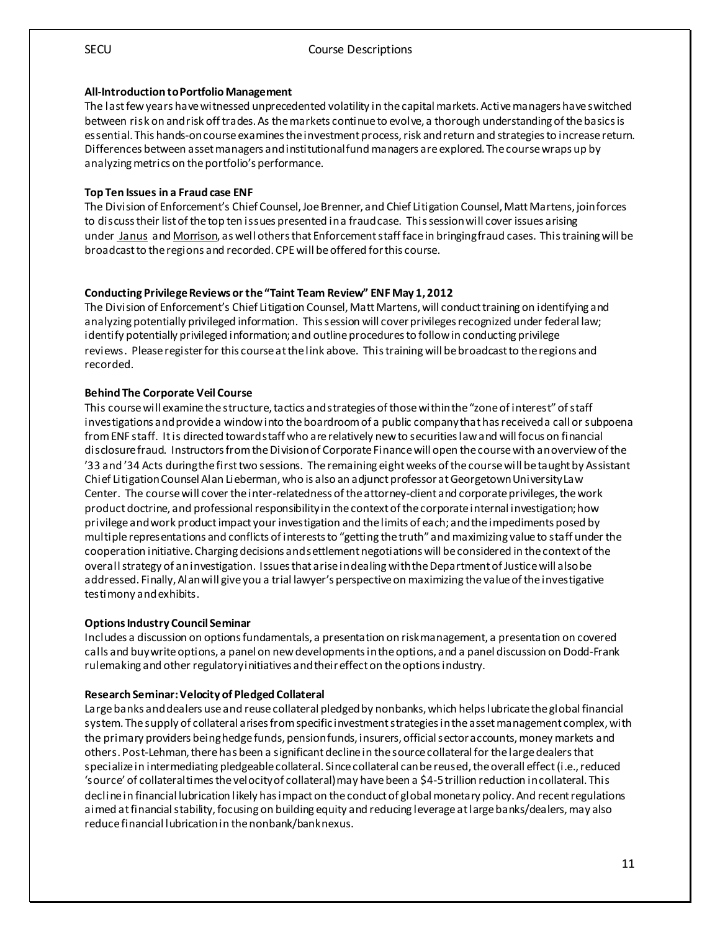#### **All-Introduction to Portfolio Management**

The last few years have witnessed unprecedented volatility in the capital markets. Active managers have switched between risk on and risk off trades. As the markets continue to evolve, a thorough understanding of the basics is essential. This hands-on course examines the investment process, risk and return and strategies to increase return. Differences between asset managers and institutional fund managers are explored. The course wraps up by analyzing metrics on the portfolio's performance.

#### **Top Ten Issues in a Fraud case ENF**

The Division of Enforcement's Chief Counsel, Joe Brenner, and Chief Litigation Counsel, Matt Martens, join forces to discuss their list of the top ten issues presented in a fraud case. This session will cover issues arising under Janus and Morrison, as well others that Enforcement staff face in bringing fraud cases. This training will be broadcast to the regions and recorded.CPE will be offered for this course.

#### **Conducting Privilege Reviews or the "Taint Team Review" ENF May 1, 2012**

The Division of Enforcement's Chief Litigation Counsel, Matt Martens, will conduct training on identifying and analyzing potentially privileged information. This session will cover privileges recognized under federal law; identify potentially privileged information; and outline procedures to follow in conducting privilege reviews. Please register for this course at the link above. This training will be broadcast to the regions and recorded.

#### **Behind The Corporate Veil Course**

This course will examine the structure, tactics and strategies of those within the "zone of interest" of staff investigations and provide a window into the boardroom of a public company that has received a call or subpoena from ENF staff. It is directed toward staff who are relatively new to securities law and will focus on financial disclosure fraud. Instructors from the Division of Corporate Finance will open the course with an overview of the '33 and '34 Acts during the first two sessions. The remaining eight weeks of the course will be taught by Assistant Chief Litigation Counsel Alan Lieberman, who is also an adjunct professor at Georgetown University Law Center. The course will cover the inter-relatedness of the attorney-client and corporate privileges, the work product doctrine, and professional responsibility in the context of the corporate internal investigation; how privilege and work product impact your investigation and the limits of each; and the impediments posed by multiple representations and conflicts of interests to "getting the truth" and maximizing value to staff under the cooperation initiative. Charging decisions and settlement negotiations will be considered in the context of the overall strategy of an investigation. Issues that arise in dealing with the Department of Justice will also be addressed. Finally, Alan will give you a trial lawyer's perspective on maximizing the value of the investigative testimony and exhibits.

#### **Options Industry Council Seminar**

Includes a discussion on options fundamentals, a presentation on risk management, a presentation on covered calls and buy write options, a panel on new developments in the options, and a panel discussion on Dodd-Frank rulemaking and other regulatory initiatives and their effect on the options industry.

#### **Research Seminar: Velocity of Pledged Collateral**

Large banks and dealers use and reuse collateral pledged by nonbanks, which helps lubricate the global financial system. The supply of collateral arises from specific investment strategies in the asset management complex, with the primary providers being hedge funds, pension funds, insurers, official sector accounts, money markets and others. Post-Lehman, there has been a significant decline in the source collateral for the large dealers that specialize in intermediating pledgeable collateral. Since collateral can be reused, the overall effect (i.e., reduced 'source' of collateral times the velocity of collateral) may have been a \$4-5 trillion reduction in collateral. This decline in financial lubrication likely has impact on the conduct of global monetary policy. And recent regulations aimed at financial stability, focusing on building equity and reducing leverage at large banks/dealers, may also reduce financial lubrication in the nonbank/bank nexus.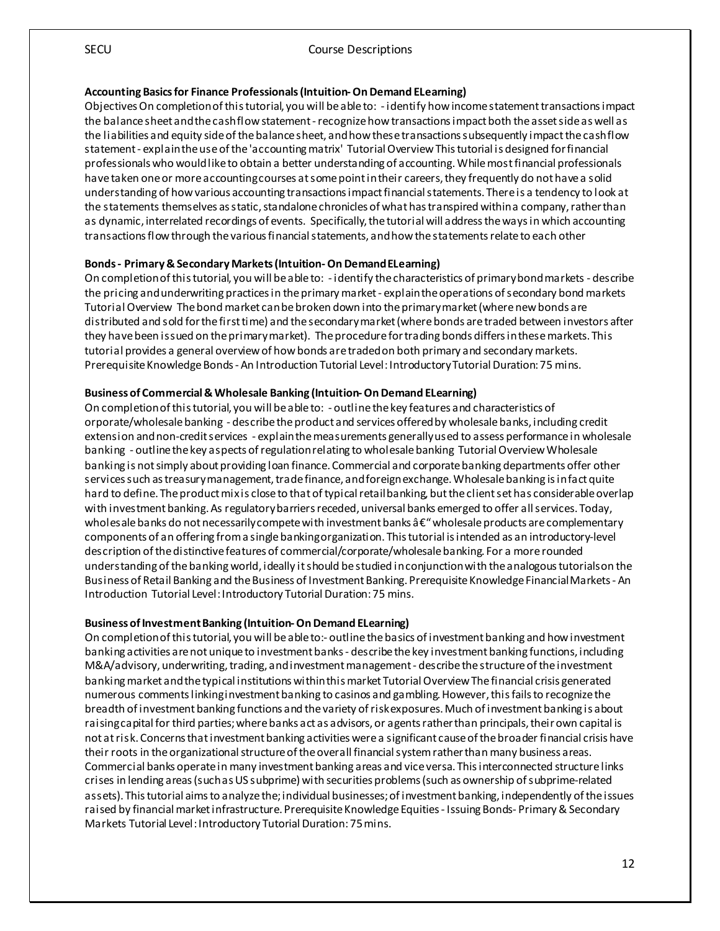#### SECU Course Descriptions

#### **Accounting Basics for Finance Professionals (Intuition-On Demand ELearning)**

Objectives On completion of this tutorial, you will be able to: - identify how income statement transactions impact the balance sheet and the cash flow statement -recognize how transactions impact both the asset side as well as the liabilities and equity side of the balance sheet, and how these transactions subsequently impact the cash flow statement - explain the use of the 'accounting matrix' Tutorial Overview This tutorial is designed for financial professionals who would like to obtain a better understanding of accounting. While most financial professionals have taken one or more accounting courses at some point in their careers, they frequently do not have a solid understanding of how various accounting transactions impact financial statements. There is a tendency to look at the statements themselves as static, standalone chronicles of what has transpired within a company, rather than as dynamic, interrelated recordings of events. Specifically, thetutorial will address the ways in which accounting transactions flow through the various financial statements, and how the statements relate to each other

#### **Bonds - Primary & Secondary Markets (Intuition-On Demand ELearning)**

On completion of this tutorial, you will be able to: - identify the characteristics of primary bond markets - describe the pricing and underwriting practices in the primary market - explain the operations of secondary bond markets Tutorial Overview The bond market can be broken down into the primary market (where new bonds are distributed and sold for the first time) and the secondary market (where bonds are traded between investors after they have been issued on the primary market). The procedure for trading bonds differs in thesemarkets. This tutorial provides a general overview of how bonds are traded on both primary and secondary markets. Prerequisite Knowledge Bonds - An Introduction Tutorial Level: Introductory Tutorial Duration: 75 mins.

#### **Business of Commercial & Wholesale Banking (Intuition-On Demand ELearning)**

On completion of this tutorial, you will be able to: - outline the key features and characteristics of orporate/wholesale banking - describe the product and services offered by wholesale banks, including credit extension and non-credit services - explain the measurements generally used to assess performance in wholesale banking - outline the key aspects of regulation relating to wholesale banking Tutorial Overview Wholesale banking is not simply about providing loan finance. Commercial and corporate banking departments offer other services such as treasury management, trade finance, and foreign exchange. Wholesale banking is in fact quite hard to define. The product mix is close to that of typical retail banking, but the client set has considerable overlap with investment banking. As regulatory barriers receded, universal banks emerged to offer all services. Today, wholesale banks do not necessarily compete with investment banks  $\hat{a} \in \hat{ }$  wholesale products are complementary components of an offering from a single banking organization. This tutorial is intended as an introductory-level description of the distinctive features of commercial/corporate/wholesale banking. For a more rounded understanding of the banking world, ideally it should be studied in conjunction with the analogous tutorials on the Business of Retail Banking and the Business of Investment Banking. Prerequisite Knowledge Financial Markets - An Introduction Tutorial Level: Introductory Tutorial Duration: 75 mins.

#### **Business of Investment Banking (Intuition-On Demand ELearning)**

On completion of this tutorial, you will be able to:- outline the basics of investment banking and how investment banking activities are not unique to investment banks - describe the key investment banking functions, including M&A/advisory, underwriting, trading, and investment management - describe the structure of the investment banking market and the typical institutions within this market Tutorial Overview The financial crisis generated numerous comments linking investment banking to casinos and gambling. However, this fails to recognize the breadth of investment banking functions and the variety of risk exposures. Much of investment banking is about raising capital for third parties; where banks act as advisors, or agents rather than principals, their own capital is not at risk. Concerns that investment banking activities were a significant cause of the broader financial crisis have their roots in the organizational structure of the overall financial system rather than many business areas. Commercial banks operate in many investment banking areas and vice versa. This interconnected structure links crises in lending areas (such as US subprime) with securities problems (such as ownership of subprime-related assets). This tutorial aims to analyze the; individual businesses; of investment banking, independently of the issues raised by financial market infrastructure. Prerequisite Knowledge Equities - Issuing Bonds- Primary & Secondary Markets Tutorial Level: Introductory Tutorial Duration: 75 mins.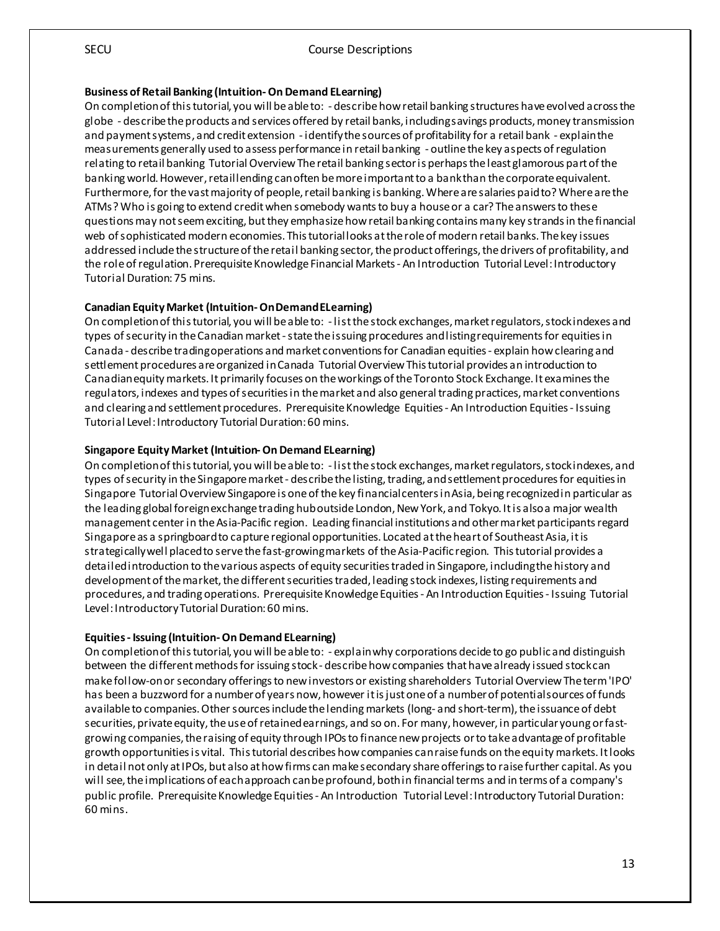#### **Business of Retail Banking (Intuition-On Demand ELearning)**

On completion of this tutorial, you will be able to: - describe how retail banking structures have evolved across the globe - describe the products and services offered by retail banks, including savings products, money transmission and payment systems, and credit extension - identify the sources of profitability for a retail bank - explain the measurements generally used to assess performance in retail banking - outline the key aspects of regulation relating to retail banking Tutorial Overview The retail banking sector is perhaps the least glamorous part of the banking world. However, retail lending can often be more important to a bank than the corporate equivalent. Furthermore, for the vast majority of people, retail banking is banking. Where are salaries paid to? Where are the ATMs? Who is going to extend credit when somebody wants to buy a house or a car? The answers to these questions may not seem exciting, but they emphasize how retail banking contains many key strands in the financial web of sophisticated modern economies. This tutorial looks at the role of modern retail banks. The key issues addressed include the structure of the retail banking sector, the product offerings, the drivers of profitability, and the role of regulation. Prerequisite Knowledge Financial Markets - An Introduction Tutorial Level: Introductory Tutorial Duration: 75 mins.

## **Canadian Equity Market (Intuition-On Demand ELearning)**

On completion of this tutorial, you will be able to: - list the stock exchanges, market regulators, stock indexes and types of security in the Canadian market -state the issuing procedures and listing requirements for equities in Canada - describe trading operations and market conventions for Canadian equities - explain how clearing and settlement procedures are organized in Canada Tutorial Overview This tutorial provides an introduction to Canadian equity markets. Itprimarily focuses on the workings of the Toronto Stock Exchange. It examines the regulators, indexes and types of securities in the market and also general trading practices, market conventions and clearing and settlement procedures. Prerequisite Knowledge Equities - An Introduction Equities - Issuing Tutorial Level: Introductory Tutorial Duration: 60 mins.

## **Singapore Equity Market (Intuition-On Demand ELearning)**

On completion of this tutorial, you will be able to: - list the stock exchanges, market regulators, stock indexes, and types of security in the Singapore market - describe the listing, trading, and settlement procedures for equities in Singapore Tutorial Overview Singapore is one of the key financial centers in Asia, being recognized in particular as the leading global foreign exchange trading hub outside London, New York, and Tokyo. It is also a major wealth management center in the Asia-Pacific region. Leading financial institutions and other market participants regard Singapore as a springboard to capture regional opportunities. Located at the heart of Southeast Asia, it is strategically well placed to serve the fast-growing markets of the Asia-Pacific region. This tutorial provides a detailed introduction to the various aspects of equity securities traded in Singapore, including the history and development of the market, the different securities traded, leading stock indexes, listing requirements and procedures, and trading operations. Prerequisite Knowledge Equities - An Introduction Equities - Issuing Tutorial Level: Introductory Tutorial Duration: 60 mins.

## **Equities - Issuing (Intuition-On Demand ELearning)**

On completion of this tutorial, you will be able to: - explain why corporations decide to go public and distinguish between the different methods for issuing stock - describe how companies that have already issued stock can make follow-on or secondary offerings to new investors or existing shareholders Tutorial Overview The term 'IPO' has been a buzzword for a number of years now, however it is just one of a number of potential sources of funds available to companies. Other sources include the lending markets (long- and short-term), the issuance of debt securities, private equity, the use of retained earnings, and so on. For many, however, in particular young or fastgrowing companies, the raising of equity through IPOs to finance new projects or to take advantage of profitable growth opportunities is vital. This tutorial describes how companies can raise funds on the equity markets. It looks in detail not only at IPOs, but also at how firms can make secondary share offerings to raise further capital. As you will see, the implications of each approach can be profound, both in financial terms and in terms of a company's public profile. Prerequisite Knowledge Equities - An Introduction Tutorial Level: Introductory Tutorial Duration: 60 mins.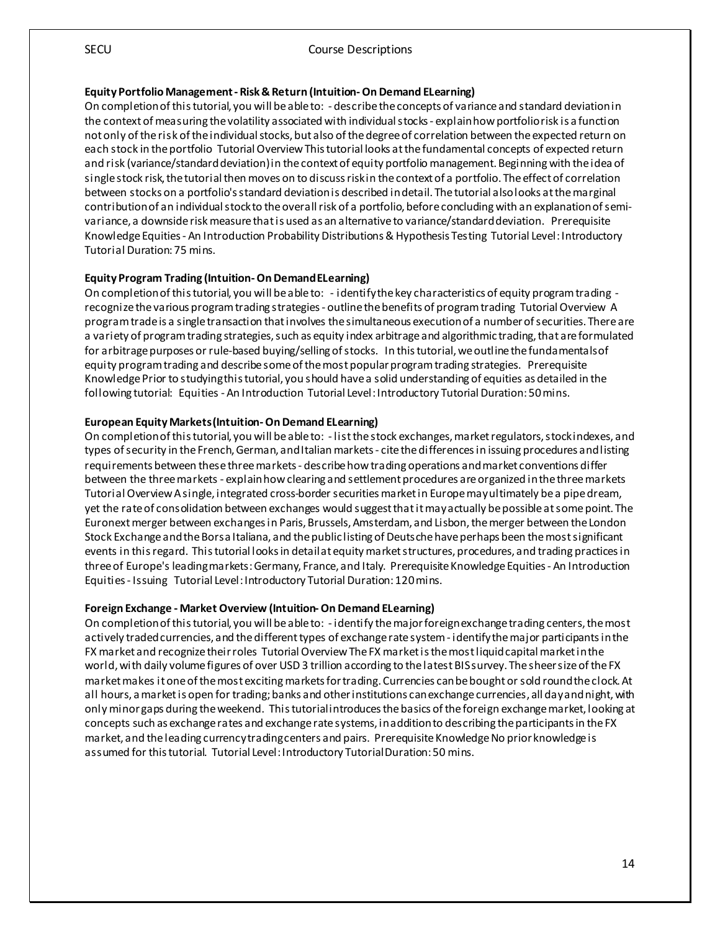#### **Equity Portfolio Management - Risk & Return (Intuition-On Demand ELearning)**

On completion of this tutorial, you will be able to: - describe the concepts of variance and standard deviation in the context of measuring the volatility associated with individual stocks - explain how portfolio risk is a function not only of the risk of the individual stocks, but also of the degree of correlation between the expected return on each stock in the portfolio Tutorial Overview This tutorial looks at the fundamental concepts of expected return and risk (variance/standard deviation) in the context of equity portfolio management. Beginning with the idea of single stock risk, the tutorial then moves on to discuss risk in the context of a portfolio. The effect of correlation between stocks on a portfolio's standard deviation is described in detail. The tutorial also looks at the marginal contribution of an individual stock to the overall risk of a portfolio, before concluding with an explanation of semivariance, a downside risk measure that is used as an alternative to variance/standard deviation. Prerequisite Knowledge Equities - An Introduction Probability Distributions & Hypothesis Testing Tutorial Level: Introductory Tutorial Duration: 75 mins.

#### **Equity Program Trading (Intuition-On Demand ELearning)**

On completion of this tutorial, you will be able to: - identify the key characteristics of equity program trading recognize the various program trading strategies - outline the benefits of program trading Tutorial Overview A program trade is a single transaction that involves the simultaneous execution of a number of securities. There are a variety of program trading strategies, such as equity index arbitrage and algorithmic trading, that are formulated for arbitrage purposes or rule-based buying/selling of stocks. In this tutorial, we outline the fundamentals of equity program trading and describe some of the most popular program trading strategies. Prerequisite Knowledge Prior to studying this tutorial, you should have a solid understanding of equities as detailed in the following tutorial: Equities - An Introduction Tutorial Level: Introductory Tutorial Duration: 50 mins.

#### **European Equity Markets (Intuition-On Demand ELearning)**

On completion of this tutorial, you will be able to: - list the stock exchanges, market regulators, stock indexes, and types of security in the French, German, and Italian markets - cite the differences in issuing procedures and listing requirements between these three markets - describe how trading operations and market conventions differ between the three markets - explain how clearing and settlement procedures are organized in the three markets Tutorial Overview A single, integrated cross-border securities market in Europe may ultimately be a pipe dream, yet the rate of consolidation between exchanges would suggest that it may actually be possible at some point. The Euronext merger between exchanges in Paris, Brussels, Amsterdam, and Lisbon, the merger between the London Stock Exchange and the Borsa Italiana, and the public listing of Deutsche have perhaps been the most significant events in this regard. This tutorial looks in detail at equity market structures, procedures, and trading practices in three of Europe's leading markets: Germany, France, and Italy. Prerequisite Knowledge Equities - An Introduction Equities - Issuing Tutorial Level: Introductory Tutorial Duration: 120 mins.

#### **Foreign Exchange - Market Overview (Intuition-On Demand ELearning)**

On completion of this tutorial, you will be able to: - identify the major foreign exchange trading centers, the most actively traded currencies, and the different types of exchange rate system - identify the major participants in the FX market and recognize their roles Tutorial Overview The FX market is the most liquid capital market in the world, with daily volume figures of over USD 3 trillion according to the latest BIS survey. The sheer size of the FX market makes it one of the most exciting markets for trading. Currencies can bebought or sold round the clock. At all hours, a market is open for trading; banks and other institutions can exchange currencies, all day and night, with only minor gaps during the weekend. This tutorial introduces the basics of the foreign exchange market, looking at concepts such as exchange rates and exchange rate systems, in addition to describing the participants in the FX market, and the leading currency trading centers and pairs. Prerequisite Knowledge No prior knowledge is assumed for this tutorial. Tutorial Level: Introductory Tutorial Duration: 50 mins.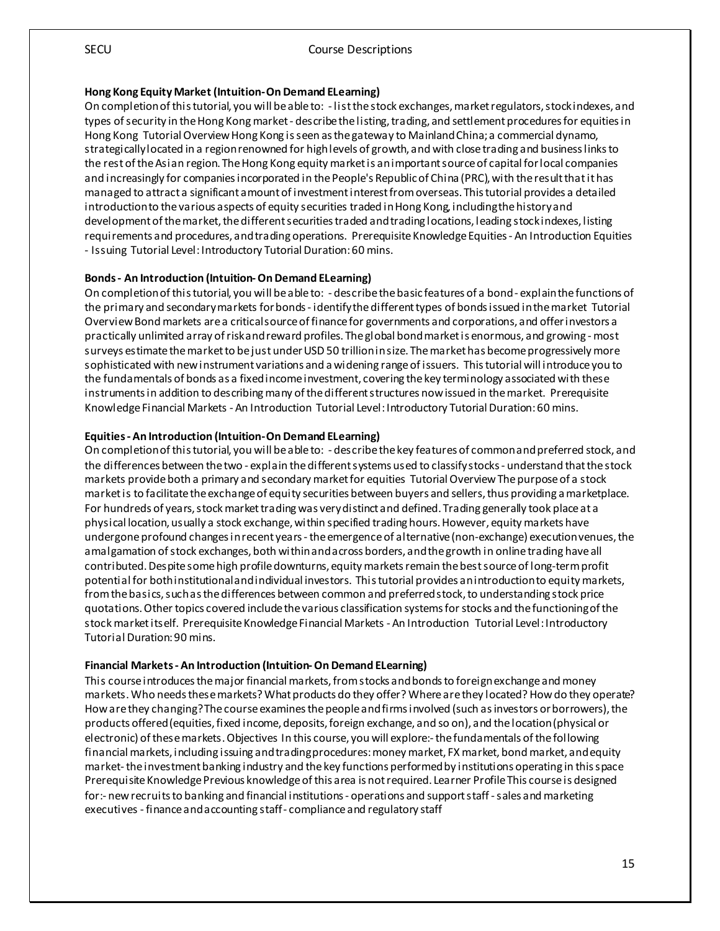#### **Hong Kong Equity Market (Intuition-On Demand ELearning)**

On completion of this tutorial, you will be able to: - list the stock exchanges, market regulators, stock indexes, and types of security in the Hong Kong market - describe the listing, trading, and settlement procedures for equities in Hong Kong Tutorial Overview Hong Kong is seen as the gateway to Mainland China; a commercial dynamo, strategically located in a region renowned for high levels of growth, and with close trading and business links to the rest of the Asian region. The Hong Kong equity market is an important source of capital for local companies and increasingly for companies incorporated in the People's Republic of China (PRC), with the result that it has managed to attract a significant amount of investment interest from overseas. This tutorial provides a detailed introduction to the various aspects of equity securities traded in Hong Kong, including the history and development of the market, the different securities traded and trading locations, leading stock indexes, listing requirements and procedures, and trading operations. Prerequisite Knowledge Equities - An Introduction Equities - Issuing Tutorial Level: Introductory Tutorial Duration: 60 mins.

## **Bonds - An Introduction (Intuition-On Demand ELearning)**

On completion of this tutorial, you will be able to: - describe the basic features of a bond - explain the functions of the primary and secondary markets for bonds - identify the different types of bonds issued in the market Tutorial Overview Bond markets are a critical source of finance for governments and corporations, and offer investors a practically unlimited array of risk and reward profiles. The global bond market is enormous, and growing -most surveys estimate the market to be just under USD 50 trillion in size. The market has become progressively more sophisticated with new instrument variations and a widening range of issuers. This tutorial will introduce you to the fundamentals of bonds as a fixed income investment, covering the key terminology associated with these instruments in addition to describing many of the different structures now issued in the market. Prerequisite Knowledge Financial Markets - An Introduction Tutorial Level: Introductory Tutorial Duration: 60 mins.

## **Equities - An Introduction (Intuition-On Demand ELearning)**

On completion of this tutorial, you will be able to: - describe the key features of common and preferred stock, and the differences between the two - explain the different systems used to classify stocks - understand that the stock markets provide both a primary and secondary market for equities Tutorial Overview The purpose of a stock market is to facilitate the exchangeof equity securities between buyers and sellers, thus providing a marketplace. For hundreds of years, stock market trading was very distinct and defined. Trading generally took place at a physical location, usually a stock exchange, within specified trading hours. However, equity markets have undergone profound changes in recent years -the emergence of alternative (non-exchange) execution venues, the amalgamation of stock exchanges, both within and across borders, and the growth in online trading have all contributed. Despite some high profile downturns, equity markets remain the best source of long-term profit potential for both institutional and individual investors. This tutorial provides an introduction to equity markets, from the basics, such as the differences between common and preferred stock, to understanding stock price quotations. Other topics covered include the various classification systems for stocks and the functioning of the stock market itself. Prerequisite Knowledge Financial Markets - An Introduction Tutorial Level: Introductory Tutorial Duration: 90 mins.

#### **Financial Markets - An Introduction (Intuition-On Demand ELearning)**

This course introduces the major financial markets, from stocks and bonds to foreign exchange and money markets. Who needs these markets? What products do they offer? Where are they located? How do they operate? How are they changing? The course examines the people and firms involved (such as investors or borrowers), the products offered (equities, fixed income, deposits, foreign exchange, and so on), and the location (physical or electronic) of these markets. Objectives In this course, you will explore:-the fundamentals of the following financial markets, including issuing and trading procedures: money market, FX market, bond market, and equity market-the investment banking industry and the key functions performed by institutions operating in this space Prerequisite Knowledge Previous knowledge of this area is not required. Learner Profile This course is designed for:- new recruits to banking and financial institutions - operations and support staff - sales and marketing executives - finance and accounting staff - compliance and regulatory staff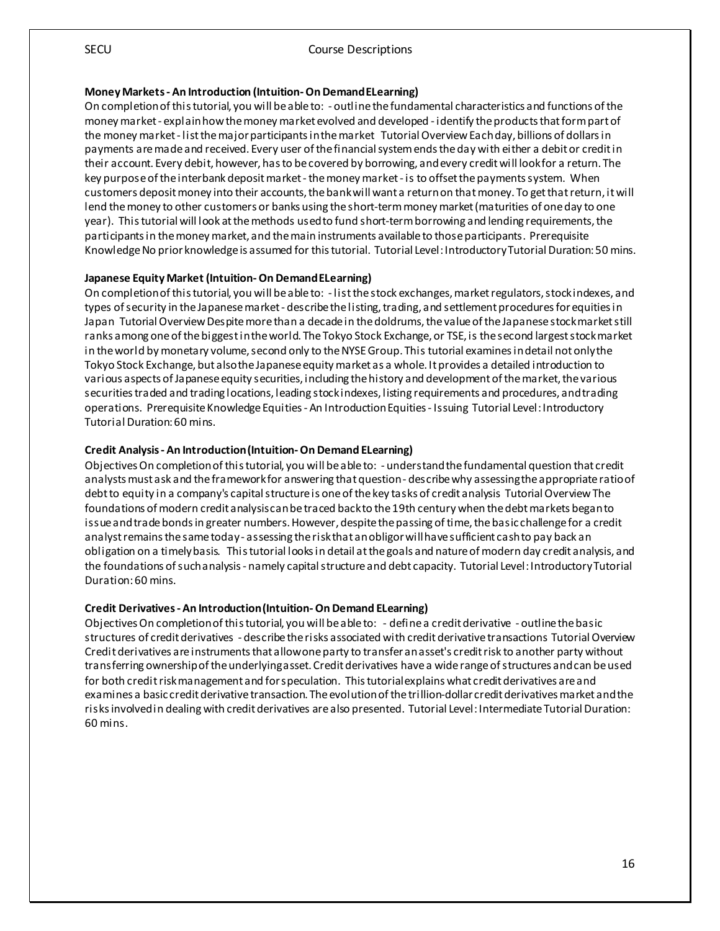#### **Money Markets - An Introduction (Intuition-On Demand ELearning)**

On completion of this tutorial, you will be able to: - outline the fundamental characteristics and functions of the money market - explain how the money market evolved and developed - identify the products that form part of the money market - list the major participants in the market Tutorial Overview Each day, billions of dollars in payments are made and received. Every user of the financial system ends the day with either a debit or credit in their account. Every debit, however, has to be covered by borrowing, and every credit will look for a return. The key purpose of the interbank deposit market - the money market - is to offset the payments system. When customers deposit money into their accounts, the bank will want a return on that money. To get that return, it will lend the money to other customers or banks using the short-term money market (maturities of one day to one year). This tutorial will look at the methods used to fund short-term borrowing and lending requirements, the participants in the money market, and the main instruments available to those participants. Prerequisite Knowledge No prior knowledge is assumed for this tutorial. Tutorial Level: Introductory Tutorial Duration: 50 mins.

#### **Japanese Equity Market (Intuition-On Demand ELearning)**

On completion of this tutorial, you will be able to: - list the stock exchanges, market regulators, stock indexes, and types of security in the Japanese market - describe the listing, trading, and settlement procedures for equities in Japan Tutorial Overview Despite more than a decade in the doldrums, the value of the Japanese stock market still ranks among one of the biggest in the world. The Tokyo Stock Exchange, or TSE, is the second largest stock market in the world by monetary volume, second only to the NYSE Group. This tutorial examines in detail not only the Tokyo Stock Exchange, but also the Japanese equity market as a whole. It provides a detailed introduction to various aspects of Japanese equity securities, including the history and development of the market, the various securities traded and trading locations, leading stock indexes, listing requirements and procedures, and trading operations. Prerequisite Knowledge Equities - An Introduction Equities - Issuing Tutorial Level: Introductory Tutorial Duration: 60 mins.

#### **Credit Analysis - An Introduction (Intuition-On Demand ELearning)**

Objectives On completion of this tutorial, you will be able to: - understand the fundamental question that credit analysts must ask and the framework for answering that question - describe why assessing the appropriate ratio of debt to equity in a company's capital structure is one of the key tasks of credit analysis Tutorial Overview The foundations of modern credit analysis can be traced back to the 19th century when the debt markets began to issue and trade bonds in greater numbers. However, despite the passing of time, the basic challenge for a credit analyst remains the same today - assessing the risk that an obligor will have sufficient cash to pay back an obligation on a timely basis. This tutorial looks in detail at the goals and nature of modern day credit analysis, and the foundations of such analysis - namely capital structure and debt capacity. Tutorial Level: Introductory Tutorial Duration: 60 mins.

#### **Credit Derivatives - An Introduction (Intuition-On Demand ELearning)**

Objectives On completion of this tutorial, you will be able to: - define a credit derivative - outline the basic structures of credit derivatives - describe the risks associated with credit derivative transactions Tutorial Overview Credit derivatives are instruments that allow one party to transfer an asset's credit risk to another party without transferring ownership of the underlying asset. Credit derivatives have a wide range of structures and can be used for both credit risk management and for speculation. This tutorial explains what credit derivatives are and examines a basic credit derivative transaction. The evolution of the trillion-dollar credit derivatives market and the risks involved in dealing with credit derivatives are also presented. Tutorial Level: Intermediate Tutorial Duration: 60 mins.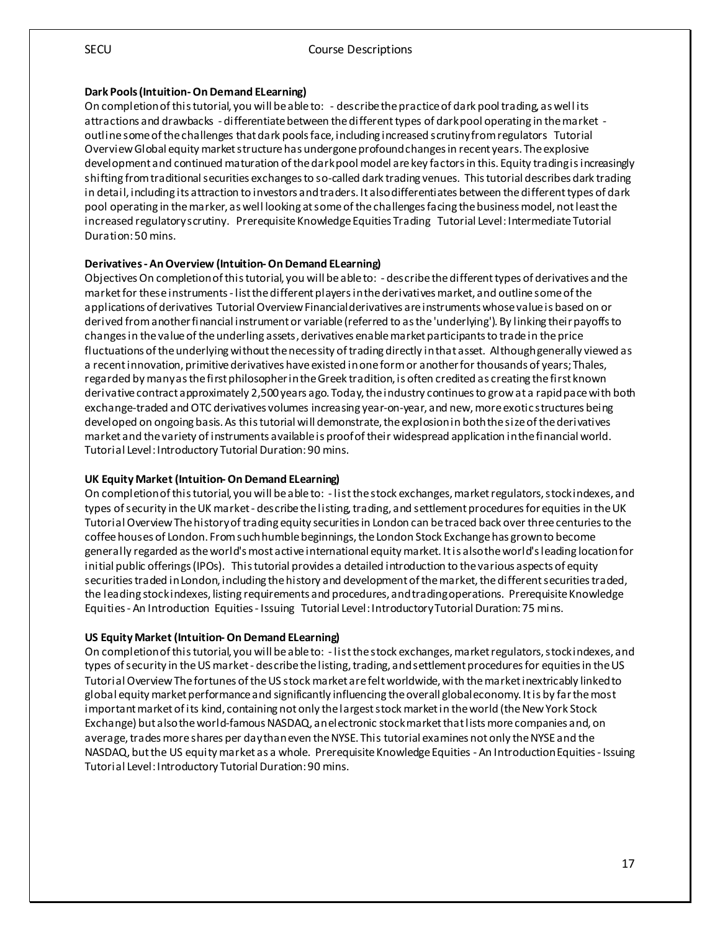#### **Dark Pools (Intuition-On Demand ELearning)**

On completion of this tutorial, you will be able to: - describe the practice of dark pool trading, as well its attractions and drawbacks - differentiate between the different types of dark pool operating in the market outline some of the challenges that dark pools face, including increased scrutiny from regulators Tutorial Overview Global equity market structure has undergone profound changes in recent years. The explosive development and continued maturation of the dark pool model are key factors in this. Equity trading is increasingly shifting from traditional securities exchanges to so-called dark trading venues. This tutorial describes dark trading in detail, including its attraction to investors and traders. It also differentiates between the different types of dark pool operating in the marker, as well looking at some of the challenges facing the business model, not least the increased regulatory scrutiny. Prerequisite Knowledge Equities Trading Tutorial Level: Intermediate Tutorial Duration: 50 mins.

#### **Derivatives - An Overview (Intuition-On Demand ELearning)**

Objectives On completion of this tutorial, you will be able to: - describe the different types of derivatives and the market for these instruments - list the different players in the derivatives market, and outline some of the applications of derivatives Tutorial Overview Financial derivatives are instruments whose value is based on or derived from another financial instrument or variable (referred to as the 'underlying'). By linking their payoffs to changes in the value of the underling assets, derivatives enable market participants to trade in the price fluctuations of the underlying without the necessity of trading directly in that asset. Although generally viewed as a recent innovation, primitive derivatives have existed in one form or another for thousands of years; Thales, regarded by many as the first philosopher in the Greek tradition, is often credited as creating the first known derivative contract approximately 2,500 years ago. Today, the industry continues to grow at a rapid pace with both exchange-traded and OTC derivatives volumes increasing year-on-year, and new, more exotic structures being developed on ongoing basis. As this tutorial will demonstrate, the explosion in both the size of the derivatives market and the variety of instruments available is proof of their widespread application in the financial world. Tutorial Level: Introductory Tutorial Duration: 90 mins.

#### **UK Equity Market (Intuition-On Demand ELearning)**

On completion of this tutorial, you will be able to: - list the stock exchanges, market regulators, stock indexes, and types of security in the UK market - describe the listing, trading, and settlement procedures for equities in the UK Tutorial Overview The history of trading equity securities in London can be traced back over three centuries to the coffee houses of London. From such humble beginnings, the London Stock Exchange has grown to become generally regarded as the world's most active international equity market. It is also the world's leading location for initial public offerings (IPOs). This tutorial provides a detailed introduction to the various aspects of equity securities traded in London, including the history and development of the market, the different securities traded, the leading stock indexes, listing requirements and procedures, and trading operations. Prerequisite Knowledge Equities - An Introduction Equities - Issuing Tutorial Level: Introductory Tutorial Duration: 75 mins.

#### **US Equity Market (Intuition-On Demand ELearning)**

On completion of this tutorial, you will be able to: - list the stock exchanges, market regulators, stock indexes, and types of security in the US market - describe the listing, trading, and settlement procedures for equities in the US Tutorial Overview The fortunes of the US stock market are felt worldwide, with the market inextricably linked to global equity market performance and significantly influencing the overall global economy. It is by far the most important market of its kind, containing not only the largest stock market in the world (the New York Stock Exchange) but also the world-famous NASDAQ, an electronic stock market that lists more companies and, on average, trades more shares per day than even the NYSE. This tutorial examines not only the NYSE and the NASDAQ, but the US equity market as a whole. Prerequisite Knowledge Equities - An Introduction Equities - Issuing Tutorial Level: Introductory Tutorial Duration: 90 mins.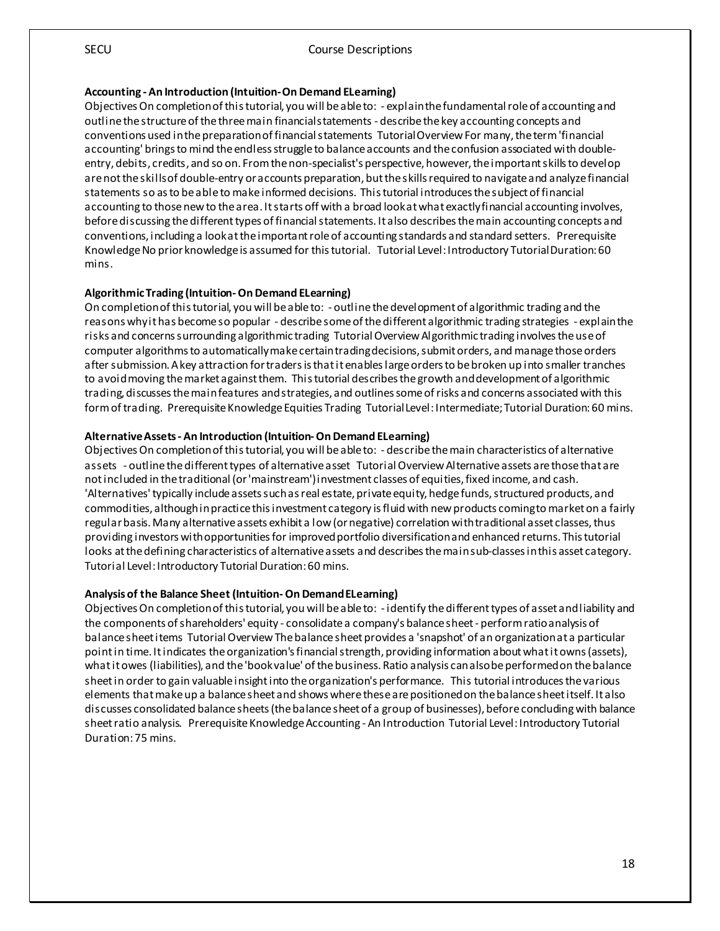#### **Accounting - An Introduction (Intuition-On Demand ELearning)**

Objectives On completion of this tutorial, you will be able to: - explain the fundamental role of accounting and outline the structure of the three main financial statements - describe the key accounting concepts and conventions used in the preparation of financial statements Tutorial Overview For many, the term 'financial accounting' brings to mind the endless struggle to balance accounts and the confusion associated with doubleentry, debits, credits, and so on. From the non-specialist's perspective, however, the important skills to develop are not the skills of double-entry or accounts preparation, but the skills required to navigate and analyze financial statements so as to be able to make informed decisions. This tutorial introduces the subject of financial accounting to those new to the area. It starts off with a broad look at what exactly financial accounting involves, before discussing the different types of financial statements. It also describes the main accounting concepts and conventions, including a look at the important role of accounting standards and standard setters. Prerequisite Knowledge No prior knowledge is assumed for this tutorial. Tutorial Level: Introductory Tutorial Duration: 60 mins.

#### **Algorithmic Trading (Intuition-On Demand ELearning)**

On completion of this tutorial, you will be able to: - outline the development of algorithmic trading and the reasons why it has become so popular - describe some of the different algorithmic trading strategies - explain the risks and concerns surrounding algorithmic trading Tutorial Overview Algorithmic trading involves the use of computer algorithms to automatically make certain trading decisions, submit orders, and manage those orders after submission. A key attraction for traders is thatit enables large orders to be broken up into smaller tranches to avoid moving the market against them. This tutorial describes the growth and development of algorithmic trading, discusses the main features and strategies, and outlines some of risks and concerns associated with this form of trading. Prerequisite Knowledge Equities Trading Tutorial Level: Intermediate; Tutorial Duration: 60 mins.

#### **Alternative Assets - An Introduction (Intuition-On Demand ELearning)**

Objectives On completion of this tutorial, you will be able to: - describe the main characteristics of alternative assets - outline the different types of alternative asset Tutorial Overview Alternative assets are those that are not included in the traditional (or 'mainstream') investment classes of equities, fixed income, and cash. 'Alternatives' typically include assets such as real estate, private equity, hedge funds, structured products, and commodities, although in practice this investment category is fluid with new products coming to market on a fairly regular basis. Many alternative assets exhibit a low (or negative) correlation with traditional asset classes, thus providing investors with opportunities for improved portfolio diversification and enhanced returns. This tutorial looks at the defining characteristics of alternative assets and describes the main sub-classes in this asset category. Tutorial Level: Introductory Tutorial Duration: 60 mins.

#### **Analysis of the Balance Sheet (Intuition-On Demand ELearning)**

Objectives On completion of this tutorial, you will be able to: - identify the different types of asset and liability and the components of shareholders' equity - consolidate a company's balance sheet - perform ratio analysis of balance sheet items Tutorial Overview The balance sheet provides a 'snapshot' of an organization at a particular point in time. It indicates the organization's financial strength, providing information about what it owns (assets), what it owes (liabilities), and the 'book value' of the business. Ratio analysis can also be performed on the balance sheet in order to gain valuable insight into the organization's performance. This tutorial introduces the various elements that make up a balance sheet and shows where these are positioned on the balance sheet itself. It also discusses consolidated balance sheets (the balance sheet of a group of businesses), before concluding with balance sheet ratio analysis. Prerequisite Knowledge Accounting - An Introduction Tutorial Level: Introductory Tutorial Duration: 75 mins.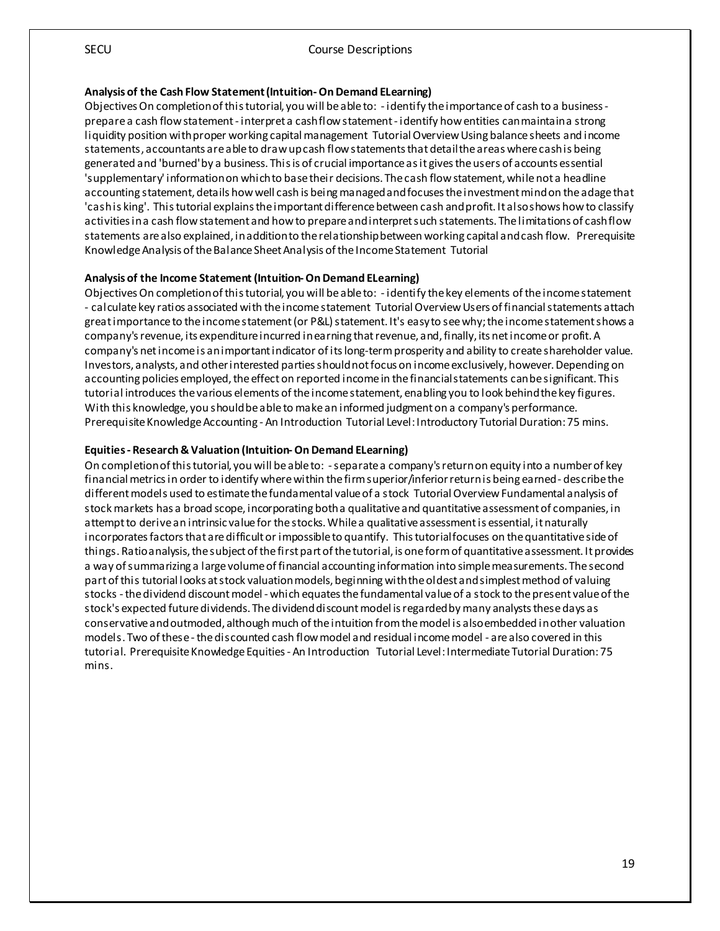#### **Analysis of the Cash Flow Statement (Intuition-On Demand ELearning)**

Objectives On completion of this tutorial, you will be able to: - identify the importance of cash to a business prepare a cash flow statement - interpret a cash flow statement - identify how entities can maintain a strong liquidity position with proper working capital management Tutorial Overview Using balance sheets and income statements, accountants are able to draw up cash flow statements that detail the areas where cash is being generated and 'burned' by a business. This is of crucial importance as it gives the users of accounts essential 'supplementary' information on which to base their decisions. The cash flow statement, while not a headline accounting statement, details how well cash is being managed and focuses the investment mind on the adage that 'cash is king'. This tutorial explains the important difference between cash and profit. It also shows how to classify activities in a cash flow statement and how to prepare and interpret such statements. The limitations of cash flow statements are also explained, in addition to the relationship between working capital and cash flow. Prerequisite Knowledge Analysis of the Balance Sheet Analysis of the Income Statement Tutorial

#### **Analysis of the Income Statement (Intuition-On Demand ELearning)**

Objectives On completion of this tutorial, you will be able to: - identify the key elements of the income statement - calculate key ratios associated with the income statement Tutorial Overview Users of financial statements attach great importance to the income statement (or P&L) statement. It's easy to see why; the income statement shows a company's revenue, its expenditure incurred in earning that revenue, and, finally, its net income or profit. A company's net income is an important indicator of its long-term prosperity and ability to create shareholder value. Investors, analysts, and other interested parties should not focus on income exclusively, however. Depending on accounting policies employed, the effect on reported income in the financial statements can be significant. This tutorial introduces the various elements of the income statement, enabling you to look behind the key figures. With this knowledge, you should be able to make an informed judgment on a company's performance. Prerequisite Knowledge Accounting - An Introduction Tutorial Level: Introductory Tutorial Duration: 75 mins.

#### **Equities - Research & Valuation (Intuition-On Demand ELearning)**

On completionof this tutorial, you will be able to: -separate a company's return on equity into a number of key financial metrics in order to identify where within the firm superior/inferior return is being earned - describe the different models used to estimate thefundamental value of a stock Tutorial Overview Fundamental analysis of stock markets has a broad scope, incorporating both a qualitative and quantitative assessment of companies, in attempt to derive an intrinsic value for the stocks. While a qualitativeassessment is essential, it naturally incorporates factors that are difficult or impossible to quantify. This tutorial focuses on the quantitative side of things. Ratio analysis, the subject of the first part of the tutorial, is one form of quantitative assessment. It provides a way of summarizing a large volume of financial accounting information into simple measurements. The second part of this tutorial looks at stock valuation models, beginning with the oldest and simplest method of valuing stocks -the dividend discount model - which equates the fundamental value of a stock to the present value of the stock's expected future dividends. The dividend discount model is regarded by many analysts these days as conservative and outmoded, although much of theintuition from the model is also embedded in other valuation models. Two of these - the discounted cash flow model and residual income model - are also covered in this tutorial. Prerequisite Knowledge Equities - An Introduction Tutorial Level: Intermediate Tutorial Duration: 75 mins.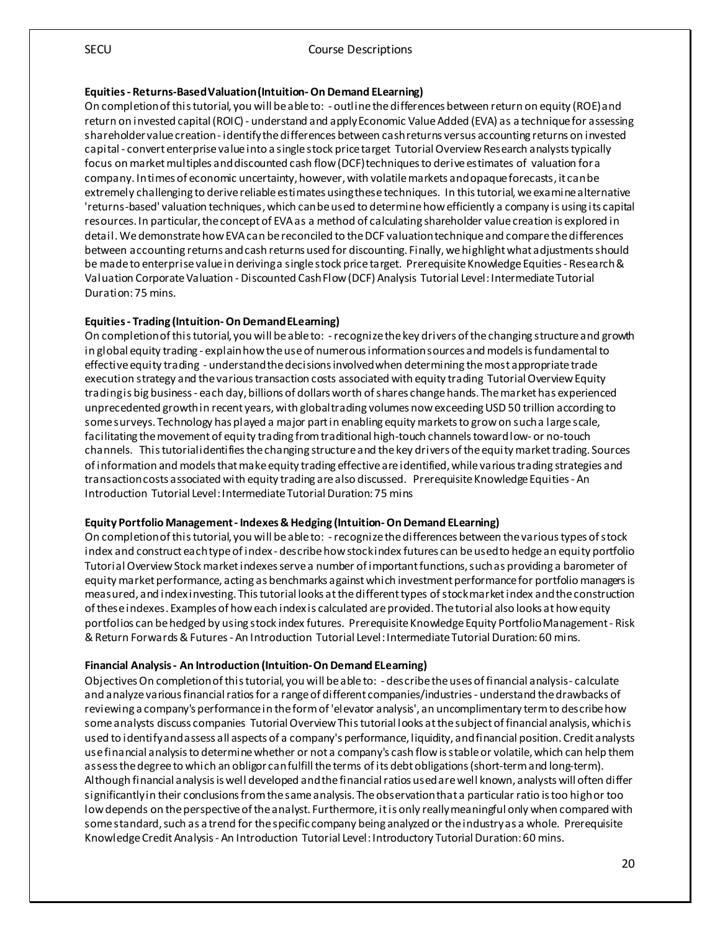#### **Equities - Returns-Based Valuation (Intuition-On Demand ELearning)**

On completion of this tutorial, you will be able to: - outline the differences between return on equity (ROE) and return on invested capital (ROIC) - understand and apply Economic Value Added (EVA) as a technique for assessing shareholder value creation - identify the differences between cash returns versus accounting returns on invested capital - convert enterprise value into a single stock price target Tutorial Overview Research analysts typically focus on market multiples and discounted cash flow (DCF) techniques to derive estimates of valuation for a company. In times of economic uncertainty, however, with volatile markets and opaque forecasts, it can be extremely challenging to derive reliable estimates using these techniques. In this tutorial, we examine alternative 'returns-based' valuation techniques, which can be used to determine how efficiently a company is using its capital resources. In particular, the concept of EVA as a method of calculating shareholder value creation is explored in detail. We demonstrate how EVA can be reconciled to the DCF valuation technique and compare the differences between accounting returns and cash returns used for discounting. Finally, we highlight what adjustments should be made to enterprise value in deriving a single stock price target. Prerequisite Knowledge Equities - Research & Valuation Corporate Valuation - Discounted Cash Flow (DCF) Analysis Tutorial Level: Intermediate Tutorial Duration: 75 mins.

#### **Equities - Trading (Intuition-On Demand ELearning)**

On completion of this tutorial, you will be able to: -recognize the key drivers of the changing structure and growth in global equity trading - explain how the use of numerous information sources and models is fundamental to effective equity trading - understand the decisions involved when determining the most appropriate trade execution strategy and the various transaction costs associated with equity trading Tutorial Overview Equity trading is big business - each day, billions of dollars worth of shares change hands. The market has experienced unprecedented growth in recent years, with global trading volumes now exceeding USD 50 trillion according to some surveys. Technology has played a major part in enabling equity markets to grow on such a large scale, facilitating the movement of equity trading from traditional high-touch channels toward low- or no-touch channels. This tutorial identifies the changing structure and the key drivers of the equity market trading. Sources of information and models that make equity trading effective are identified, while various trading strategies and transaction costs associated with equity trading are also discussed. Prerequisite Knowledge Equities - An Introduction Tutorial Level: Intermediate Tutorial Duration: 75 mins

#### **Equity Portfolio Management - Indexes & Hedging (Intuition-On Demand ELearning)**

On completion of this tutorial, you will be able to: -recognize the differences between the various types of stock index and construct each type of index - describe how stock index futures can be used to hedge an equity portfolio Tutorial Overview Stockmarket indexes serve a number of important functions, such as providing a barometer of equity market performance, acting as benchmarks against which investment performance for portfolio managers is measured, and index investing. This tutorial looks at thedifferent types of stock market index and the construction of these indexes. Examples of how each index is calculated are provided. The tutorial also looks at how equity portfolios can be hedged by using stock index futures. Prerequisite Knowledge Equity Portfolio Management - Risk & Return Forwards & Futures - An Introduction Tutorial Level: Intermediate Tutorial Duration: 60 mins.

#### **Financial Analysis - An Introduction (Intuition-On Demand ELearning)**

Objectives On completion of this tutorial, you will be able to: - describe the uses of financial analysis - calculate and analyze various financial ratios for a range of different companies/industries - understand the drawbacks of reviewing a company's performance in the form of 'elevator analysis', an uncomplimentary term to describe how some analysts discuss companies Tutorial Overview This tutorial looks at the subject of financial analysis, which is used to identify and assess all aspects of a company's performance, liquidity, and financial position. Credit analysts use financial analysis to determine whether or not a company's cash flow is stable or volatile, which can help them assess the degree to which an obligor can fulfill the terms of its debt obligations (short-term and long-term). Although financial analysis is well developed and the financial ratios used are well known, analysts will often differ significantly in their conclusions from the same analysis. The observation that a particular ratio is too high or too low depends on the perspectiveof the analyst. Furthermore, it is only really meaningful only when compared with some standard, such as a trend for the specific company being analyzed or the industry as a whole. Prerequisite Knowledge Credit Analysis - An Introduction Tutorial Level:Introductory Tutorial Duration: 60 mins.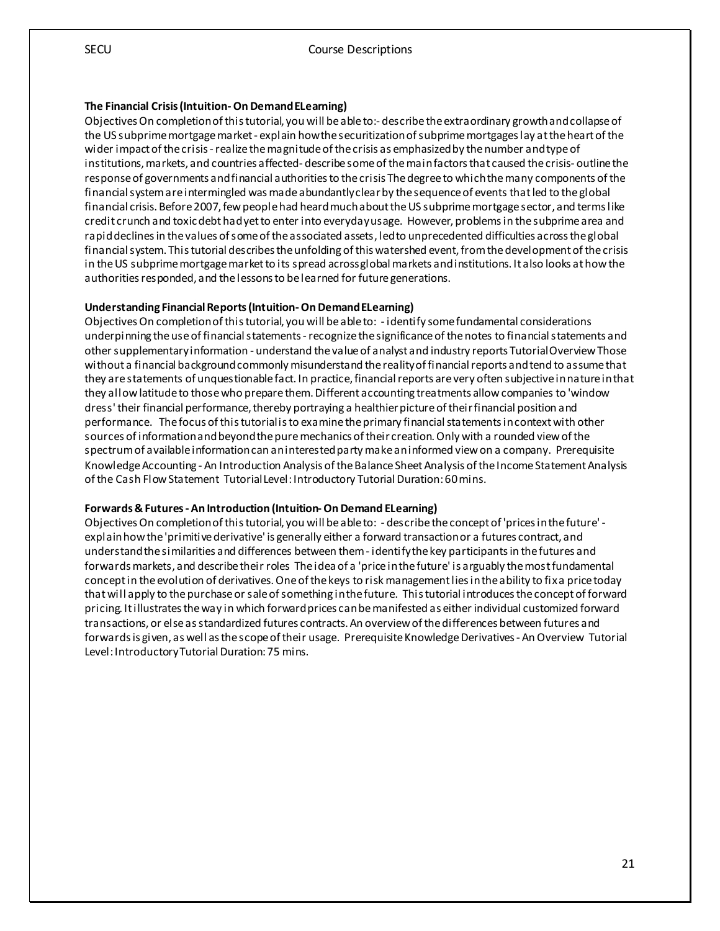#### **The Financial Crisis (Intuition-On Demand ELearning)**

Objectives On completion of this tutorial, you will be able to:- describe the extraordinary growth and collapse of the US subprime mortgage market - explain how the securitization of subprime mortgages lay at the heart of the wider impact of the crisis -realize the magnitude of the crisis as emphasized by the number and type of institutions, markets, and countries affected- describe some of the main factors that caused the crisis- outline the response of governments and financial authorities to the crisis The degree to which the many components of the financial system are intermingled was made abundantly clear by the sequence of events that led to the global financial crisis. Before 2007, few people had heard much about the US subprime mortgage sector, and terms like credit crunch and toxic debt had yet to enter into everyday usage. However, problems in the subprime area and rapid declines in the values of someof the associated assets, led to unprecedented difficulties across the global financial system. This tutorial describes the unfolding of this watershed event, from the development of the crisis in the US subprime mortgage market to its spread across global markets and institutions. It also looks at how the authorities responded, and the lessons to be learned for future generations.

#### **Understanding Financial Reports (Intuition-On Demand ELearning)**

Objectives On completion of this tutorial, you will be ableto: - identify some fundamental considerations underpinning the use of financial statements -recognize the significance of the notes to financial statements and other supplementary information - understand the value of analyst and industry reports Tutorial Overview Those without a financial background commonly misunderstand the reality of financial reports and tend to assume that they are statements of unquestionable fact. In practice, financial reports are very often subjective in nature in that they allow latitude to those who prepare them. Different accounting treatments allow companies to 'window dress' their financial performance, thereby portraying a healthier picture of their financial position and performance. The focus of this tutorial is to examine the primary financial statements in context with other sources of information and beyond the pure mechanics of their creation. Only with a rounded view of the spectrum of available information can an interested party make an informed view on a company. Prerequisite Knowledge Accounting - An Introduction Analysis of the Balance Sheet Analysis of the Income Statement Analysis of the Cash Flow Statement Tutorial Level: Introductory Tutorial Duration: 60 mins.

#### **Forwards & Futures - An Introduction (Intuition-On Demand ELearning)**

Objectives On completion of this tutorial, you will be able to: - describe the concept of 'prices in the future' explain how the 'primitive derivative' is generally either a forward transaction or a futures contract, and understand the similarities and differences between them - identify the key participants in the futures and forwards markets, and describe their roles The idea of a 'price in the future' is arguably the most fundamental concept in the evolution of derivatives. One of the keys to risk management lies in the ability to fix a price today that will apply to the purchase or sale of something in the future. This tutorial introduces the concept of forward pricing. It illustrates the way in which forward prices can be manifested as either individual customized forward transactions, or else as standardized futures contracts. An overview of the differences between futures and forwards is given, as well as the scope of their usage. Prerequisite Knowledge Derivatives - An Overview Tutorial Level: Introductory Tutorial Duration: 75 mins.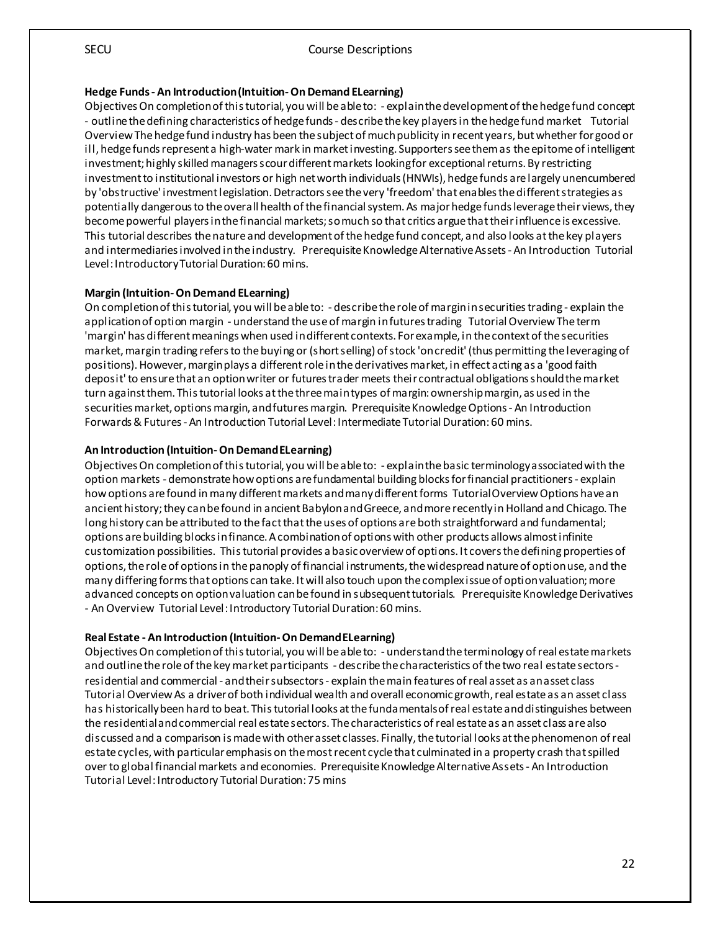#### **Hedge Funds - An Introduction (Intuition-On Demand ELearning)**

Objectives On completion of this tutorial, you will be able to: - explain the development of the hedge fund concept - outline the defining characteristics of hedge funds - describe the key players in the hedge fund market Tutorial Overview The hedge fund industry has been the subject of much publicity in recent years, but whether for good or ill, hedge funds represent a high-water mark in market investing. Supporters see them as the epitome of intelligent investment; highly skilled managers scour different markets looking for exceptional returns. By restricting investment to institutional investors or high net worth individuals (HNWIs), hedge funds are largely unencumbered by 'obstructive' investment legislation. Detractors see the very 'freedom' that enables the different strategies as potentially dangerous to the overall health of the financial system. As major hedge funds leverage their views, they become powerful players in the financial markets; so much so that critics argue that their influence is excessive. This tutorial describes the nature and development of the hedge fund concept, and also looks at the key players and intermediaries involved in the industry. Prerequisite Knowledge Alternative Assets - An Introduction Tutorial Level: Introductory Tutorial Duration: 60 mins.

#### **Margin (Intuition-On Demand ELearning)**

On completion of this tutorial, you will be able to: - describe the role of margin in securities trading - explain the application of option margin - understand the use of margin in futures trading Tutorial Overview The term 'margin' has different meanings when used in different contexts. For example, in the context of the securities market, margin trading refers to the buying or (short selling) of stock 'on credit' (thus permitting the leveraging of positions). However, margin plays a different role in the derivatives market, in effect acting as a 'good faith deposit' to ensure that an option writer or futures trader meets their contractual obligations should the market turn against them. This tutorial looks at the three main types of margin: ownership margin, as used in the securities market, options margin, and futures margin. Prerequisite Knowledge Options - An Introduction Forwards & Futures - An Introduction Tutorial Level: Intermediate Tutorial Duration: 60 mins.

#### **An Introduction (Intuition-On Demand ELearning)**

Objectives On completion of this tutorial, you will be able to: - explain the basic terminology associated with the option markets - demonstrate how options are fundamental building blocks for financial practitioners - explain how options are found in many different markets and many different forms Tutorial Overview Options have an ancient history; they can be found in ancient Babylon and Greece, and more recently in Holland and Chicago. The long history can be attributed to the fact that the uses of options are both straightforward and fundamental; options are building blocks in finance. A combination of options with other products allows almost infinite customization possibilities. This tutorial provides a basic overview of options. It covers the defining properties of options, the role of options in the panoply of financial instruments, the widespread nature of option use, and the many differing forms that options can take. It will also touch upon the complex issue of option valuation; more advanced concepts on option valuation can be found in subsequent tutorials. Prerequisite Knowledge Derivatives - An Overview Tutorial Level: Introductory Tutorial Duration: 60 mins.

#### **Real Estate - An Introduction (Intuition-On Demand ELearning)**

Objectives On completion of this tutorial, you will be able to: - understand the terminology of real estate markets and outline the role of the key market participants - describe the characteristics of the two real estate sectors residential and commercial - and their subsectors - explain the main features of real asset as an asset class Tutorial Overview As a driver of both individual wealth and overall economic growth, real estate as an asset class has historically been hard to beat. This tutorial looks at the fundamentals of real estate and distinguishes between the residential and commercial real estate sectors. The characteristics of real estate as an asset class are also discussed and a comparison is made with other asset classes. Finally, the tutorial looks at the phenomenon of real estate cycles, with particular emphasis on the most recent cycle that culminated in a property crash that spilled over to global financial markets and economies. Prerequisite Knowledge Alternative Assets - An Introduction Tutorial Level: Introductory Tutorial Duration: 75 mins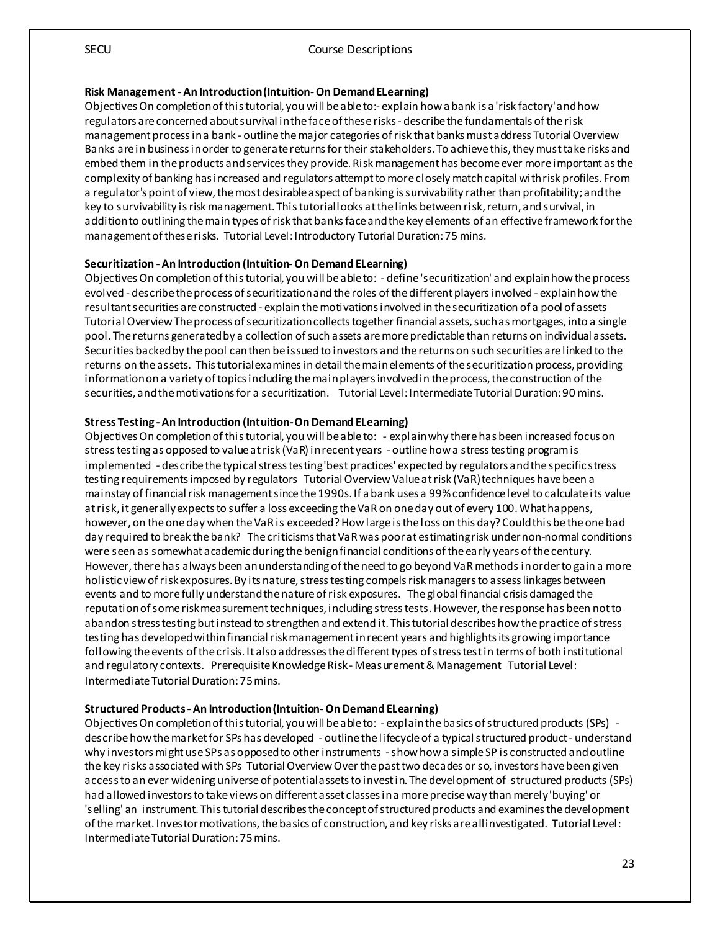#### **Risk Management - An Introduction (Intuition-On Demand ELearning)**

Objectives On completion of this tutorial, you will be able to:- explain how a bank is a 'risk factory' and how regulators are concerned about survival in the face of these risks - describe thefundamentals of the risk management process in a bank - outline the major categories of risk that banks must address Tutorial Overview Banks are in business in order to generate returns for their stakeholders. To achieve this, they must take risks and embed them in the products and services they provide. Risk management has become ever more important as the complexity of banking has increased and regulators attempt to more closely match capital with risk profiles. From a regulator's point of view, the most desirable aspect of banking is survivability rather than profitability; and the key to survivability is risk management. This tutorial looks at the links between risk, return, and survival, in addition to outlining the main types of risk that banks face and the key elements of an effective framework for the management of these risks. Tutorial Level: Introductory Tutorial Duration: 75 mins.

#### **Securitization - An Introduction (Intuition-On Demand ELearning)**

Objectives On completion of this tutorial, you will be able to: - define 'securitization' and explain how the process evolved - describe the process of securitization and the roles of the different players involved - explain how the resultant securities are constructed - explain the motivations involved in the securitization of a pool of assets Tutorial Overview The process of securitization collects together financial assets, such as mortgages, into a single pool. The returns generated by a collection of such assets are more predictable than returns on individual assets. Securities backed by the pool can then be issued to investors and the returns on such securities are linked to the returns on the assets. This tutorial examines in detail the main elements of the securitization process, providing information on a variety of topics including the main players involved in the process, the construction of the securities, and the motivations for a securitization. Tutorial Level: Intermediate Tutorial Duration: 90 mins.

#### **Stress Testing - An Introduction (Intuition-On Demand ELearning)**

Objectives On completion of this tutorial, you will be able to: - explain why there has been increased focus on stress testing as opposed to value at risk (VaR) in recent years - outline how a stress testing program is implemented - describe the typical stress testing 'best practices' expected by regulators and the specific stress testing requirements imposed by regulators Tutorial Overview Value at risk (VaR) techniques have been a mainstay of financial risk managementsince the 1990s. If a bank uses a 99% confidence level to calculate its value at risk, it generally expects to suffer a loss exceeding the VaR on one day out of every 100. What happens, however, on the one day when the VaR is exceeded? How large is the loss on this day? Could this be the one bad day required to break the bank? The criticisms that VaR was poor at estimating risk under non-normal conditions were seen as somewhat academic during the benign financial conditions of the early years of the century. However, there has always been an understanding of the need to go beyond VaR methods in order to gain a more holistic view of risk exposures. By its nature, stress testing compels risk managers to assess linkages between events and to more fully understand the nature of risk exposures. The global financial crisis damaged the reputation of some risk measurement techniques, including stress tests. However, the response has been not to abandon stress testing but instead to strengthen and extend it. Thistutorial describes how the practice of stress testing has developed within financial risk management in recent years and highlights its growing importance following the events of the crisis. It also addresses the different types of stress test in terms of both institutional and regulatory contexts. Prerequisite Knowledge Risk - Measurement & Management Tutorial Level: Intermediate Tutorial Duration: 75 mins.

#### **Structured Products - An Introduction (Intuition-On Demand ELearning)**

Objectives On completion of this tutorial, you will be able to: - explain the basics of structured products (SPs) describe how the market for SPs has developed - outline the lifecycle of a typical structured product - understand why investors might use SPs as opposed to other instruments -show how a simple SP is constructed and outline the key risks associated with SPs Tutorial Overview Over the past two decades or so, investors have been given access to an ever widening universe of potential assets to invest in. The development of structured products (SPs) had allowed investors to take views on different asset classes in a more precise way than merely 'buying' or 'selling' an instrument. This tutorial describes the concept of structured products and examines the development of the market. Investor motivations, the basics of construction, and key risks are all investigated. Tutorial Level: Intermediate Tutorial Duration: 75 mins.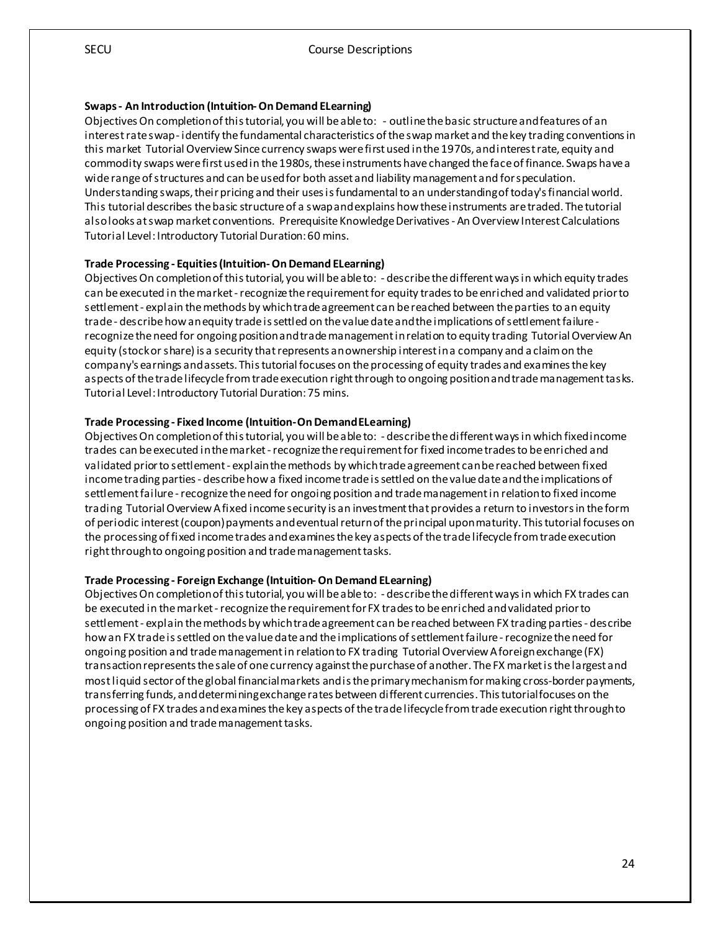#### **Swaps - An Introduction (Intuition-On Demand ELearning)**

Objectives On completion of this tutorial, you will be able to: - outline the basic structure and features of an interest rate swap - identify the fundamental characteristics of the swap market and the key trading conventions in this market Tutorial Overview Since currency swaps werefirst used in the 1970s, and interest rate, equity and commodity swaps were first used in the 1980s, these instruments have changed the face of finance. Swaps have a wide range of structures and can be used for both asset and liability management and for speculation. Understanding swaps, their pricing and their uses is fundamental to an understanding of today's financial world. This tutorial describes the basic structure of a swap and explains how these instruments are traded. The tutorial also looks at swap market conventions. Prerequisite Knowledge Derivatives - An Overview Interest Calculations Tutorial Level: Introductory Tutorial Duration: 60 mins.

#### **Trade Processing - Equities (Intuition-On Demand ELearning)**

Objectives On completion of this tutorial, you will be able to: - describe the different ways in which equity trades can be executed in the market -recognize the requirement for equity trades to be enriched and validated prior to settlement - explain the methods by which trade agreement can bereached between the parties to an equity trade - describe how an equity trade is settled on the value date and the implications of settlement failure recognize the need for ongoing position and trade management in relation to equity trading Tutorial Overview An equity (stock or share) is a security that represents an ownership interest in a company and a claim on the company's earnings and assets. This tutorial focuses on the processing of equity trades and examines the key aspects of the trade lifecycle from trade execution right through to ongoing position and trade management tasks. Tutorial Level: Introductory Tutorial Duration: 75 mins.

#### **Trade Processing - Fixed Income (Intuition-On Demand ELearning)**

Objectives On completion of this tutorial, you will be able to: - describe the different ways in which fixed income trades can be executed in the market -recognize the requirement for fixed income trades to be enriched and validated prior to settlement - explain the methods by which trade agreement can be reached between fixed income trading parties - describe how a fixed income trade is settled on the value date and the implications of settlement failure -recognize the need for ongoing position and trade management in relation to fixed income trading Tutorial Overview A fixed income security is an investment that provides a return to investors in the form of periodic interest (coupon) payments and eventual return of the principal upon maturity. This tutorial focuses on the processing of fixed income trades and examines the key aspects of the trade lifecycle from trade execution right through to ongoing position and trade management tasks.

#### **Trade Processing - Foreign Exchange (Intuition-On Demand ELearning)**

Objectives On completion of this tutorial, you will be able to: - describe the different ways in which FX trades can be executed in the market -recognize the requirement for FX trades to be enriched and validated prior to settlement - explain the methods by which trade agreement can be reached between FX trading parties - describe how an FX trade is settled on the value date and the implications of settlement failure -recognize the need for ongoing position and trade management in relation to FX trading Tutorial Overview A foreign exchange (FX) transaction represents the sale of one currency against the purchase of another. The FX market is the largest and most liquid sector of the global financial markets and is the primary mechanism for making cross-border payments, transferring funds, and determining exchange rates between different currencies. This tutorial focuses on the processing of FX trades and examines the key aspects of the trade lifecycle from trade execution right through to ongoing position and trade management tasks.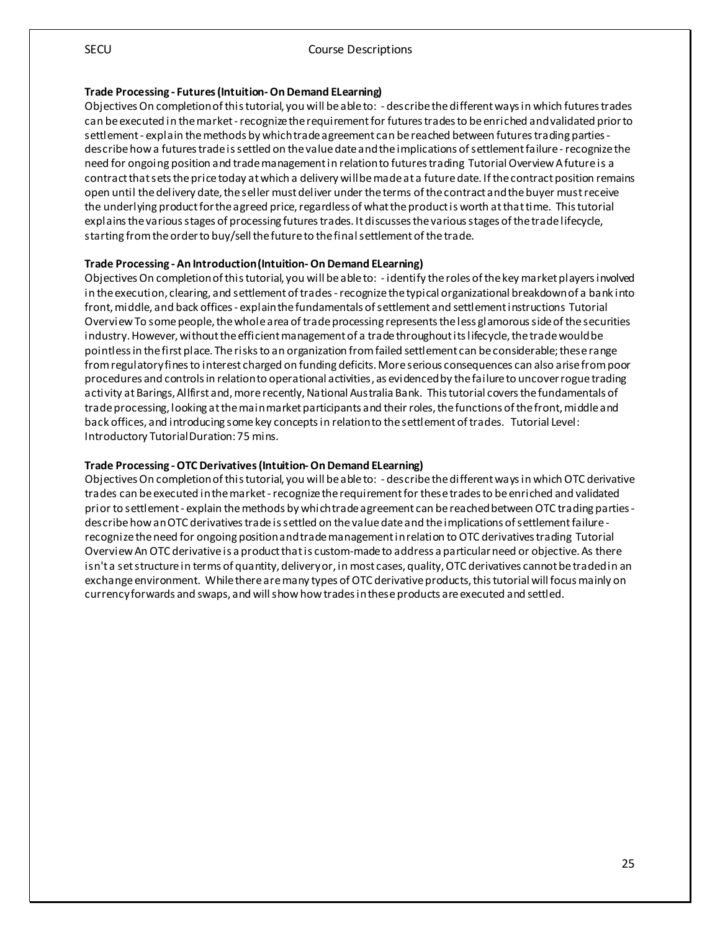#### **Trade Processing - Futures (Intuition-On Demand ELearning)**

Objectives On completion of this tutorial, you will be able to: - describe the different ways in which futures trades can be executed in the market -recognize the requirement for futures trades to be enriched and validated prior to settlement - explain the methods by which trade agreement can be reached between futures trading parties describe how a futures trade is settled on the value date and the implications of settlement failure -recognize the need for ongoing position and trade management in relation to futures trading Tutorial Overview A future is a contract that sets the price today at which a delivery will be made at a future date. If the contract position remains open until the delivery date, the seller must deliver under the terms of the contract and the buyer must receive the underlying product for the agreed price, regardless of what the product is worth at that time. This tutorial explains the various stages of processing futures trades. It discusses the various stages of the trade lifecycle, starting from the order to buy/sell the future to the final settlement of the trade.

#### **Trade Processing - An Introduction (Intuition-On Demand ELearning)**

Objectives On completion of this tutorial, you will be able to: - identify the roles of the key market players involved in the execution, clearing, and settlement of trades -recognize the typical organizational breakdown of a bank into front, middle, and back offices - explain the fundamentals of settlement and settlement instructions Tutorial Overview To some people, the whole area of trade processing represents the less glamorous side of the securities industry. However, without the efficient management of a trade throughout its lifecycle, the trade would be pointless in the first place. The risks to an organization from failed settlement can be considerable; these range from regulatory fines to interest charged on funding deficits. More serious consequences can also arise from poor procedures and controls in relation to operational activities, as evidenced by the failure to uncover rogue trading activity at Barings, Allfirst and, more recently, National Australia Bank. This tutorial covers the fundamentals of trade processing, looking at the main market participants and their roles, the functions of the front, middle and back offices, and introducing some key concepts in relation to the settlement of trades. Tutorial Level: Introductory Tutorial Duration: 75 mins.

#### **Trade Processing -OTC Derivatives (Intuition-On Demand ELearning)**

Objectives On completion of this tutorial, you will be able to: - describe the different ways in which OTC derivative trades can be executed in the market -recognize the requirement for these trades to be enriched and validated prior to settlement - explain the methods by which trade agreement can be reached between OTC trading parties describe how an OTC derivatives trade is settled on the value date and the implications of settlement failure recognize the need for ongoing position and trade management in relation to OTC derivatives trading Tutorial Overview An OTC derivative is a product that is custom-made to address a particular need or objective. As there isn't a set structure in terms of quantity, delivery or, in most cases, quality, OTC derivatives cannot be traded in an exchange environment. While there are many types of OTC derivative products, this tutorial will focus mainly on currency forwards and swaps, and will show how trades in these products are executed and settled.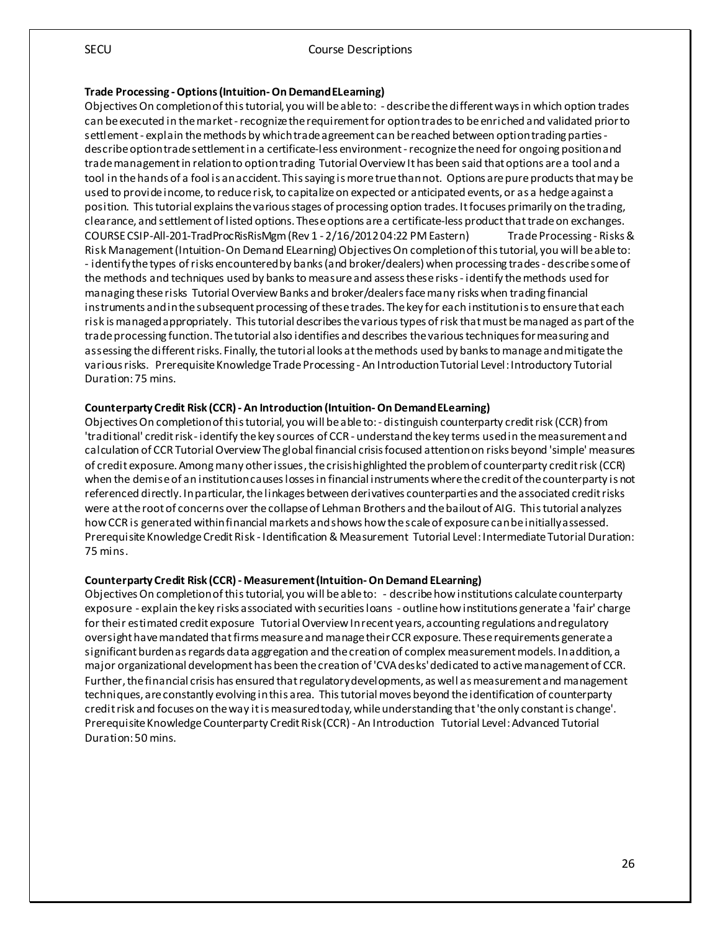#### **Trade Processing -Options (Intuition-On Demand ELearning)**

Objectives On completion of this tutorial, you will be able to: - describe the different ways in which option trades can be executed in the market -recognize the requirement for option trades to be enriched and validated prior to settlement - explain themethods by which trade agreement can be reached between option trading parties describe option trade settlement in a certificate-less environment -recognize the need for ongoing position and trade management in relation to option trading Tutorial Overview It has been said that options are a tool and a tool in the hands of a fool is an accident. This saying is more true than not. Options are pure products that may be used to provide income, to reduce risk, to capitalize on expected or anticipated events, or as a hedge against a position. This tutorial explains the various stages of processing option trades. It focuses primarily on the trading, clearance, and settlement of listed options. These options are a certificate-less product that trade on exchanges. COURSE CSIP-All-201-TradProcRisRisMgm (Rev 1 - 2/16/2012 04:22 PM Eastern) Trade Processing - Risks & Risk Management (Intuition-On Demand ELearning)Objectives On completion of this tutorial, you will be able to: - identify the types of risks encountered by banks (and broker/dealers) when processing trades - describe some of the methods and techniques used by banks to measure and assess these risks - identify the methods used for managing these risks Tutorial Overview Banks and broker/dealers face many risks when trading financial instruments and in the subsequent processing of these trades. The key for each institution is to ensure that each risk is managed appropriately. This tutorial describes the various types of risk that must be managed as part of the trade processing function. The tutorial also identifies and describes the various techniques for measuring and assessing the different risks. Finally, the tutorial looks at the methods used by banks to manage and mitigate the various risks. Prerequisite Knowledge Trade Processing - An Introduction Tutorial Level: Introductory Tutorial Duration: 75 mins.

#### **Counterparty Credit Risk (CCR) - An Introduction (Intuition-On Demand ELearning)**

Objectives On completion of this tutorial, you will be able to: - distinguish counterparty credit risk (CCR) from 'traditional' credit risk - identify the key sources of CCR - understand the key terms used in the measurement and calculation of CCR Tutorial Overview The global financial crisis focused attention on risks beyond 'simple' measures of credit exposure. Among many other issues, the crisis highlighted the problem of counterparty credit risk (CCR) when the demise of an institution causes losses in financial instruments where the credit of the counterparty is not referenced directly. In particular, the linkages between derivatives counterparties and the associated credit risks were at the root of concerns over the collapse of Lehman Brothers and the bailout of AIG. This tutorial analyzes how CCR is generated within financial markets and shows how the scale of exposure can be initially assessed. Prerequisite Knowledge Credit Risk - Identification & Measurement Tutorial Level: Intermediate Tutorial Duration: 75 mins.

#### **Counterparty Credit Risk (CCR) - Measurement (Intuition-On Demand ELearning)**

Objectives On completion of this tutorial, you will be able to: - describe how institutions calculate counterparty exposure - explain the key risks associated with securities loans - outline how institutions generate a 'fair' charge for their estimated credit exposure Tutorial Overview In recent years, accounting regulations and regulatory oversight have mandated that firms measure and manage their CCR exposure. These requirements generate a significant burden as regards data aggregation and the creation of complex measurement models. In addition, a major organizational development has been the creation of 'CVA desks' dedicated to active management of CCR. Further, the financial crisis has ensured that regulatory developments, as well as measurement and management techniques, are constantly evolving in this area. This tutorial moves beyond the identification of counterparty credit risk and focuses on the way it is measured today, while understanding that 'the only constant is change'. Prerequisite Knowledge Counterparty Credit Risk (CCR) - An Introduction Tutorial Level: Advanced Tutorial Duration: 50 mins.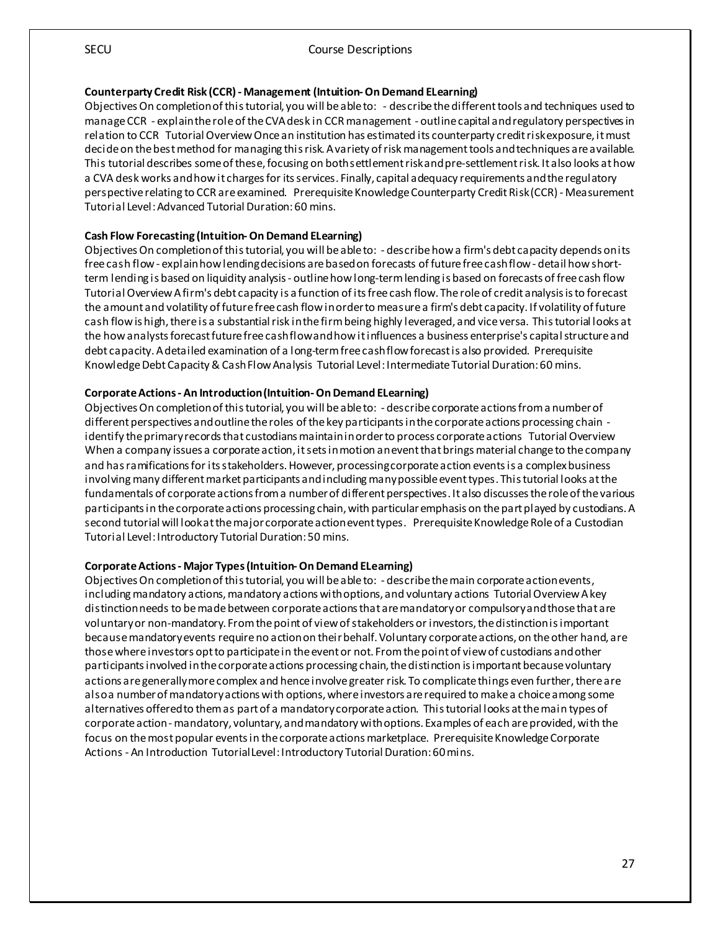#### **Counterparty Credit Risk (CCR) - Management (Intuition-On Demand ELearning)**

Objectives On completion of this tutorial, you will be able to: - describe the different tools and techniques used to manage CCR - explain the role of the CVA desk in CCR management - outline capital and regulatory perspectives in relation to CCR Tutorial Overview Once an institution has estimated its counterparty credit risk exposure, it must decide on the best method for managing this risk. A variety of risk management tools and techniques are available. This tutorial describes some of these, focusing on both settlement riskand pre-settlement risk. It also looks at how a CVA desk works and how it charges for its services. Finally, capital adequacy requirements and the regulatory perspective relating to CCR are examined. Prerequisite Knowledge Counterparty Credit Risk (CCR) - Measurement Tutorial Level: Advanced Tutorial Duration: 60 mins.

#### **Cash Flow Forecasting (Intuition-On Demand ELearning)**

Objectives On completion of this tutorial, you will be able to: - describe how a firm's debt capacity depends on its free cash flow - explain how lending decisions are based on forecasts of future free cash flow - detail how shortterm lending is based on liquidity analysis - outline how long-term lending is based on forecasts of free cash flow Tutorial Overview A firm's debt capacity is a function of its free cash flow. The role of credit analysis is to forecast the amount and volatility of future free cash flow in order to measure a firm's debt capacity. If volatility of future cash flow is high, there is a substantial risk in the firm being highly leveraged, and vice versa. This tutorial looks at the how analysts forecast future free cash flow and how it influences a business enterprise's capital structure and debt capacity. A detailed examination of a long-term free cash flow forecast is also provided. Prerequisite Knowledge Debt Capacity & Cash Flow Analysis Tutorial Level: Intermediate Tutorial Duration: 60 mins.

#### **Corporate Actions - An Introduction (Intuition-On Demand ELearning)**

Objectives On completion of this tutorial, you will be able to: - describe corporate actions from a number of different perspectives and outline the roles of the key participants in the corporate actions processing chain identify the primary records that custodians maintain in order to process corporate actions Tutorial Overview When a company issues a corporate action, it sets in motion an event that brings material change to the company and has ramifications for its stakeholders. However, processing corporate action events is a complex business involving many different market participants and including many possible event types. This tutorial looks at the fundamentals of corporate actions from a number of different perspectives. It also discusses the role of the various participants in the corporate actions processing chain, with particular emphasis on the part played by custodians. A second tutorial will look at the major corporate action event types. Prerequisite Knowledge Role of a Custodian Tutorial Level: Introductory Tutorial Duration: 50 mins.

#### **Corporate Actions - Major Types (Intuition-On Demand ELearning)**

Objectives On completion of this tutorial, you will be able to: - describe the main corporate action events, including mandatory actions, mandatory actions with options, and voluntary actions Tutorial Overview A key distinction needs to be made between corporate actions that are mandatory or compulsory and those that are voluntary or non-mandatory. From the point of view of stakeholders or investors, the distinction is important because mandatory events require no action on their behalf. Voluntary corporate actions, on the other hand, are those where investors opt to participate in the event or not. From the point of view of custodians and other participants involved in the corporate actions processing chain, the distinction is important because voluntary actions are generally more complex and hence involve greater risk. To complicate things even further, there are also a number of mandatory actions with options, where investors are required to make a choice among some alternatives offered to them as part of a mandatory corporate action. This tutorial looks at the main types of corporate action -mandatory, voluntary, and mandatory with options. Examples of each are provided, with the focus on the most popular events in the corporate actions marketplace. Prerequisite Knowledge Corporate Actions - An Introduction Tutorial Level: Introductory Tutorial Duration: 60 mins.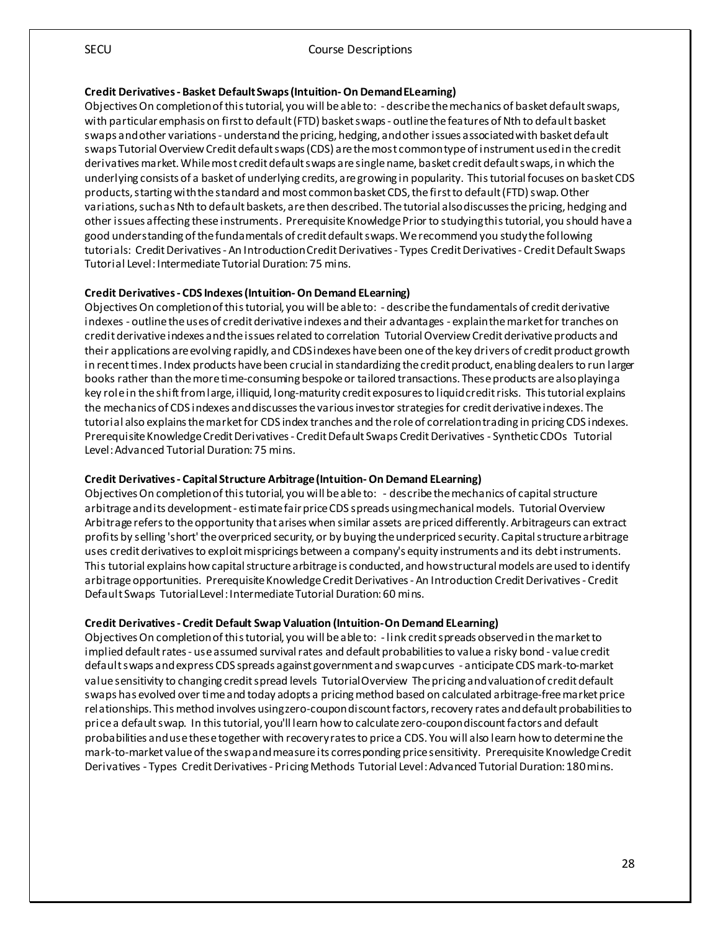#### **Credit Derivatives - Basket Default Swaps (Intuition-On Demand ELearning)**

Objectives On completion of this tutorial, you will be able to: - describe the mechanics of basket default swaps, with particular emphasis on first to default (FTD) basket swaps - outline the features of Nth to default basket swaps and other variations - understand the pricing, hedging, and other issues associated with basket default swaps Tutorial Overview Credit default swaps (CDS) are the most common type of instrument used in the credit derivatives market. While most credit default swaps are single name, basket credit default swaps, in which the underlying consists of a basket of underlying credits, are growing in popularity. This tutorial focuses on basket CDS products, starting with the standard and most common basket CDS, the first to default (FTD) swap. Other variations, such as Nth to default baskets, are then described. The tutorial also discusses the pricing, hedging and other issues affecting these instruments. Prerequisite Knowledge Prior to studying this tutorial, you should have a good understanding of the fundamentals of credit default swaps. We recommend you study the following tutorials: Credit Derivatives - An Introduction Credit Derivatives - Types Credit Derivatives - Credit Default Swaps Tutorial Level: Intermediate Tutorial Duration: 75 mins.

#### **Credit Derivatives - CDS Indexes (Intuition-On Demand ELearning)**

Objectives On completion of this tutorial, you will be able to: - describe the fundamentals of credit derivative indexes - outline the uses of credit derivative indexes and their advantages - explain the market for tranches on credit derivative indexes and the issues related to correlation Tutorial Overview Credit derivative products and their applications are evolving rapidly, and CDS indexes have been one of the key drivers of credit product growth in recent times. Index products have been crucial in standardizing the credit product, enabling dealers to run larger books rather than the more time-consuming bespoke or tailored transactions. These products are also playing a key role in the shift from large, illiquid, long-maturity credit exposures to liquid credit risks. This tutorial explains the mechanics of CDS indexes and discusses the various investor strategies for credit derivative indexes. The tutorial also explains the market for CDS index tranches and the role of correlation trading in pricing CDS indexes. Prerequisite Knowledge Credit Derivatives - Credit Default Swaps Credit Derivatives - Synthetic CDOs Tutorial Level: Advanced Tutorial Duration: 75 mins.

#### **Credit Derivatives - Capital Structure Arbitrage (Intuition-On Demand ELearning)**

Objectives On completion of this tutorial, you will be able to: - describe the mechanics of capital structure arbitrage and its development - estimate fair price CDS spreads using mechanical models. Tutorial Overview Arbitrage refers to the opportunity that arises when similar assets are priced differently. Arbitrageurs can extract profits by selling 'short' the overpriced security, or by buying the underpriced security. Capital structure arbitrage uses credit derivatives to exploit mispricings between a company's equity instruments and its debt instruments. This tutorial explains how capital structure arbitrage is conducted, and how structural models are used to identify arbitrage opportunities. Prerequisite Knowledge Credit Derivatives - An Introduction Credit Derivatives - Credit Default Swaps Tutorial Level: Intermediate Tutorial Duration: 60 mins.

#### **Credit Derivatives - Credit Default Swap Valuation (Intuition-On Demand ELearning)**

Objectives On completion of this tutorial, you will be able to: - link credit spreads observed in the market to implied default rates - use assumed survival rates and default probabilities to value a risky bond - value credit default swaps and express CDS spreads against government and swap curves - anticipate CDS mark-to-market value sensitivity to changing credit spread levels Tutorial Overview The pricing and valuation of credit default swaps has evolved over time and today adopts a pricing method based on calculated arbitrage-free market price relationships. This method involves using zero-coupon discount factors, recovery rates and default probabilities to price a default swap. In this tutorial, you'll learn how to calculate zero-coupon discount factors and default probabilities and use these together with recovery rates to price a CDS. You will also learn how to determine the mark-to-market value of the swap and measure its corresponding price sensitivity. Prerequisite Knowledge Credit Derivatives - Types Credit Derivatives - Pricing Methods Tutorial Level: Advanced Tutorial Duration: 180 mins.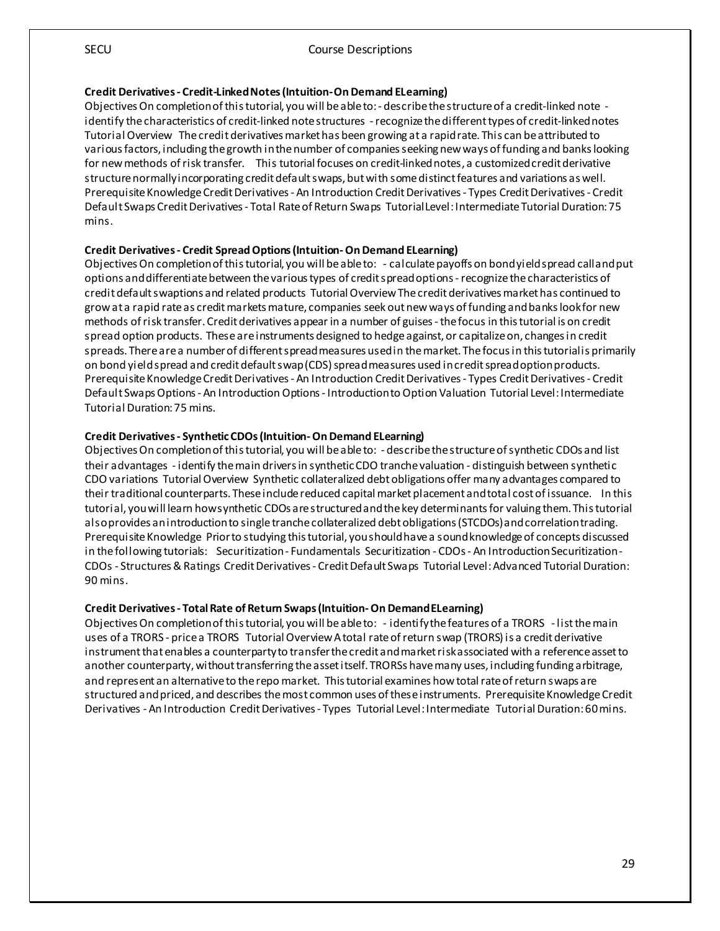#### **Credit Derivatives - Credit-Linked Notes (Intuition-On Demand ELearning)**

Objectives On completion of this tutorial, you will be able to: - describe the structure of a credit-linked note identify the characteristics of credit-linked note structures -recognize the different types of credit-linked notes Tutorial Overview The credit derivatives market has been growing at a rapid rate. This can be attributed to various factors, including the growth inthe number of companies seeking new ways of funding and banks looking for new methods of risk transfer. This tutorial focuses on credit-linked notes, a customized credit derivative structure normally incorporating credit default swaps, but with some distinct features and variations as well. Prerequisite Knowledge Credit Derivatives - An Introduction Credit Derivatives - Types Credit Derivatives - Credit Default Swaps Credit Derivatives - Total Rate of Return Swaps Tutorial Level: Intermediate Tutorial Duration: 75 mins.

#### **Credit Derivatives - Credit Spread Options (Intuition-On Demand ELearning)**

Objectives On completion of this tutorial, you will be able to: - calculate payoffs on bond yield spread call and put options and differentiate between the various types of credit spread options -recognize the characteristics of credit default swaptions and related products Tutorial Overview The credit derivatives market has continued to grow at a rapid rate as credit markets mature, companies seek out new ways of funding and banks look for new methods of risk transfer. Credit derivatives appear in a number of guises -the focus in this tutorial is on credit spread option products. These are instruments designed to hedge against, or capitalize on, changes in credit spreads. There are a number of different spread measures used in the market. The focus in this tutorial is primarily on bond yield spread and credit default swap (CDS) spread measures used in credit spread option products. Prerequisite Knowledge Credit Derivatives - An Introduction Credit Derivatives - Types Credit Derivatives - Credit Default Swaps Options - An Introduction Options - Introduction to Option Valuation Tutorial Level: Intermediate Tutorial Duration: 75 mins.

#### **Credit Derivatives - Synthetic CDOs (Intuition-On Demand ELearning)**

Objectives On completion of this tutorial, you will be able to: - describe the structure of synthetic CDOs and list their advantages - identify the main drivers in synthetic CDO tranche valuation - distinguish between synthetic CDO variations Tutorial Overview Synthetic collateralized debt obligations offer many advantages compared to their traditional counterparts. These include reduced capital market placement and total cost of issuance. In this tutorial, you will learn how synthetic CDOs are structured and the key determinants for valuing them. This tutorial also provides an introduction to single tranche collateralized debt obligations (STCDOs) and correlation trading. Prerequisite Knowledge Prior to studying this tutorial, you should have a sound knowledge of concepts discussed in the following tutorials: Securitization - Fundamentals Securitization - CDOs - An Introduction Securitization - CDOs - Structures & Ratings Credit Derivatives - Credit Default Swaps Tutorial Level: Advanced Tutorial Duration: 90 mins.

#### **Credit Derivatives - Total Rate of Return Swaps (Intuition-On Demand ELearning)**

Objectives On completion of this tutorial, you will be able to: - identify the features of a TRORS - list the main uses of a TRORS - price a TRORS Tutorial Overview A total rate of return swap (TRORS) is a credit derivative instrument that enables a counterparty to transfer the credit and market risk associated with a reference asset to another counterparty, without transferring the asset itself. TRORSs have many uses, including funding arbitrage, and represent an alternative to the repo market. Thistutorial examines how total rate of return swaps are structured and priced, and describes the most common uses of these instruments. Prerequisite Knowledge Credit Derivatives - An Introduction Credit Derivatives - Types Tutorial Level: Intermediate Tutorial Duration: 60 mins.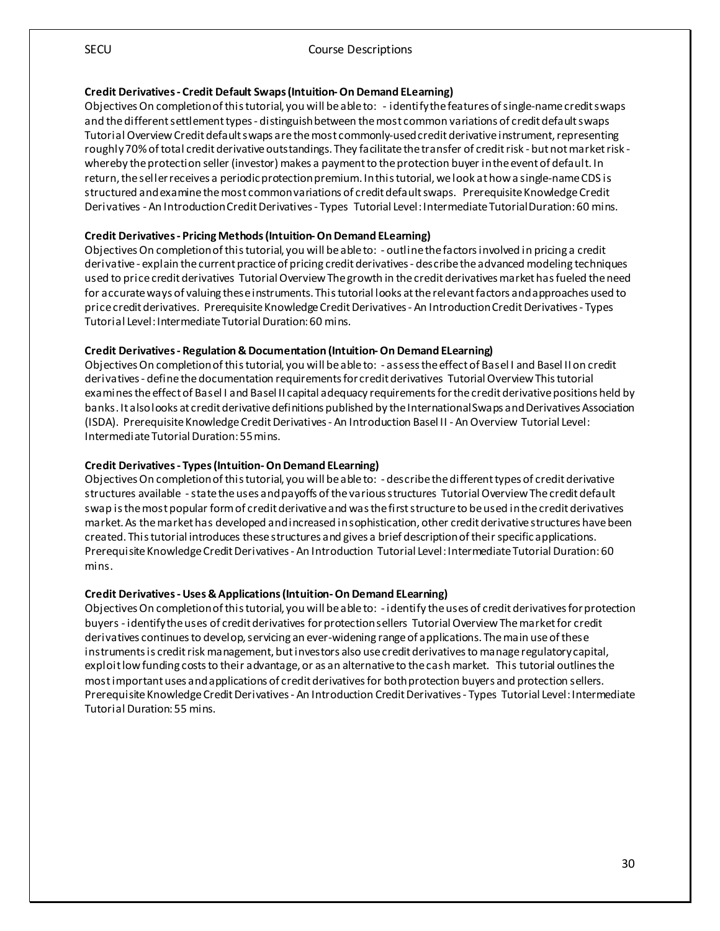#### **Credit Derivatives - Credit Default Swaps (Intuition-On Demand ELearning)**

Objectives On completion of this tutorial, you will be able to: - identify the features of single-name credit swaps and the different settlement types - distinguish between the most common variations of credit default swaps Tutorial Overview Credit default swaps are the most commonly-used credit derivative instrument, representing roughly 70% of total credit derivative outstandings. They facilitate the transfer of credit risk - but not market risk whereby the protection seller (investor) makes a payment to the protection buyer in the event of default. In return, the seller receives a periodic protection premium. In this tutorial, we look at how a single-name CDS is structured and examine the most common variations of credit default swaps. Prerequisite Knowledge Credit Derivatives - An Introduction Credit Derivatives - Types Tutorial Level: Intermediate Tutorial Duration: 60 mins.

#### **Credit Derivatives - Pricing Methods (Intuition-On Demand ELearning)**

Objectives On completion of this tutorial, you will be able to: - outline the factors involved in pricing a credit derivative - explain the current practice of pricing credit derivatives - describe the advanced modeling techniques used to price credit derivatives Tutorial Overview The growth in the credit derivatives market has fueled the need for accurate ways of valuing these instruments. This tutorial looks at the relevant factors and approaches used to price credit derivatives. Prerequisite Knowledge Credit Derivatives - An Introduction Credit Derivatives - Types Tutorial Level: Intermediate Tutorial Duration: 60 mins.

#### **Credit Derivatives - Regulation & Documentation (Intuition-On Demand ELearning)**

Objectives On completion of this tutorial, you will be able to: - assess the effect of Basel I and Basel II on credit derivatives - define the documentation requirements for credit derivatives Tutorial Overview This tutorial examines the effect of Basel I and Basel II capital adequacy requirements for the credit derivative positions held by banks. It also looks at credit derivative definitions published by the International Swaps and Derivatives Association (ISDA). Prerequisite Knowledge Credit Derivatives - An Introduction Basel II - An Overview Tutorial Level: Intermediate Tutorial Duration: 55 mins.

#### **Credit Derivatives - Types (Intuition-On Demand ELearning)**

Objectives On completion of this tutorial, you will be able to: - describe the different types of credit derivative structures available -state the uses and payoffs of the various structures Tutorial Overview The credit default swap is the most popular form of credit derivative and was the first structure to be used in the credit derivatives market. As the market has developed and increased in sophistication, other credit derivative structures have been created. This tutorial introduces these structures and gives a brief description of their specific applications. Prerequisite Knowledge Credit Derivatives - An Introduction Tutorial Level: Intermediate Tutorial Duration: 60 mins.

#### **Credit Derivatives -Uses & Applications (Intuition-On Demand ELearning)**

Objectives On completion of this tutorial, you will be able to: - identify the uses of credit derivatives for protection buyers - identify the uses of credit derivatives for protection sellers Tutorial Overview The market for credit derivatives continues to develop, servicing an ever-widening range of applications. The main use of these instruments is credit risk management, but investors also use credit derivatives to manage regulatory capital, exploit low funding costs to their advantage, or as an alternative to the cash market. This tutorial outlines the most important uses and applications of credit derivatives for both protection buyers and protection sellers. Prerequisite Knowledge Credit Derivatives - An Introduction Credit Derivatives - Types Tutorial Level: Intermediate Tutorial Duration: 55 mins.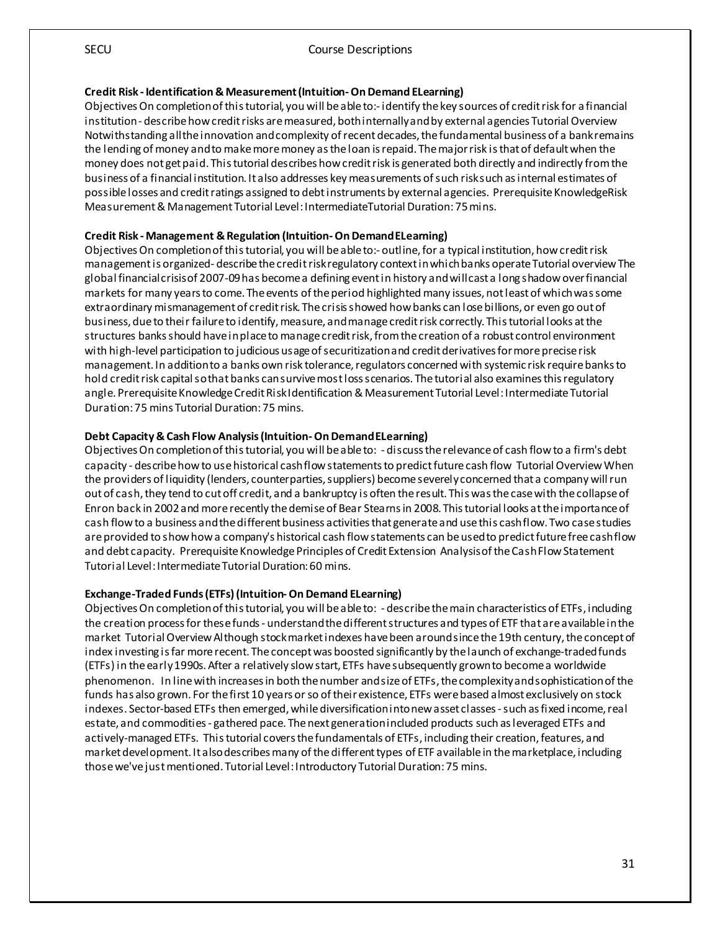#### **Credit Risk - Identification & Measurement (Intuition-On Demand ELearning)**

Objectives On completion of this tutorial, you will beable to:- identify the key sources of credit risk for a financial institution - describe how credit risks are measured, both internally and by external agencies Tutorial Overview Notwithstanding all the innovation and complexity of recent decades, the fundamental business of a bank remains the lending of money and to make more money as the loan is repaid. The major risk is that of default when the money does not get paid. This tutorial describes how credit risk is generated both directly and indirectly from the business of a financial institution. It also addresses key measurements of such risk such as internal estimates of possible losses and credit ratings assigned to debt instruments by external agencies. Prerequisite KnowledgeRisk Measurement & Management Tutorial Level: IntermediateTutorial Duration: 75 mins.

#### **Credit Risk - Management & Regulation (Intuition-On Demand ELearning)**

Objectives On completion of this tutorial, you will be able to:- outline, for a typical institution, how credit risk management is organized- describe the credit risk regulatory context in which banks operate Tutorial overview The global financial crisis of 2007-09 has become a defining event in history and will cast a long shadow over financial markets for many years to come. The events of the period highlighted many issues, not least of which was some extraordinary mismanagement of credit risk. The crisis showed how banks can lose billions, or even go out of business, due to their failure to identify, measure, and manage credit risk correctly. This tutorial looks at the structures banks should have in place to manage credit risk, from the creation of a robust control environment with high-level participation to judicious usage of securitization and credit derivatives for more precise risk management. In addition to a banks own risk tolerance, regulators concerned with systemic risk require banks to hold credit risk capital so that banks can survive most loss scenarios. The tutorial also examines this regulatory angle. Prerequisite Knowledge Credit Risk Identification & Measurement Tutorial Level: Intermediate Tutorial Duration: 75 mins Tutorial Duration: 75 mins.

#### **Debt Capacity & Cash Flow Analysis (Intuition-On Demand ELearning)**

Objectives On completion of this tutorial, you will be able to: - discuss the relevance of cash flow to a firm's debt capacity - describe how to use historical cash flow statements to predict future cash flow Tutorial Overview When the providers of liquidity (lenders, counterparties, suppliers) become severely concerned that a company will run out of cash, they tend to cut off credit, and a bankruptcy is often the result. This was the case with the collapse of Enron back in 2002 and more recently the demise of Bear Stearns in 2008. This tutorial looks at the importance of cash flow to a business and the different business activities that generate and use this cash flow. Two case studies are provided to show how a company's historical cash flow statements can be used to predict future free cash flow and debt capacity. Prerequisite Knowledge Principles of Credit Extension Analysis of the Cash Flow Statement Tutorial Level: Intermediate Tutorial Duration: 60 mins.

#### **Exchange-Traded Funds (ETFs) (Intuition-On Demand ELearning)**

Objectives On completion of this tutorial, you will be able to: - describe the main characteristics of ETFs, including the creation process for these funds - understand the different structures and types of ETF that are available in the market Tutorial Overview Although stock market indexes have been around since the 19th century, the concept of index investing is far more recent. The concept was boosted significantly by the launch of exchange-traded funds (ETFs) in the early 1990s. After a relatively slow start, ETFs have subsequently grown to become a worldwide phenomenon. In line with increases in both the number and size of ETFs, the complexity and sophistication of the funds has also grown. For the first 10 years or so of their existence, ETFs were based almost exclusively on stock indexes. Sector-based ETFs then emerged, while diversification into new asset classes -such as fixed income, real estate, and commodities - gathered pace. The next generation included products such as leveraged ETFs and actively-managed ETFs. This tutorial covers the fundamentals of ETFs, including their creation, features, and market development. It also describes many of the different types of ETF available in the marketplace, including those we've just mentioned. Tutorial Level: Introductory Tutorial Duration: 75 mins.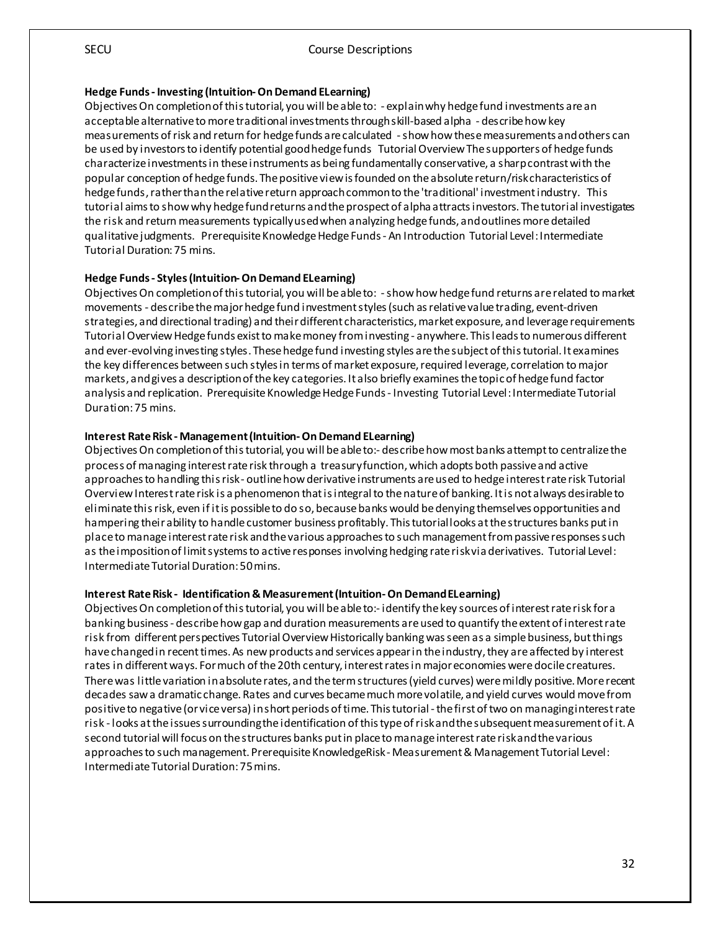#### **Hedge Funds - Investing (Intuition-On Demand ELearning)**

Objectives On completion of this tutorial, you will be able to: - explain why hedge fund investments are an acceptable alternative to more traditional investments through skill-based alpha - describe how key measurements of risk and return for hedge funds are calculated -show how these measurements and others can be used by investors to identify potential good hedge funds Tutorial Overview The supporters of hedge funds characterize investments in these instruments as being fundamentally conservative, a sharp contrast with the popular conception of hedge funds. The positive view is founded on the absolute return/risk characteristics of hedge funds, rather than the relative return approach common to the 'traditional' investment industry. This tutorial aims to show why hedge fund returns and the prospect of alpha attracts investors. The tutorial investigates the risk and return measurements typically used when analyzing hedge funds, and outlines more detailed qualitative judgments. Prerequisite Knowledge Hedge Funds - An Introduction Tutorial Level: Intermediate Tutorial Duration: 75 mins.

#### **Hedge Funds - Styles (Intuition-On Demand ELearning)**

Objectives On completion of this tutorial, you will be able to: -show how hedge fund returns are related to market movements - describe the major hedge fund investment styles (such as relative value trading, event-driven strategies, and directional trading) and their different characteristics, market exposure, and leverage requirements Tutorial Overview Hedge funds exist to make money from investing - anywhere. This leads to numerous different and ever-evolving investing styles. These hedge fund investing styles are the subject of this tutorial. It examines the key differences between such styles in terms of market exposure, required leverage, correlation to major markets, and gives a description of the key categories. It also briefly examines the topic of hedge fund factor analysis and replication. Prerequisite Knowledge Hedge Funds - Investing Tutorial Level: Intermediate Tutorial Duration: 75 mins.

#### **Interest Rate Risk - Management (Intuition-On Demand ELearning)**

Objectives On completion of thistutorial, you will be able to:- describe how most banks attempt to centralize the process of managing interest rate risk through a treasury function, which adopts both passive and active approaches to handling this risk - outline how derivative instruments are used to hedge interest rate risk Tutorial Overview Interest rate risk is a phenomenon that is integral to the nature of banking. It is not always desirable to eliminate this risk, even if it is possible to do so, because banks would be denying themselves opportunities and hampering their ability to handle customer business profitably. This tutorial looks at the structures banks put in place to manage interest rate risk and the various approaches to such management from passive responses such as the imposition of limit systems to active responses involving hedging rate risk via derivatives. Tutorial Level: Intermediate Tutorial Duration: 50 mins.

#### **Interest Rate Risk - Identification & Measurement (Intuition-On Demand ELearning)**

Objectives On completion of this tutorial, you will be able to:- identify the key sources of interest rate risk for a banking business - describe how gap and duration measurements are used to quantify the extent of interest rate risk from different perspectives Tutorial Overview Historically banking was seen as a simple business, but things have changed in recent times. As new products and services appear in the industry, they are affected by interest rates in different ways. For much of the 20th century, interest rates in major economies were docile creatures. There was little variation in absolute rates, and the term structures (yield curves) were mildly positive. More recent decades saw a dramatic change. Rates and curves became much more volatile, and yield curves would move from positive to negative (or vice versa) in short periods of time. This tutorial - the first of two on managing interest rate risk - looks at the issues surrounding the identification of this type of risk and the subsequent measurement of it. A second tutorial will focus on the structures banks put in place to manage interest rate risk and the various approaches to such management. Prerequisite KnowledgeRisk - Measurement & Management Tutorial Level: Intermediate Tutorial Duration: 75 mins.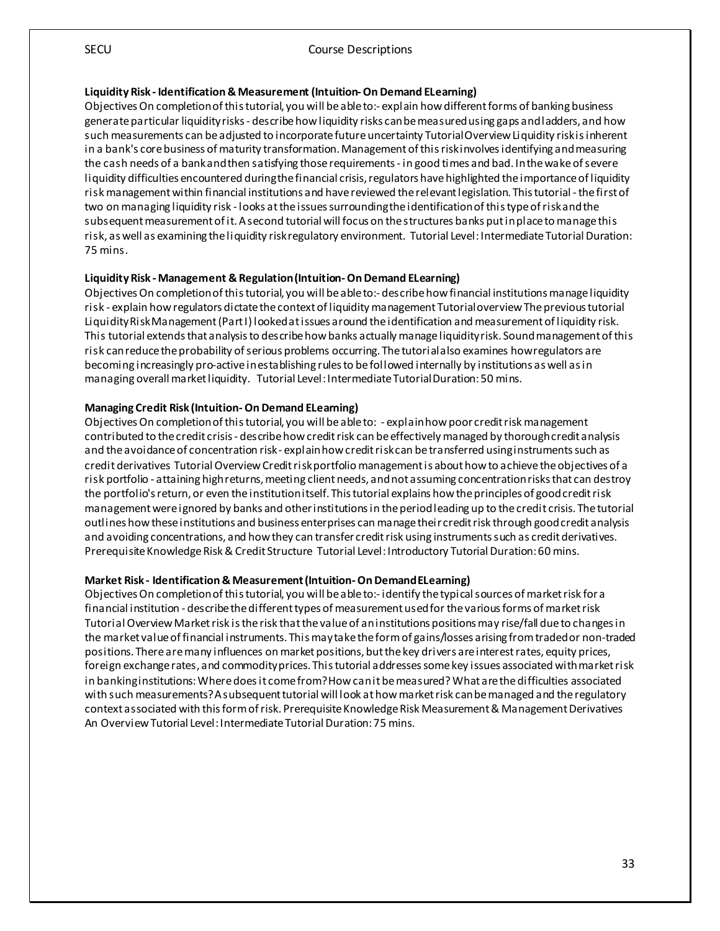#### **LiquidityRisk - Identification & Measurement (Intuition-On Demand ELearning)**

Objectives On completion of this tutorial, you will be able to:- explain how different forms of banking business generate particular liquidity risks - describe how liquidity risks can be measured using gaps and ladders, and how such measurements can be adjusted to incorporate future uncertainty Tutorial Overview Liquidity risk is inherent in a bank's core business of maturity transformation. Management of this risk involves identifying and measuring the cash needs of a bank and then satisfying those requirements - in good times and bad. In the wake of severe liquidity difficulties encountered during the financial crisis, regulators have highlighted the importance of liquidity risk management within financial institutions and have reviewed the relevant legislation. This tutorial - the first of two on managing liquidity risk - looks at the issues surrounding the identification of this type of risk and the subsequent measurement of it. A second tutorial will focus on the structures banks put in place to manage this risk, as well as examining the liquidity risk regulatory environment. Tutorial Level: Intermediate Tutorial Duration: 75 mins.

#### **Liquidity Risk - Management & Regulation (Intuition-On Demand ELearning)**

Objectives On completion of this tutorial, you will be able to:- describe how financial institutions manage liquidity risk - explain how regulators dictate the context of liquidity management Tutorial overview The previous tutorial Liquidity Risk Management (Part I) looked at issues around the identification and measurement of liquidity risk. This tutorial extends that analysis to describe how banks actually manage liquidity risk. Sound management of this risk can reduce the probability of serious problems occurring. The tutorial also examines how regulators are becoming increasingly pro-active in establishing rules to be followed internally by institutions as well as in managing overall market liquidity. Tutorial Level: IntermediateTutorial Duration: 50 mins.

#### **Managing Credit Risk (Intuition-On Demand ELearning)**

Objectives On completion of this tutorial, you will be able to: - explain how poor credit risk management contributed to the credit crisis - describe how credit risk can be effectively managed by thorough credit analysis and the avoidance of concentration risk - explain how credit risk can be transferred using instruments such as credit derivatives Tutorial Overview Credit risk portfolio management is about how to achievethe objectives of a risk portfolio - attaining high returns, meeting client needs, and not assuming concentration risks that can destroy the portfolio's return, or even the institution itself. This tutorial explains how the principles of good credit risk management were ignored by banks and other institutions in the period leading up to the credit crisis. The tutorial outlines how these institutions and business enterprises can manage their credit risk through good credit analysis and avoiding concentrations, and how they can transfer credit risk using instruments such as credit derivatives. Prerequisite Knowledge Risk & Credit Structure Tutorial Level: Introductory Tutorial Duration: 60 mins.

#### **Market Risk - Identification & Measurement (Intuition-On Demand ELearning)**

Objectives On completion of this tutorial, you will be able to:- identify the typical sources of market risk for a financial institution - describe the different types of measurement used for the various forms of market risk Tutorial Overview Market risk is the risk that the value of an institutions positions may rise/fall due to changes in the market value of financial instruments. This may take the form of gains/losses arising from traded or non-traded positions. There are many influences on market positions, but the key drivers are interest rates, equity prices, foreign exchange rates, and commodity prices. This tutorial addresses some key issues associated with market risk in banking institutions: Where does it come from? How can it be measured? What are the difficulties associated with such measurements? A subsequent tutorial will look at how market risk can be managed and the regulatory context associated with this form of risk. Prerequisite Knowledge Risk Measurement & Management Derivatives An Overview Tutorial Level: Intermediate Tutorial Duration: 75 mins.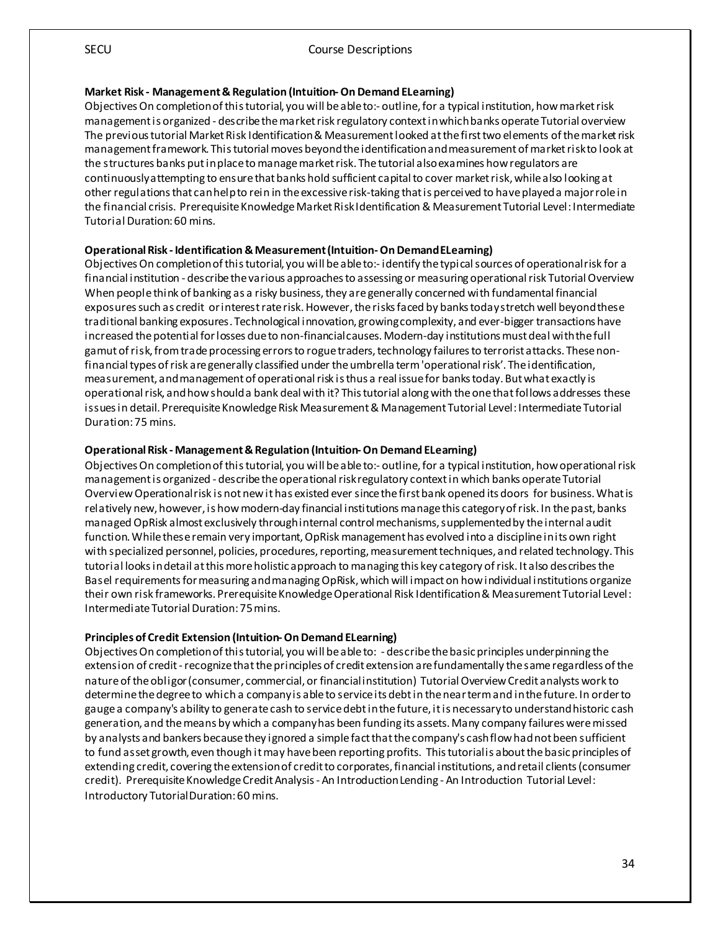#### **Market Risk - Management & Regulation (Intuition-On Demand ELearning)**

Objectives On completion of this tutorial, you will be able to:- outline, for a typical institution, how market risk management is organized - describe the market risk regulatory context in which banks operate Tutorial overview The previous tutorial Market Risk Identification & Measurement looked at the first two elements of the market risk management framework. This tutorial moves beyond the identification and measurement of market risk to look at the structures banks put in place to manage market risk. The tutorial also examines how regulators are continuously attempting to ensure that banks hold sufficient capital to cover market risk, while also looking at other regulations that can help to rein in the excessive risk-taking that is perceived to have played a major role in the financial crisis. Prerequisite Knowledge Market Risk Identification & Measurement Tutorial Level: Intermediate Tutorial Duration: 60 mins.

#### **Operational Risk - Identification & Measurement (Intuition-On Demand ELearning)**

Objectives On completion of this tutorial, you will be able to:- identify the typical sources of operational risk for a financial institution - describe the various approaches to assessing or measuring operational risk Tutorial Overview When people think of banking as a risky business, they are generally concerned with fundamental financial exposures such as credit or interest rate risk. However, the risks faced by banks today stretch well beyond these traditional banking exposures. Technological innovation, growingcomplexity, and ever-bigger transactions have increased the potential for losses due to non-financial causes. Modern-day institutions must deal with the full gamut of risk, from trade processing errors to rogue traders, technology failures to terrorist attacks. These nonfinancial types of risk are generally classified under the umbrella term 'operational risk'. The identification, measurement, and management of operational risk is thus a real issue for banks today. But what exactly is operational risk, and how should a bank deal with it? This tutorial along with the one that follows addresses these issues in detail. Prerequisite Knowledge Risk Measurement & Management Tutorial Level: Intermediate Tutorial Duration: 75 mins.

#### **Operational Risk - Management &Regulation (Intuition-On Demand ELearning)**

Objectives On completion of this tutorial, you will be able to:- outline, for a typical institution, how operational risk management is organized - describe the operational risk regulatory context in which banks operate Tutorial Overview Operational risk is not new it has existed ever since the first bank opened its doors for business. What is relatively new, however, is how modern-day financial institutions manage this category of risk. In the past, banks managed OpRisk almost exclusively through internal control mechanisms, supplemented by the internal audit function. While these remain very important, OpRisk management has evolved into a discipline in its own right with specialized personnel, policies, procedures, reporting, measurement techniques, and related technology. This tutorial looks in detail at this more holistic approach to managing this key category of risk. It also describes the Basel requirements for measuring and managing OpRisk, which will impact on how individual institutions organize their own risk frameworks. Prerequisite Knowledge Operational Risk Identification & Measurement Tutorial Level: Intermediate Tutorial Duration: 75 mins.

#### **Principles of Credit Extension (Intuition-On Demand ELearning)**

Objectives On completion of this tutorial, you will be able to: - describe the basic principles underpinning the extension of credit -recognize that the principles of credit extension are fundamentally the same regardless of the nature of the obligor (consumer, commercial, or financial institution) Tutorial Overview Credit analysts work to determine the degree to which a company is able to service its debt in the near term and in the future. In order to gauge a company's ability to generate cash to service debt in the future, it is necessary to understand historic cash generation, and the means by which a company has been funding its assets. Many company failures were missed by analysts and bankers because they ignored a simple fact that the company's cash flow had not been sufficient to fund asset growth, even though it may have been reporting profits. This tutorial is about the basic principles of extending credit, covering the extension of credit to corporates, financial institutions, and retail clients (consumer credit). Prerequisite Knowledge Credit Analysis - An Introduction Lending - An Introduction Tutorial Level: Introductory Tutorial Duration: 60 mins.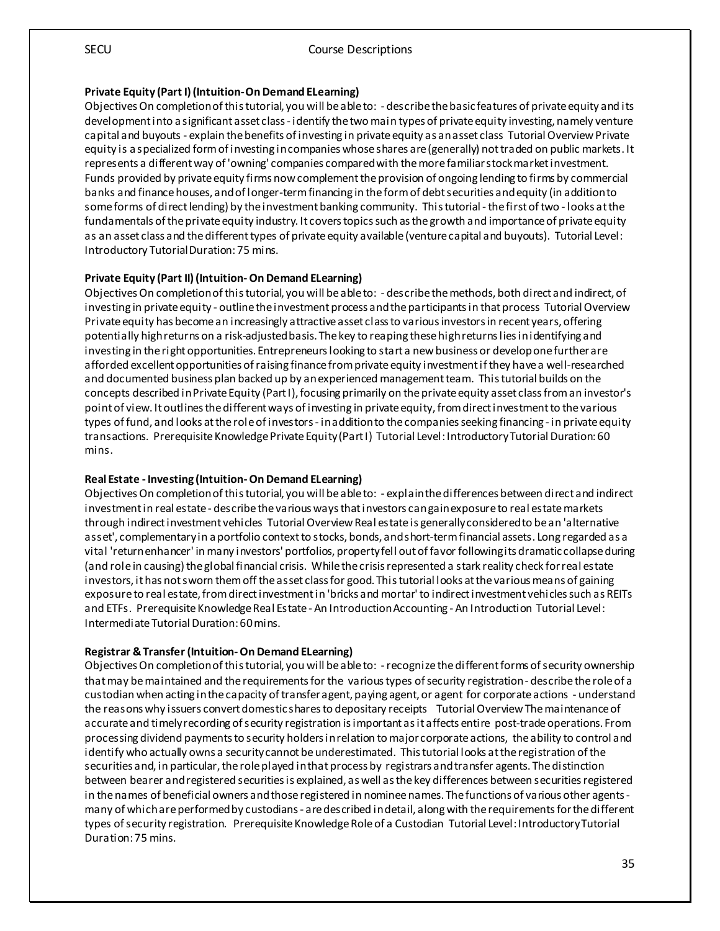#### **Private Equity (Part I) (Intuition-On Demand ELearning)**

Objectives On completion of this tutorial, you will be able to: - describe the basic features of private equity and its development into a significant asset class - identify the two main types of private equity investing, namely venture capital and buyouts - explain the benefits of investing in private equity as an asset class Tutorial Overview Private equity is a specialized form of investing in companies whose shares are (generally) not traded on public markets. It represents a different way of 'owning' companies compared with the more familiar stock market investment. Funds provided by private equity firms now complement the provision of ongoing lending to firms by commercial banks and finance houses, and of longer-term financing in the form of debt securities and equity (in addition to some forms of direct lending) by the investment banking community. This tutorial - the first of two - looks at the fundamentals of the private equity industry. It covers topics such as the growth and importance of private equity as an asset class and the different types of private equity available (venture capital and buyouts). Tutorial Level: Introductory Tutorial Duration: 75 mins.

#### **Private Equity (Part II) (Intuition-On Demand ELearning)**

Objectives On completion of this tutorial, you will beable to: - describe the methods, both direct and indirect, of investing in private equity - outline the investment process and the participants in that process Tutorial Overview Private equity has become an increasingly attractive asset class to variousinvestors in recent years, offering potentially high returns on a risk-adjusted basis. The key to reaping these high returns lies in identifying and investing in the right opportunities. Entrepreneurs looking to start a new business or develop one furtherare afforded excellent opportunities of raising finance from private equity investment if they have a well-researched and documented business plan backed up by an experienced management team. This tutorial builds on the concepts described in Private Equity (Part I), focusing primarily on the private equity asset class from an investor's point of view. It outlines the different ways of investing in private equity, from direct investment to the various types of fund, and looks at the role of investors - in addition to the companies seeking financing - in private equity transactions. Prerequisite Knowledge Private Equity (Part I) Tutorial Level: Introductory Tutorial Duration: 60 mins.

#### **Real Estate - Investing (Intuition-On Demand ELearning)**

Objectives On completion of this tutorial, you will be able to: - explain the differences between direct and indirect investment in real estate - describe the various ways that investors can gain exposure to real estate markets through indirect investment vehicles Tutorial Overview Real estate is generally considered to be an 'alternative asset', complementary in a portfolio context to stocks, bonds, and short-term financial assets. Long regarded as a vital 'return enhancer' in many investors' portfolios, property fell out of favor following its dramatic collapse during (and role in causing) the global financial crisis. While the crisis represented a stark reality check for real estate investors, it has not sworn them off the asset class for good. This tutorial looks at the various means of gaining exposure to real estate, from direct investment in 'bricks and mortar' to indirect investment vehicles such as REITs and ETFs. Prerequisite Knowledge Real Estate - An Introduction Accounting - An Introduction Tutorial Level: Intermediate Tutorial Duration: 60 mins.

#### **Registrar & Transfer (Intuition-On Demand ELearning)**

Objectives On completion of this tutorial, you will be able to: -recognize the different forms of security ownership that may be maintained and the requirements for the various types of security registration - describe the role of a custodian when acting in the capacity of transfer agent, paying agent, or agent for corporate actions - understand the reasons why issuers convert domestic shares to depositary receipts Tutorial Overview The maintenance of accurate and timely recording of security registration is important as it affects entire post-trade operations. From processing dividend payments to security holders in relation to major corporate actions, the ability to control and identify who actually owns a security cannot be underestimated. This tutorial looks at the registration of the securities and, in particular, the role played in that process by registrars and transfer agents. The distinction between bearer and registered securities is explained, as well as the key differences between securities registered in the names of beneficial owners and those registered in nominee names. The functions of various other agents many of which are performed by custodians - are described in detail, along with the requirements for the different types of security registration. Prerequisite Knowledge Role of a Custodian Tutorial Level: Introductory Tutorial Duration: 75 mins.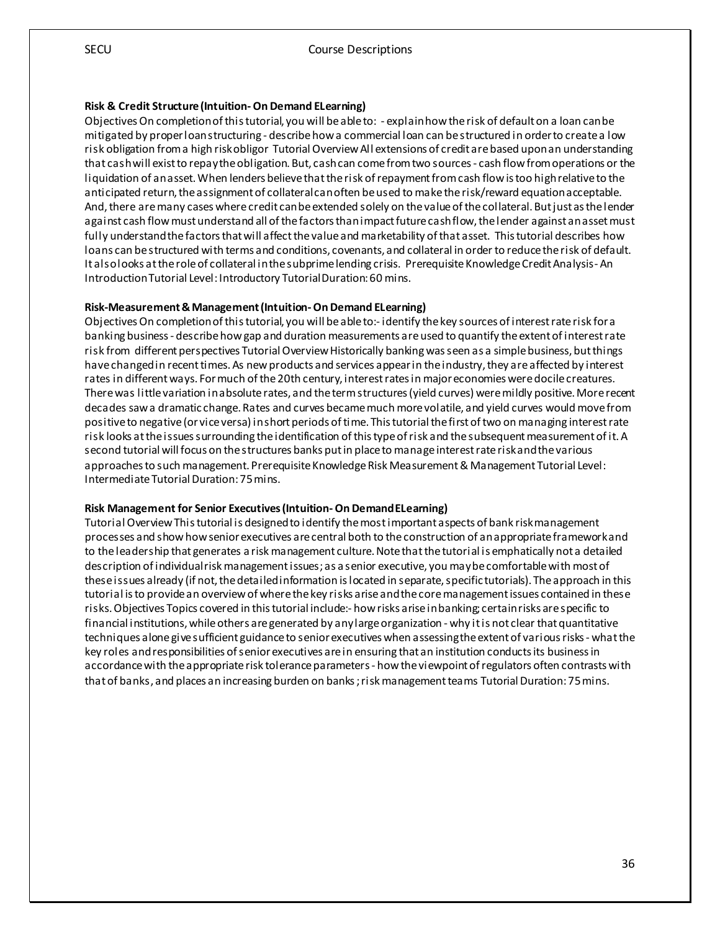#### **Risk & Credit Structure (Intuition-On Demand ELearning)**

Objectives On completion of this tutorial, you will be able to: - explain how the risk of default on a loan can be mitigated by proper loan structuring - describe how a commercial loan can be structured in order to create a low risk obligation from a high risk obligor Tutorial Overview All extensions of credit are based upon an understanding that cash will exist to repay the obligation. But, cash can come from two sources - cash flow from operations or the liquidation of an asset. When lenders believe that the risk of repayment from cash flow is too high relative to the anticipated return, the assignment of collateral can often be used to make the risk/reward equation acceptable. And, there are many cases where credit can be extended solely on the value of the collateral. But just as the lender against cash flow must understand all of the factors than impact future cash flow, the lender against an asset must fully understand the factors that will affect the value and marketability of that asset. This tutorial describes how loans can be structured with terms and conditions, covenants, and collateral in order to reduce the risk of default. It also looks at the role of collateral in the subprime lending crisis. Prerequisite Knowledge Credit Analysis - An Introduction Tutorial Level: Introductory Tutorial Duration: 60 mins.

#### **Risk-Measurement & Management (Intuition-On Demand ELearning)**

Objectives On completion of this tutorial, you will be able to:- identify the key sources of interest rate risk for a banking business - describe how gap and duration measurements are used to quantify the extent of interest rate risk from different perspectives Tutorial Overview Historically banking was seen as a simple business, but things have changed in recent times. As new products and services appear in the industry, they are affected by interest rates in different ways. For much of the 20th century, interest rates in major economies were docile creatures. There was little variation in absolute rates, and the term structures (yield curves) were mildly positive. More recent decades saw a dramatic change. Rates and curves became much more volatile, and yield curves would move from positive to negative (or vice versa) in short periods of time. This tutorial the first of two on managing interest rate risk looks at the issues surrounding the identification of this type of risk and the subsequent measurement of it. A second tutorial will focus on the structures banks put in place to manage interest rate risk and the various approaches to such management. Prerequisite Knowledge Risk Measurement & Management Tutorial Level: Intermediate Tutorial Duration: 75 mins.

#### **Risk Management for Senior Executives (Intuition-On Demand ELearning)**

Tutorial Overview This tutorial is designed to identify the most important aspects of bank risk management processes and show how senior executives are central both to the construction of an appropriate framework and to the leadership that generates a risk management culture. Note that the tutorial is emphatically not a detailed description of individual risk management issues; as a senior executive, you may be comfortable with most of these issues already (if not, the detailed information is located in separate, specific tutorials). The approach in this tutorial is to provide an overview of where the key risks arise and the core management issues contained in these risks. Objectives Topics covered in this tutorial include:- how risks arise in banking; certain risks are specific to financial institutions, while others are generated by any large organization - why it is not clear that quantitative techniques alone give sufficient guidance to senior executives when assessing the extent of various risks - what the key roles and responsibilities of senior executives are in ensuring that an institution conducts its business in accordance with the appropriate risk tolerance parameters - how the viewpoint of regulators often contrasts with that of banks, and places an increasing burden on banks ; risk management teams Tutorial Duration: 75 mins.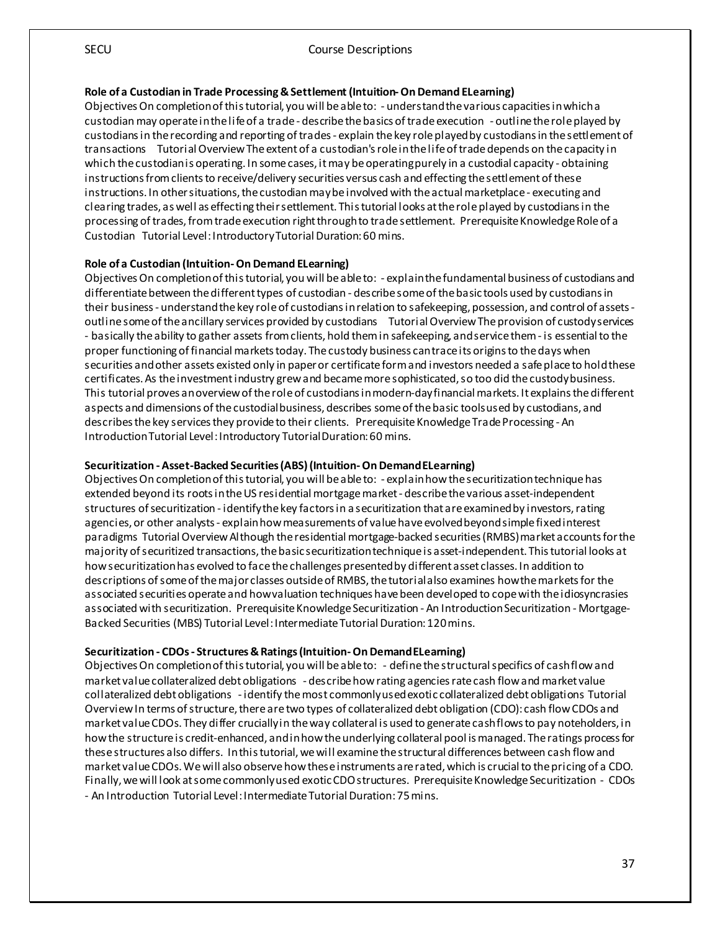#### **Role of a Custodian in Trade Processing & Settlement (Intuition-On Demand ELearning)**

Objectives On completion of this tutorial, you will be able to: - understand the various capacities in which a custodian may operate in the life of a trade - describe the basics of trade execution - outline the role played by custodians in the recording and reporting of trades - explain the key role played by custodians in the settlement of transactions Tutorial Overview The extent of a custodian's role in the life of trade depends on the capacity in which the custodian is operating. In some cases, it may be operating purely in a custodial capacity - obtaining instructions from clients to receive/delivery securities versus cash and effecting the settlement of these instructions. In other situations, the custodian may be involved with the actual marketplace - executing and clearing trades, as well as effecting their settlement. This tutorial looks at the role played by custodians in the processing of trades, from trade execution right through to trade settlement. Prerequisite Knowledge Role of a Custodian Tutorial Level: Introductory Tutorial Duration: 60 mins.

#### **Role of a Custodian (Intuition-On Demand ELearning)**

Objectives On completion of this tutorial, you will be able to: - explain the fundamental business of custodians and differentiate between the different types of custodian - describe some of the basic tools used by custodians in their business - understand the key role of custodians in relation to safekeeping, possession, and control of assets outline some of the ancillary services provided by custodians Tutorial Overview The provision of custody services - basically the ability to gather assets from clients, hold them in safekeeping, and service them - is essential to the proper functioning of financial markets today. The custody business can trace its origins to the days when securities and other assets existed only in paper or certificate form and investors needed a safe place to hold these certificates. As the investment industry grew and became more sophisticated, so too did the custody business. This tutorial proves an overview of the role of custodians in modern-day financial markets. It explains the different aspects and dimensions of the custodial business, describes some of the basic tools used by custodians, and describes the key services they provide to their clients. Prerequisite Knowledge Trade Processing - An Introduction Tutorial Level: Introductory Tutorial Duration: 60 mins.

#### **Securitization - Asset-Backed Securities (ABS) (Intuition-On Demand ELearning)**

Objectives On completion of this tutorial, you will be able to: - explain how the securitization technique has extended beyond its roots in the US residential mortgage market - describe the various asset-independent structures of securitization - identify the key factors in a securitization that are examined by investors, rating agencies, or other analysts - explain how measurements of value have evolved beyond simple fixed interest paradigms Tutorial Overview Although the residential mortgage-backed securities (RMBS) market accounts for the majority of securitized transactions, the basic securitization technique is asset-independent. This tutorial looks at how securitization has evolved to face the challenges presented by different asset classes. In addition to descriptions of some of the major classes outside of RMBS, the tutorial also examines howthe markets for the associated securities operate and how valuation techniques have been developed to cope with the idiosyncrasies associated with securitization. Prerequisite Knowledge Securitization - An Introduction Securitization - Mortgage-Backed Securities (MBS) Tutorial Level: Intermediate Tutorial Duration: 120 mins.

#### **Securitization - CDOs - Structures & Ratings (Intuition-On Demand ELearning)**

Objectives On completion of this tutorial, you will be able to: - define the structural specifics of cash flow and market value collateralized debt obligations - describe how rating agencies rate cash flow and market value collateralized debt obligations - identify the most commonly used exotic collateralized debt obligations Tutorial Overview In terms of structure, there are two types of collateralized debt obligation (CDO): cash flow CDOs and market value CDOs. They differ crucially in the way collateral is used to generate cash flows to pay noteholders, in how the structure is credit-enhanced, and in how the underlying collateral pool is managed. The ratings process for these structures also differs. In this tutorial, we will examine the structural differences between cash flow and market value CDOs. We will also observe how these instruments are rated, which is crucial to the pricing of a CDO. Finally, we will look at some commonly used exotic CDO structures. Prerequisite Knowledge Securitization - CDOs - An Introduction Tutorial Level: Intermediate Tutorial Duration: 75 mins.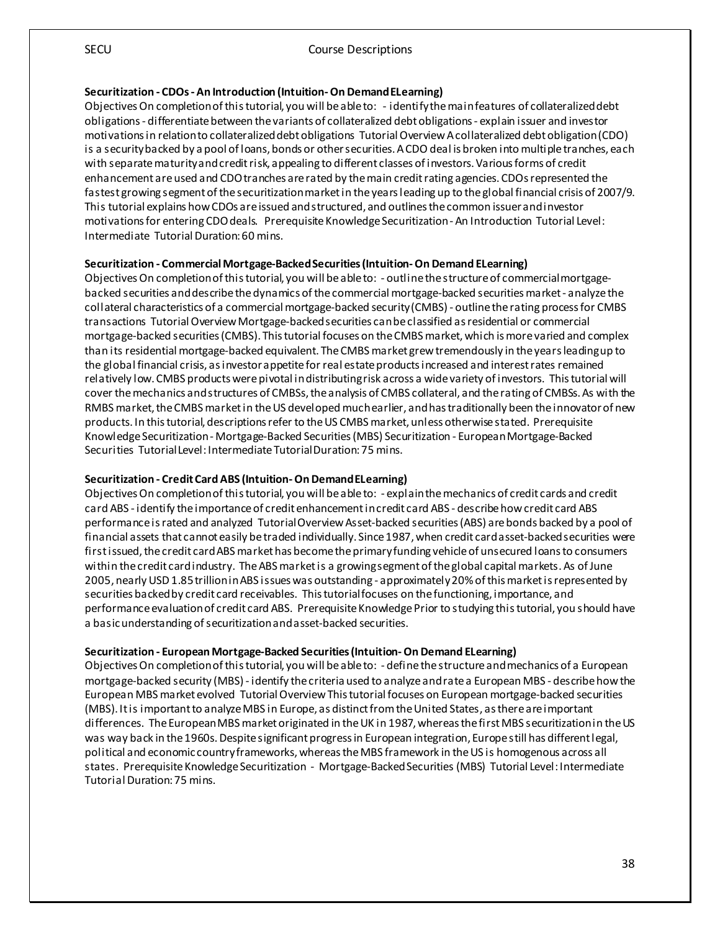#### **Securitization - CDOs - An Introduction (Intuition-On Demand ELearning)**

Objectives On completion of this tutorial, you will be able to: - identify the main features of collateralized debt obligations - differentiate between the variants of collateralized debt obligations - explain issuer and investor motivations in relation to collateralized debt obligations Tutorial Overview A collateralized debt obligation (CDO) is a security backed by a pool of loans, bonds or other securities. A CDO deal is broken into multiple tranches, each with separate maturity and credit risk, appealing to different classes of investors. Various forms of credit enhancement are used and CDO tranches are rated by the main credit rating agencies. CDOs represented the fastest growing segment of the securitization market in the years leading up to the global financial crisis of 2007/9. This tutorial explains how CDOs are issued and structured, and outlines the common issuer and investor motivations for entering CDO deals. Prerequisite Knowledge Securitization - An Introduction Tutorial Level: Intermediate Tutorial Duration: 60 mins.

#### **Securitization - Commercial Mortgage-Backed Securities (Intuition-On Demand ELearning)**

Objectives On completion of this tutorial, you will be able to: - outline the structure of commercial mortgagebacked securities and describe the dynamics of the commercial mortgage-backed securities market - analyze the collateral characteristics of a commercial mortgage-backed security (CMBS) - outline the rating process for CMBS transactions Tutorial Overview Mortgage-backed securities can be classified as residential or commercial mortgage-backed securities (CMBS). This tutorial focuses on the CMBS market, which is more varied and complex than its residential mortgage-backed equivalent. The CMBS market grew tremendously in the years leading up to the global financial crisis, as investor appetite for real estate products increased and interest rates remained relatively low. CMBS products were pivotal in distributing risk across a wide variety of investors. This tutorial will cover the mechanics and structures of CMBSs, the analysis of CMBS collateral, and the rating of CMBSs. As with the RMBS market, the CMBS market in the US developed much earlier, and has traditionally been the innovator of new products. In this tutorial, descriptions refer to the US CMBS market, unless otherwise stated. Prerequisite Knowledge Securitization - Mortgage-Backed Securities (MBS) Securitization - European Mortgage-Backed Securities Tutorial Level: Intermediate Tutorial Duration: 75 mins.

#### **Securitization - Credit Card ABS (Intuition-On Demand ELearning)**

Objectives On completion of this tutorial, you will be able to: - explain the mechanics of credit cards and credit card ABS - identify the importance of credit enhancement in credit card ABS - describe how credit card ABS performance is rated and analyzed Tutorial Overview Asset-backed securities (ABS) are bonds backed by a pool of financial assets that cannot easily be traded individually. Since 1987, when credit card asset-backed securities were first issued, the credit card ABS market has become the primary funding vehicle of unsecured loans to consumers within the credit card industry. The ABS market is a growing segment of the global capital markets. As of June 2005, nearly USD 1.85 trillion in ABS issues was outstanding - approximately 20% of this market is represented by securities backed by credit card receivables. This tutorial focuses on the functioning, importance, and performance evaluation of credit card ABS. Prerequisite Knowledge Prior to studying this tutorial, you should have a basic understanding of securitization and asset-backed securities.

#### **Securitization - European Mortgage-Backed Securities (Intuition-On Demand ELearning)**

Objectives On completion of this tutorial, you will be able to: - define the structure and mechanics of a European mortgage-backed security (MBS) - identify the criteria used to analyze and rate a European MBS - describe how the European MBS market evolved Tutorial Overview This tutorial focuses on European mortgage-backed securities (MBS). It is important to analyze MBS in Europe, as distinct from the United States, as there are important differences. The European MBS market originated in the UK in 1987, whereas the first MBS securitization in the US was way back in the 1960s. Despite significant progress in European integration, Europe still has different legal, political and economic country frameworks, whereas the MBS framework in the US is homogenous across all states. Prerequisite Knowledge Securitization - Mortgage-Backed Securities (MBS) Tutorial Level: Intermediate Tutorial Duration: 75 mins.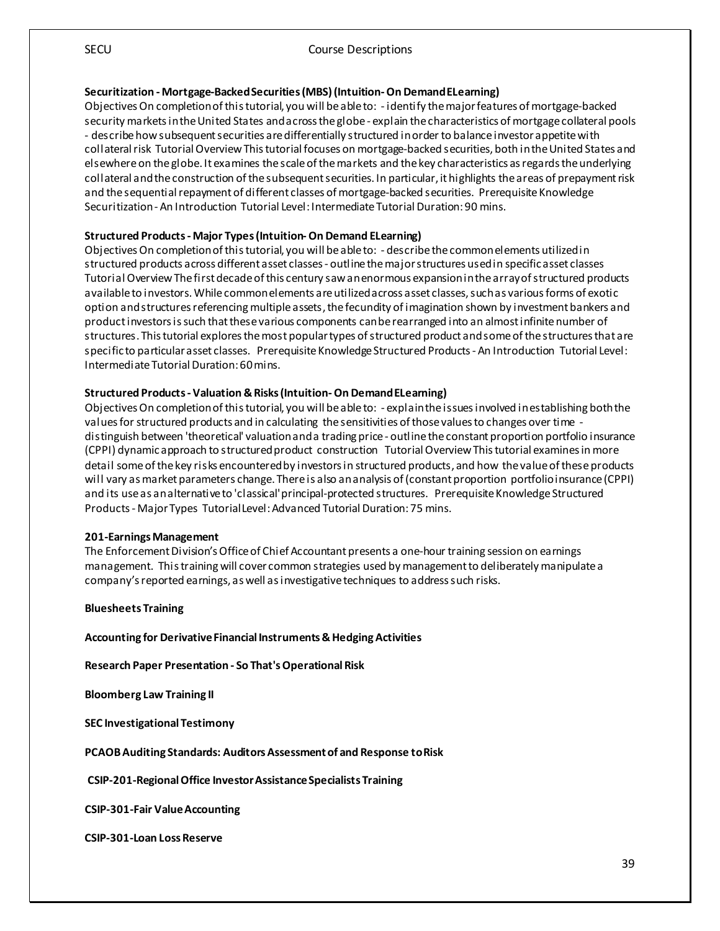#### **Securitization - Mortgage-Backed Securities (MBS) (Intuition-On Demand ELearning)**

Objectives On completion of this tutorial, you will be able to: - identify the major features of mortgage-backed security markets in the United States and across the globe - explain the characteristics of mortgage collateral pools - describe how subsequent securities are differentially structured in order to balance investor appetite with collateral risk Tutorial Overview This tutorial focuses on mortgage-backed securities, both in the United States and elsewhere on the globe. It examines the scale of the markets and the key characteristics as regards the underlying collateral and the construction of the subsequent securities. In particular, it highlights the areas of prepayment risk and the sequential repayment of different classes of mortgage-backed securities. Prerequisite Knowledge Securitization - An Introduction Tutorial Level: Intermediate Tutorial Duration: 90 mins.

#### **Structured Products - Major Types (Intuition-On Demand ELearning)**

Objectives On completion of this tutorial, you will be able to: - describe the common elements utilized in structured products across different asset classes - outline the major structures used in specific asset classes Tutorial Overview The first decade of this century saw an enormous expansion in the array of structured products available to investors. While common elements are utilized across asset classes, such as various forms of exotic option and structures referencing multiple assets, the fecundity of imagination shown by investment bankers and product investors is such that these various components can be rearranged into an almost infinite number of structures. This tutorial explores the most popular types of structured product and some of the structures that are specific to particular asset classes. Prerequisite Knowledge Structured Products - An Introduction Tutorial Level: Intermediate Tutorial Duration: 60 mins.

#### **Structured Products - Valuation & Risks (Intuition-On Demand ELearning)**

Objectives On completion of this tutorial, you will be able to: - explain the issues involved in establishing both the values for structured products and in calculating the sensitivities of those values to changes over time distinguish between 'theoretical' valuation and a trading price - outline the constant proportion portfolio insurance (CPPI) dynamic approach to structured product construction Tutorial Overview This tutorial examines in more detail some of the key risks encountered by investors in structured products, and how the value of these products will vary as market parameters change. There is also an analysis of (constant proportion portfolio insurance (CPPI) and its use as an alternative to 'classical' principal-protected structures. Prerequisite Knowledge Structured Products - Major Types Tutorial Level: Advanced Tutorial Duration: 75 mins.

#### **201-Earnings Management**

The Enforcement Division's Office of Chief Accountant presents a one-hour training session on earnings management. This training will cover common strategies used by management to deliberately manipulate a company's reported earnings, as well as investigative techniques to address such risks.

**Bluesheets Training**

**Accounting for Derivative Financial Instruments & Hedging Activities** 

**Research Paper Presentation - So That's Operational Risk** 

**Bloomberg Law Training II**

**SEC Investigational Testimony** 

**PCAOB Auditing Standards: Auditors Assessment of and Response to Risk**

**CSIP-201-Regional Office Investor Assistance Specialists Training** 

**CSIP-301-Fair Value Accounting** 

**CSIP-301-Loan Loss Reserve**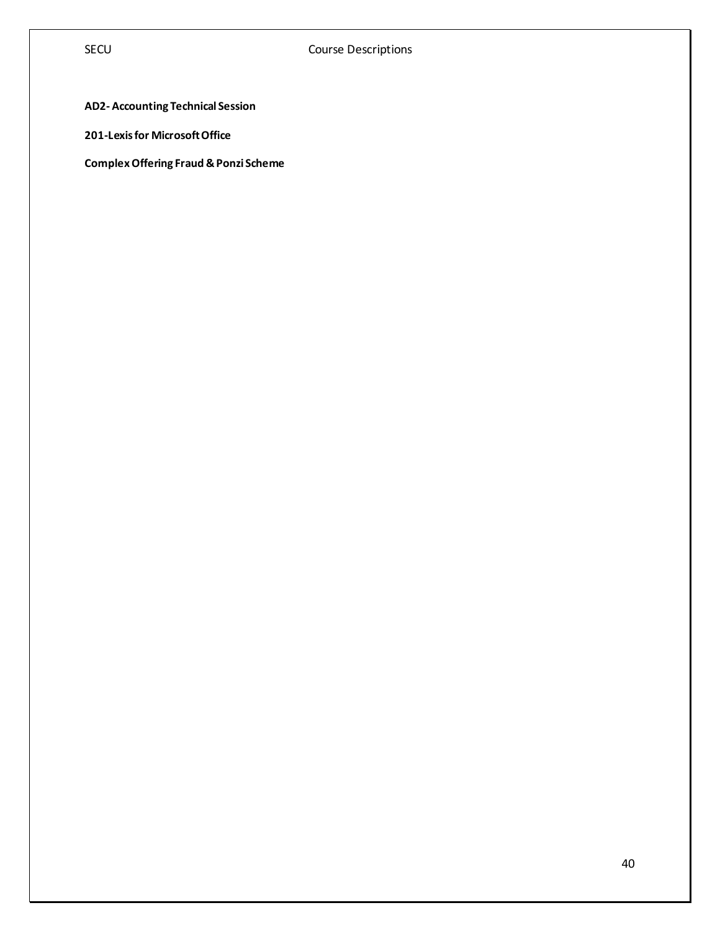## **AD2- Accounting Technical Session**

**201-Lexis for Microsoft Office**

**Complex Offering Fraud & Ponzi Scheme**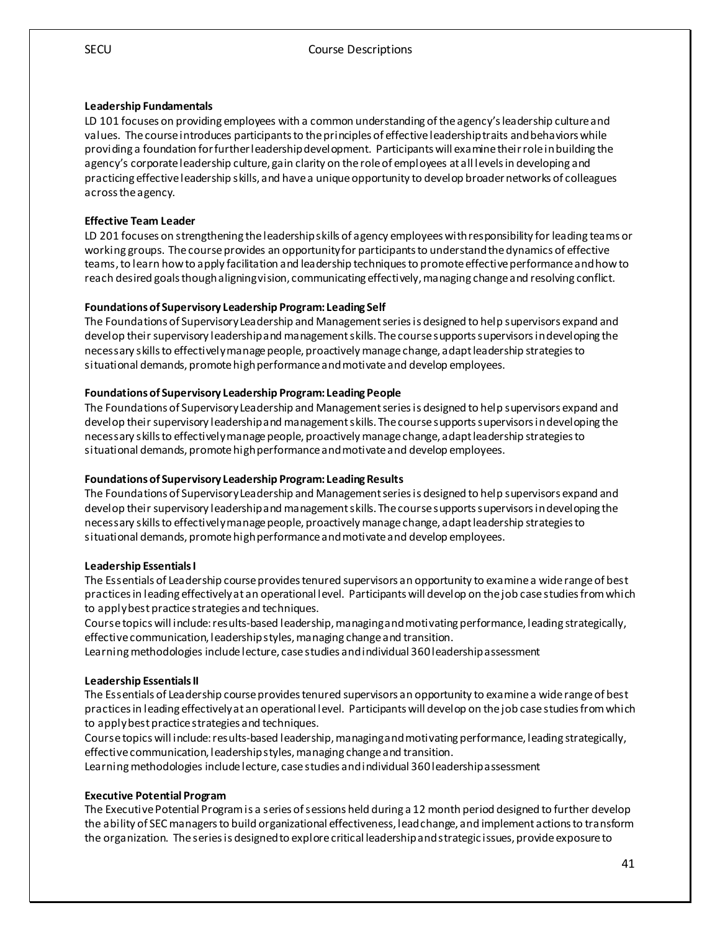#### **Leadership Fundamentals**

LD 101 focuses on providing employees with a common understanding of the agency's leadership culture and values. The course introduces participants to the principles of effective leadership traits and behaviors while providing a foundation for further leadership development. Participants will examine their role in building the agency's corporate leadership culture, gain clarity on the role of employees at all levels in developing and practicing effective leadership skills, and have a unique opportunity to develop broader networks of colleagues across the agency.

#### **Effective Team Leader**

LD 201 focuses on strengthening the leadership skills of agency employees with responsibility for leading teams or working groups. The course provides an opportunity for participants to understand the dynamics of effective teams, to learn how to apply facilitation and leadership techniques to promote effective performance and how to reach desired goals though aligning vision, communicating effectively, managing change and resolving conflict.

#### **Foundations of Supervisory Leadership Program: Leading Self**

The Foundations of Supervisory Leadership and Management series is designed to help supervisors expand and develop their supervisory leadership and management skills. The course supports supervisors in developing the necessary skills to effectively manage people, proactively manage change, adapt leadership strategies to situational demands, promote high performance and motivate and develop employees.

#### **Foundations of Supervisory Leadership Program: Leading People**

The Foundations of Supervisory Leadership and Management series is designed to help supervisors expand and develop their supervisory leadership and management skills. The course supports supervisors in developing the necessary skills to effectively manage people, proactively manage change, adapt leadership strategies to situational demands, promote high performance and motivate and develop employees.

#### **Foundations of Supervisory Leadership Program: Leading Results**

The Foundations of Supervisory Leadership and Management series is designed to help supervisors expand and develop their supervisory leadership and management skills. The course supports supervisors in developing the necessary skills to effectively manage people, proactively manage change, adapt leadership strategies to situational demands, promote high performance and motivate and develop employees.

#### **Leadership EssentialsI**

The Essentials of Leadership course provides tenured supervisors an opportunity to examine a wide range of best practices in leading effectively at an operational level. Participants will develop on the job case studies from which to apply best practice strategies and techniques.

Course topics will include: results-based leadership, managing and motivating performance, leading strategically, effective communication, leadership styles, managing change and transition.

Learning methodologies include lecture, case studies and individual 360 leadership assessment

#### **Leadership EssentialsII**

The Essentials of Leadership course provides tenured supervisors an opportunity to examine a wide range of best practices in leading effectively at an operational level. Participants will develop on the job case studies from which to apply best practice strategies and techniques.

Course topics will include: results-based leadership, managing and motivating performance, leading strategically, effective communication, leadership styles, managing change and transition.

Learning methodologies include lecture, case studies and individual 360 leadership assessment

#### **Executive Potential Program**

The Executive Potential Program is a series of sessions held during a 12 month period designed to further develop the ability of SEC managers to build organizational effectiveness, lead change, and implement actions to transform the organization. The series is designed to explore critical leadership and strategic issues, provide exposure to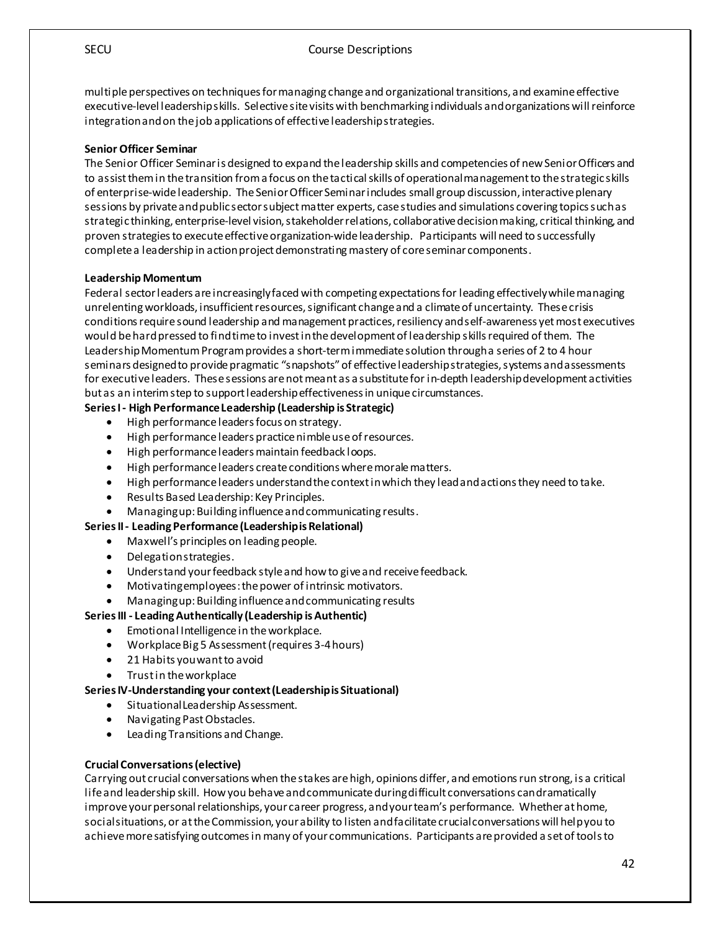multiple perspectives on techniques for managing change and organizational transitions, and examine effective executive-level leadership skills. Selective site visits with benchmarking individuals and organizations will reinforce integration and on the job applications of effective leadership strategies.

#### **Senior Officer Seminar**

The Senior Officer Seminar is designed to expand the leadership skills and competencies of new Senior Officers and to assist them in the transition from a focus on the tactical skills of operational management to the strategic skills of enterprise-wide leadership. The Senior Officer Seminar includes small group discussion, interactive plenary sessions by private and public sector subject matter experts, case studies and simulations covering topics such as strategic thinking, enterprise-level vision, stakeholder relations, collaborative decision making, critical thinking, and proven strategies to execute effective organization-wide leadership. Participants will need to successfully complete a leadership in action project demonstrating mastery of core seminar components.

#### **Leadership Momentum**

Federal sector leaders are increasingly faced with competing expectations for leading effectively while managing unrelenting workloads, insufficient resources, significant change and a climate of uncertainty. These crisis conditions require sound leadership and management practices, resiliency and self-awareness yet most executives would be hard pressed to find time to invest in the development of leadership skillsrequired of them. The Leadership Momentum Program provides a short-term immediate solution through a series of 2 to 4 hour seminars designed to provide pragmatic "snapshots" of effective leadership strategies, systems and assessments for executive leaders. These sessions are not meant as a substitute for in-depth leadership development activities but as an interim step to support leadership effectiveness in unique circumstances.

#### **Series I - High Performance Leadership (Leadership is Strategic)**

- High performance leaders focus on strategy.
- High performance leaders practice nimble use of resources.
- High performance leaders maintain feedback loops.
- High performance leaders create conditions where morale matters.
- High performance leaders understand the context in which they lead and actions they need to take.
- Results Based Leadership: Key Principles.
- Managing up: Building influence and communicating results.

#### **Series II - Leading Performance (Leadership is Relational)**

- Maxwell's principles on leading people.
- Delegation strategies.
- Understand your feedback style and how to give and receive feedback.
- Motivating employees: the power of intrinsic motivators.
- Managing up: Building influence and communicating results

#### **Series III - Leading Authentically (Leadership is Authentic)**

- Emotional Intelligence in the workplace.
- Workplace Big 5 Assessment (requires 3-4 hours)
- 21 Habits you want to avoid
- Trust in the workplace

#### **Series IV-Understanding your context (Leadership is Situational)**

- Situational Leadership Assessment.
- Navigating Past Obstacles.
- Leading Transitions and Change.

#### **Crucial Conversations (elective)**

Carrying out crucial conversations when the stakes are high, opinions differ, and emotions run strong, is a critical life and leadership skill. How you behave and communicate during difficult conversations can dramatically improve your personal relationships, your career progress, and your team's performance. Whether at home, social situations, or at the Commission, your ability to listen and facilitate crucial conversations will help you to achieve more satisfying outcomes in many of your communications. Participants are provided a set of tools to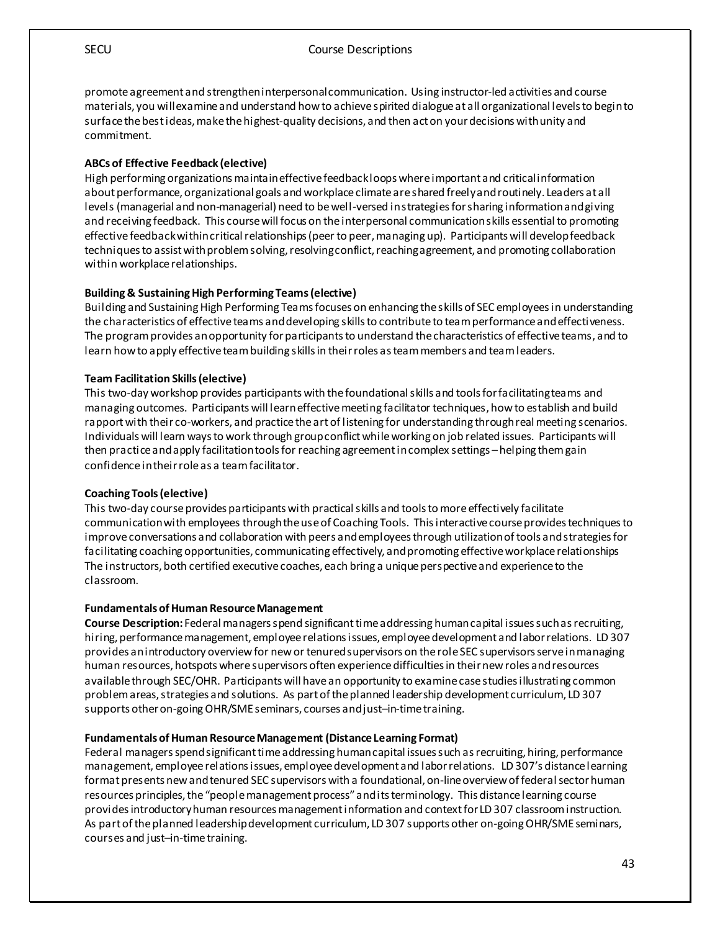SECU Course Descriptions

promote agreement and strengthen interpersonal communication. Using instructor-led activities and course materials, you will examine and understand how to achieve spirited dialogue at all organizational levels to begin to surface the best ideas, make the highest-quality decisions, and then act on your decisions with unity and commitment.

#### **ABCs of Effective Feedback (elective)**

High performing organizations maintain effective feedback loops where important and critical information about performance, organizational goals and workplace climate are shared freely and routinely. Leaders at all levels (managerial and non-managerial) need to be well-versed in strategies for sharing information and giving and receiving feedback. This course will focus on the interpersonal communication skills essential to promoting effective feedback within critical relationships (peer to peer, managing up). Participants will develop feedback techniques to assist with problem solving, resolving conflict, reaching agreement, and promoting collaboration within workplace relationships.

#### **Building & Sustaining High Performing Teams (elective)**

Building and Sustaining High Performing Teams focuses on enhancing the skills of SEC employees in understanding the characteristics of effective teams and developing skills to contribute to team performance and effectiveness. The program provides an opportunity for participants to understand the characteristics of effective teams, and to learn how to apply effective team building skills in their roles as team members and team leaders.

#### **Team Facilitation Skills (elective)**

This two-day workshop provides participants with the foundational skills and tools for facilitating teams and managing outcomes. Participants will learn effective meeting facilitator techniques, how to establish and build rapport with their co-workers, and practice the art of listening for understanding through real meeting scenarios. Individuals will learn ways to work through group conflict while working on job related issues. Participants will then practice and apply facilitation tools for reaching agreement in complex settings –helping them gain confidence in their role as a team facilitator.

#### **Coaching Tools (elective)**

This two-day course provides participants with practical skills and tools to more effectively facilitate communication with employees through the use of Coaching Tools. This interactive course provides techniques to improve conversations and collaboration with peers and employees through utilization of tools and strategies for facilitating coaching opportunities, communicating effectively, and promoting effective workplace relationships The instructors, both certified executive coaches, each bring a unique perspective and experience to the classroom.

#### **Fundamentals of Human Resource Management**

**Course Description:** Federal managers spend significant time addressing human capital issues such as recruiting, hiring, performance management, employee relations issues, employee development and labor relations. LD 307 provides an introductory overview for new or tenured supervisors on the role SEC supervisors serve in managing human resources, hotspots where supervisors often experience difficulties in their new roles and resources available through SEC/OHR. Participants will have an opportunity to examine case studies illustrating common problem areas, strategies and solutions. As part of the planned leadership development curriculum, LD 307 supports other on-going OHR/SME seminars, courses and just–in-time training.

#### **Fundamentals of Human Resource Management (Distance Learning Format)**

Federal managers spend significant time addressing human capital issues such as recruiting, hiring, performance management, employee relations issues, employee development and labor relations. LD 307's distance learning format presents new and tenured SEC supervisors with a foundational, on-line overview of federal sector human resources principles, the "people management process" and its terminology. This distance learning course provides introductory human resources management information and context for LD 307 classroom instruction. As part of the planned leadership development curriculum, LD 307 supports other on-going OHR/SME seminars, courses and just–in-time training.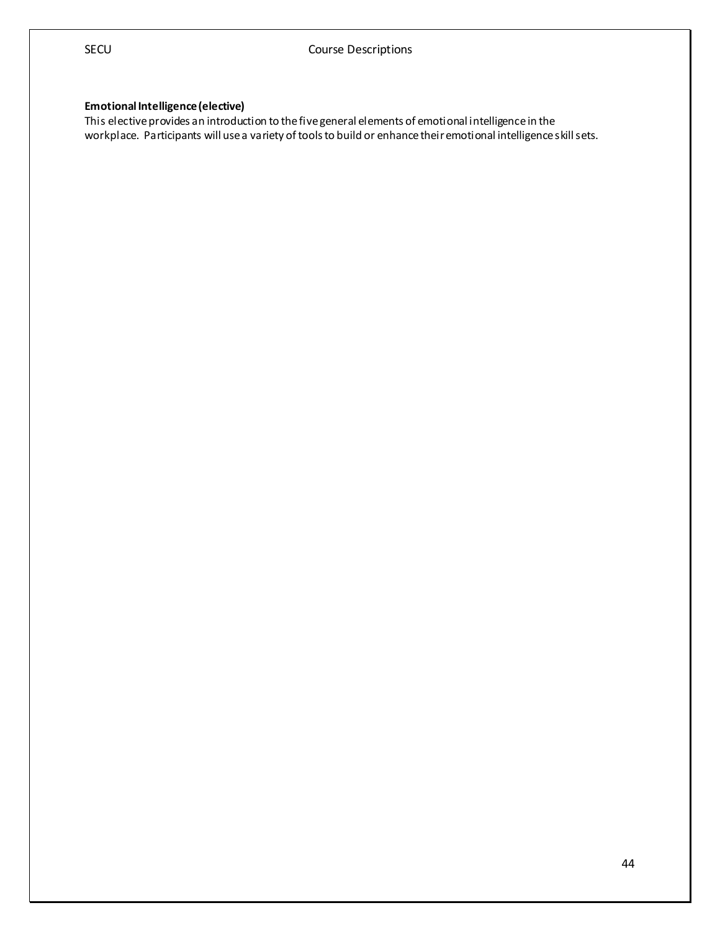#### **Emotional Intelligence (elective)**

This elective provides an introduction to the five general elements of emotional intelligence in the workplace. Participants will use a variety of tools to build or enhance their emotional intelligence skill sets.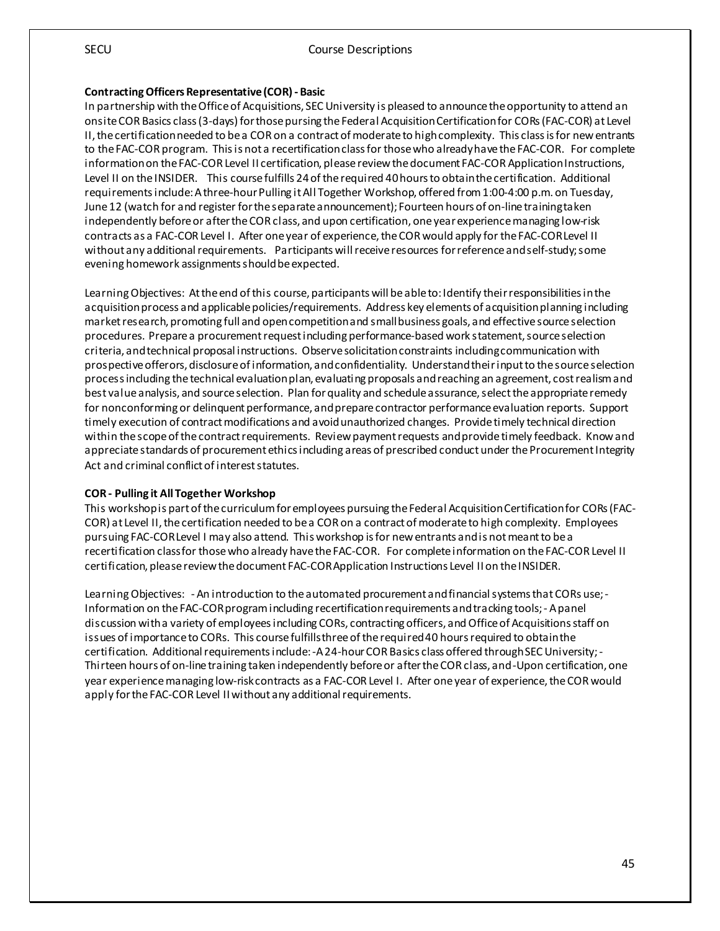#### **Contracting Officers Representative (COR) - Basic**

In partnership with the Office of Acquisitions, SEC University is pleased to announce the opportunity to attend an onsite COR Basics class (3-days) for those pursing the Federal Acquisition Certification for CORs (FAC-COR) at Level II, the certification needed to be a COR on a contract of moderate to high complexity. This class is for new entrants to the FAC-COR program. This is not a recertification class for those who already have the FAC-COR. For complete information on the FAC-COR Level II certification, please review the document FAC-COR Application Instructions, Level II on the INSIDER. This course fulfills 24 of the required 40 hours to obtain the certification. Additional requirements include: A three-hour Pulling it All Together Workshop, offered from 1:00-4:00 p.m. on Tuesday, June 12 (watch for and register for the separate announcement); Fourteen hours of on-line training taken independently before or after the COR class, and upon certification, one year experience managing low-risk contracts as a FAC-COR Level I. After one year of experience, the COR would apply for the FAC-COR Level II without any additional requirements. Participants will receive resources for reference and self-study; some evening homework assignments should be expected.

Learning Objectives: At the end of this course, participants will be able to: Identify their responsibilities in the acquisition process and applicable policies/requirements. Address key elements of acquisition planning including market research, promoting full and open competition and small business goals, and effective source selection procedures. Prepare a procurement request including performance-based work statement, source selection criteria, and technical proposal instructions. Observe solicitation constraints including communication with prospective offerors, disclosure of information, and confidentiality. Understand their input to the source selection process including the technical evaluation plan, evaluating proposals and reaching an agreement, cost realismand best value analysis, and source selection. Plan for quality and schedule assurance, select the appropriate remedy for nonconforming or delinquent performance, and prepare contractor performance evaluation reports. Support timely execution of contract modifications and avoid unauthorized changes. Provide timely technical direction within the scope of the contract requirements. Review payment requests and provide timely feedback. Know and appreciate standards of procurement ethics including areas of prescribed conduct under the Procurement Integrity Act and criminal conflict of interest statutes.

#### **COR - Pulling it All Together Workshop**

This workshop is part of the curriculum for employees pursuing the Federal Acquisition Certification for CORs (FAC-COR) at Level II, the certification needed to be a COR on a contract of moderate to high complexity. Employees pursuing FAC-COR Level I may also attend. This workshop is for new entrants and is not meant to be a recertification class for those who already have the FAC-COR. For complete information on the FAC-COR Level II certification, please review the document FAC-COR Application Instructions Level II on the INSIDER.

Learning Objectives: - An introduction to the automated procurement and financial systems that CORs use; - Information on the FAC-COR program including recertification requirements and tracking tools; - A panel discussion with a variety of employees including CORs, contracting officers, and Office of Acquisitions staff on issues of importance to CORs. This course fulfills three of the required 40 hours required to obtain the certification. Additional requirements include: -A 24-hour COR Basics class offered through SEC University; - Thirteen hours of on-line training taken independently before or after the COR class, and -Upon certification, one year experience managing low-risk contracts as a FAC-COR Level I. After one year of experience, the COR would apply for the FAC-COR Level II without any additional requirements.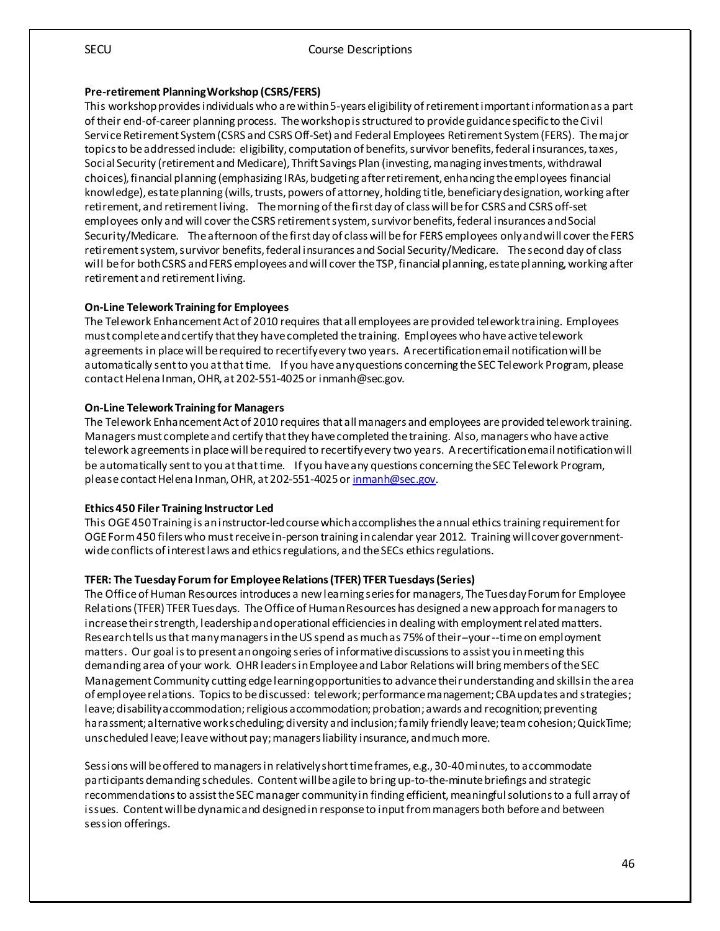#### **Pre-retirement Planning Workshop (CSRS/FERS)**

This workshop provides individuals who are within 5-years eligibility of retirement important information as a part of their end-of-career planning process. The workshop is structured to provide guidance specific to the Civil Service Retirement System (CSRS and CSRS Off-Set) and Federal Employees Retirement System (FERS). The major topics to be addressed include: eligibility, computation of benefits, survivor benefits, federal insurances, taxes, Social Security (retirement and Medicare), Thrift Savings Plan (investing, managing investments, withdrawal choices), financial planning (emphasizing IRAs, budgeting after retirement, enhancing the employees financial knowledge), estate planning (wills, trusts, powers of attorney, holding title, beneficiary designation, working after retirement, and retirement living. The morning of the first day of class will be for CSRS and CSRS off-set employees only and will cover the CSRS retirement system, survivor benefits, federal insurances and Social Security/Medicare. The afternoon of the first day of class will be for FERS employees only and will cover the FERS retirement system, survivor benefits, federal insurances and Social Security/Medicare. The second day of class will be for both CSRS and FERS employees and will cover the TSP, financial planning, estate planning, working after retirement and retirement living.

#### **On-Line Telework Training for Employees**

The Telework Enhancement Act of 2010 requires that all employees are provided telework training. Employees must complete and certify that they have completed the training. Employees who have active telework agreements in place will be required to recertify every two years. A recertification email notification will be automatically sent to you at that time. If you have any questions concerning the SEC Telework Program, please contact Helena Inman, OHR, at 202-551-4025 or inmanh@sec.gov.

#### **On-Line Telework Training for Managers**

The Telework Enhancement Act of 2010 requires that all managers and employees are provided telework training. Managers must complete and certify that they have completed the training. Also, managers who have active telework agreements in place will be required to recertify every two years. A recertification email notification will be automatically sent to you at that time. If you have any questions concerning the SEC Telework Program, please contact Helena Inman, OHR, at 202-551-4025 o[r inmanh@sec.gov](mailto:inmanh@sec.gov).

#### **Ethics 450 Filer Training Instructor Led**

This OGE 450 Training is an instructor-led course which accomplishes the annual ethics training requirement for OGE Form 450 filers who must receive in-person training in calendar year 2012. Training will cover governmentwide conflicts of interest laws and ethics regulations, and the SECs ethics regulations.

#### **TFER: The Tuesday Forum for Employee Relations (TFER) TFER Tuesdays(Series)**

The Office of Human Resources introduces a new learning series for managers, The Tuesday Forum for Employee Relations (TFER) TFER Tuesdays. The Office of Human Resources has designed a new approach for managers to increase their strength, leadership and operational efficiencies in dealing with employment related matters. Research tells us that many managers in the US spend as much as 75% of their--your --time on employment matters. Our goal is to present an ongoing series of informative discussions to assist you in meeting this demanding area of your work. OHR leaders in Employee and Labor Relations will bring members of the SEC Management Community cutting edge learning opportunities to advance their understanding and skills in the area of employee relations. Topics to be discussed: telework; performance management; CBA updates and strategies; leave; disability accommodation; religious accommodation; probation; awards and recognition; preventing harassment; alternative work scheduling; diversity and inclusion; family friendly leave; team cohesion; QuickTime; unscheduled leave; leave without pay; managers liability insurance, and much more.

Sessions will be offered to managers in relatively short time frames, e.g., 30-40 minutes, to accommodate participants demanding schedules. Content will be agile to bring up-to-the-minute briefings and strategic recommendations to assist the SEC manager community in finding efficient, meaningful solutions to a full array of issues. Content will be dynamic and designed in response to input from managers both before and between session offerings.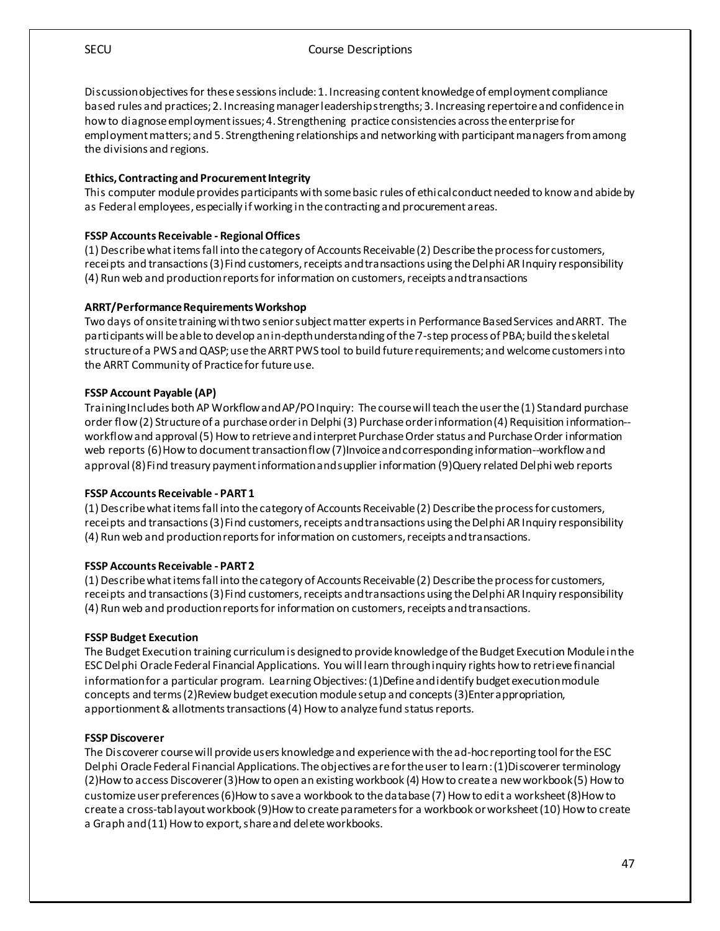SECU Course Descriptions

Discussion objectivesfor these sessions include: 1. Increasing content knowledge of employment compliance based rules and practices; 2. Increasing manager leadership strengths; 3. Increasing repertoire and confidence in how to diagnose employment issues; 4. Strengthening practice consistencies across the enterprise for employment matters; and 5. Strengthening relationships and networking with participant managers from among the divisions and regions.

#### **Ethics, Contracting and Procurement Integrity**

This computer module provides participants with some basic rules of ethical conduct needed to know and abide by as Federal employees, especially if working in the contracting and procurement areas.

#### **FSSP Accounts Receivable - Regional Offices**

(1) Describe what items fall into the category of Accounts Receivable (2) Describe the process for customers, receipts and transactions (3) Find customers, receipts and transactions using the Delphi AR Inquiry responsibility (4) Run web and production reports for information on customers, receipts and transactions

#### **ARRT/Performance Requirements Workshop**

Two days of onsite training with two senior subject matter experts in Performance Based Services and ARRT. The participants will be able to develop an in-depth understanding of the 7-step process of PBA; build the skeletal structure of a PWS and QASP; use the ARRT PWS tool to build future requirements; and welcome customers into the ARRT Community of Practice for future use.

#### **FSSP Account Payable (AP)**

TrainingIncludes both AP Workflow and AP/PO Inquiry: The course will teach the user the (1) Standard purchase order flow (2) Structure of a purchase order in Delphi (3) Purchase order information (4) Requisition information- workflow and approval (5) How to retrieve and interpret Purchase Order status and Purchase Order information web reports (6) How to document transaction flow (7)Invoice and corresponding information--workflow and approval (8) Find treasury payment information and supplier information (9)Query related Delphi web reports

#### **FSSP Accounts Receivable - PART 1**

(1) Describe what items fall into the category of Accounts Receivable (2) Describe the process for customers, receipts and transactions (3) Find customers, receipts and transactions using the Delphi AR Inquiry responsibility (4) Run web and production reports for information on customers, receipts and transactions.

#### **FSSP Accounts Receivable - PART 2**

(1) Describe what items fall into the category of Accounts Receivable (2) Describe the process for customers, receipts and transactions (3) Find customers, receipts and transactions using the Delphi AR Inquiry responsibility (4) Run web and production reports for information on customers, receipts and transactions.

#### **FSSP Budget Execution**

The Budget Execution training curriculum is designed to provide knowledge of the Budget Execution Module in the ESC Delphi Oracle Federal Financial Applications. You will learn through inquiry rights how to retrieve financial information for a particular program. Learning Objectives: (1)Define and identify budget execution module concepts and terms (2)Review budget execution module setup and concepts (3)Enter appropriation, apportionment & allotments transactions (4) How to analyze fund status reports.

#### **FSSP Discoverer**

The Discoverer course will provide users knowledge and experience with the ad-hoc reporting tool for the ESC Delphi Oracle Federal Financial Applications. The objectives are for the user to learn : (1)Discoverer terminology (2)How to access Discoverer (3)How to open an existing workbook (4) How to create a new workbook (5) How to customize user preferences (6)How to save a workbook to the database (7) How to edit a worksheet (8)How to create a cross-tab layout workbook (9)How to create parameters for a workbook or worksheet (10) How to create a Graph and (11) How to export, share and delete workbooks.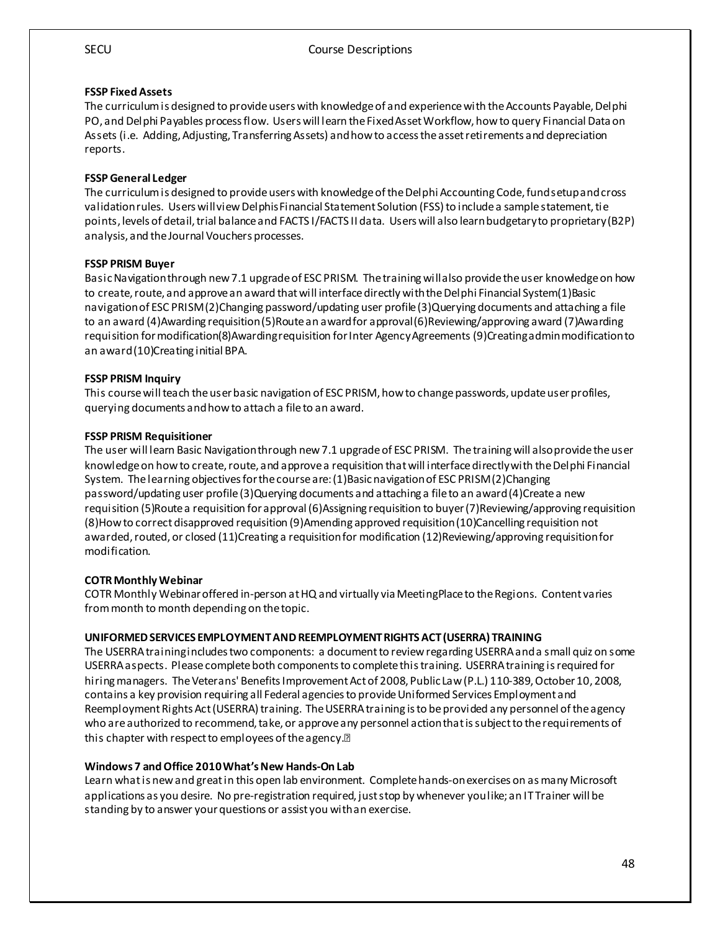## **FSSP Fixed Assets**

The curriculum is designed to provide users with knowledge of and experience with the Accounts Payable, Delphi PO, and Delphi Payables process flow. Users will learn the Fixed Asset Workflow, how to query Financial Data on Assets (i.e. Adding, Adjusting, Transferring Assets) and how to access the asset retirements and depreciation reports.

#### **FSSP General Ledger**

The curriculum is designed to provide users with knowledge of the Delphi Accounting Code, fund setup and cross validation rules. Users will view Delphis Financial Statement Solution (FSS) to include a sample statement, tie points, levels of detail, trial balance and FACTS I/FACTS II data. Users will also learn budgetary to proprietary (B2P) analysis, and the Journal Vouchers processes.

#### **FSSP PRISM Buyer**

Basic Navigation through new 7.1 upgrade of ESC PRISM. The training will also provide the user knowledge on how to create, route, and approve an award that will interface directly with the Delphi Financial System(1)Basic navigation of ESC PRISM (2)Changing password/updating user profile (3)Querying documents and attaching a file to an award (4)Awarding requisition (5)Route an award for approval (6)Reviewing/approving award (7)Awarding requisition for modification(8)Awarding requisition for Inter Agency Agreements (9)Creating admin modification to an award (10)Creating initial BPA.

#### **FSSP PRISM Inquiry**

This course will teach the user basic navigation of ESC PRISM, how to change passwords, update user profiles, querying documents and how to attach a file to an award.

#### **FSSP PRISM Requisitioner**

The user will learn Basic Navigation through new 7.1 upgrade of ESC PRISM. The training will also provide the user knowledge on how to create, route, and approve a requisition that will interface directly with the Delphi Financial System. The learning objectives for the course are: (1)Basic navigation of ESC PRISM (2)Changing password/updating user profile (3)Querying documents and attaching a file to an award (4)Create a new requisition (5)Route a requisition for approval (6)Assigning requisition to buyer (7)Reviewing/approving requisition (8)How to correct disapproved requisition (9)Amending approved requisition (10)Cancelling requisition not awarded, routed, or closed (11)Creating a requisition for modification (12)Reviewing/approving requisition for modification.

#### **COTR Monthly Webinar**

COTR Monthly Webinaroffered in-person at HQ and virtually via MeetingPlaceto the Regions. Content varies from month to month depending on the topic.

#### **UNIFORMED SERVICES EMPLOYMENT AND REEMPLOYMENT RIGHTS ACT (USERRA) TRAINING**

The USERRA training includes two components: a document to review regarding USERRA and a small quiz on some USERRA aspects. Please complete both components to complete this training. USERRA training is required for hiring managers. The Veterans' Benefits Improvement Act of 2008, Public Law (P.L.) 110-389, October 10, 2008, contains a key provision requiring all Federal agencies to provide Uniformed Services Employment and Reemployment Rights Act (USERRA) training. The USERRA training is to be provided any personnel of the agency who are authorized to recommend, take, or approve any personnel action that is subject to the requirements of this chapter with respect to employees of the agency.<sup>[2]</sup>

#### **Windows 7 and Office 2010 What's New Hands-On Lab**

Learn what is new and great in this open lab environment. Complete hands-on exercises on as many Microsoft applications as you desire. No pre-registration required, just stop by whenever you like; an IT Trainer will be standing by to answer your questions or assist you with an exercise.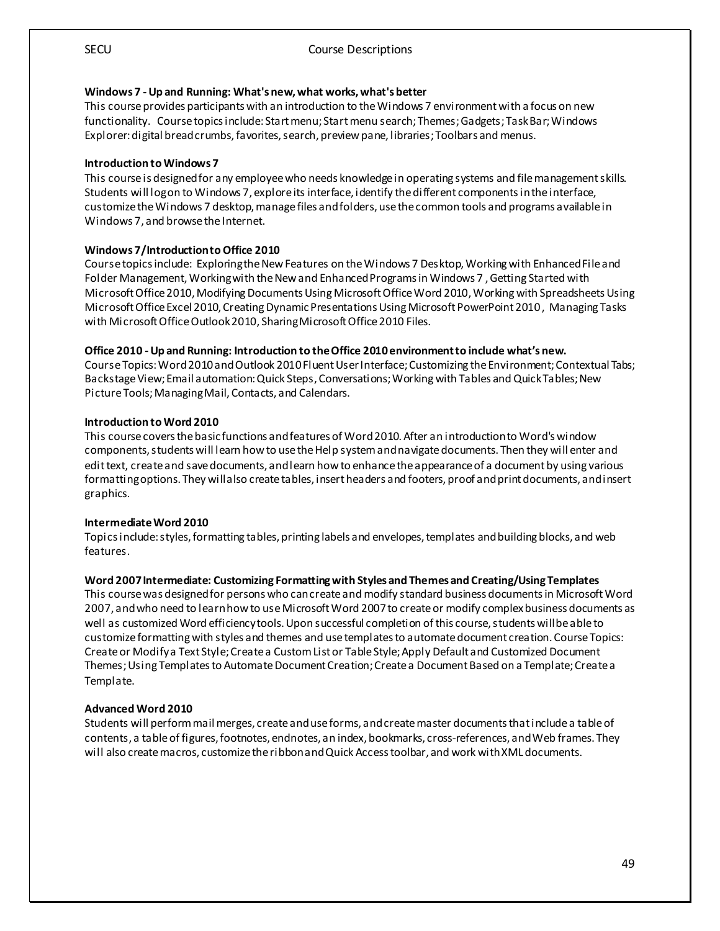#### **Windows 7 -Up and Running: What's new, what works, what's better**

This course provides participants with an introduction to the Windows 7 environment with a focus on new functionality. Course topicsinclude: Start menu; Start menu search; Themes; Gadgets; Task Bar; Windows Explorer: digital bread crumbs, favorites, search, preview pane, libraries; Toolbars and menus.

#### **Introduction to Windows 7**

This course is designed for any employee who needs knowledge in operating systems and file management skills. Students will log on to Windows 7, explore its interface, identify the different components in the interface, customize the Windows 7 desktop, manage files and folders, use the common tools and programs available in Windows 7, and browse the Internet.

#### **Windows 7/Introduction to Office 2010**

Course topics include: Exploring the New Features on the Windows 7 Desktop, Working with Enhanced File and Folder Management, Working with the New and Enhanced Programs in Windows 7 , Getting Started with Microsoft Office 2010, Modifying Documents Using Microsoft Office Word 2010, Working with Spreadsheets Using Microsoft Office Excel 2010, Creating Dynamic Presentations Using Microsoft PowerPoint 2010 , Managing Tasks with Microsoft Office Outlook 2010, Sharing Microsoft Office 2010 Files.

#### **Office 2010 -Up and Running: Introduction to the Office 2010 environment to include what's new.**

Course Topics: Word2010 and Outlook 2010 Fluent User Interface; Customizing the Environment; Contextual Tabs; Backstage View; Email automation: Quick Steps, Conversations; Working with Tables and Quick Tables; New Picture Tools; Managing Mail, Contacts, and Calendars.

#### **Introduction to Word 2010**

This course covers the basic functions and features of Word 2010. After an introduction to Word's window components, students will learn how to use the Help system and navigate documents. Then they will enter and edit text, create and save documents, and learn how to enhance the appearance of a document by using various formatting options. They will also create tables, insert headers and footers, proof and print documents, and insert graphics.

#### **Intermediate Word 2010**

Topics include: styles, formatting tables, printing labels and envelopes, templates and building blocks, and web features.

#### **Word 2007 Intermediate: Customizing Formatting with Styles and Themes and Creating/Using Templates**

This course was designed for persons who can create and modify standard business documents in Microsoft Word 2007, and who need to learn how to use Microsoft Word 2007 to create or modify complex business documents as well as customized Word efficiency tools. Upon successful completion of this course, students will be able to customize formatting with styles and themes and use templates to automate document creation. Course Topics: Create or Modify a Text Style; Create a Custom List or Table Style; Apply Default and Customized Document Themes; Using Templates to Automate Document Creation; Create a Document Based on a Template; Create a Template.

#### **Advanced Word 2010**

Students will perform mail merges, create and use forms, and create master documents that include a table of contents, a table of figures,footnotes, endnotes, an index, bookmarks, cross-references, and Web frames. They will also create macros, customize the ribbon and Quick Access toolbar, and work with XML documents.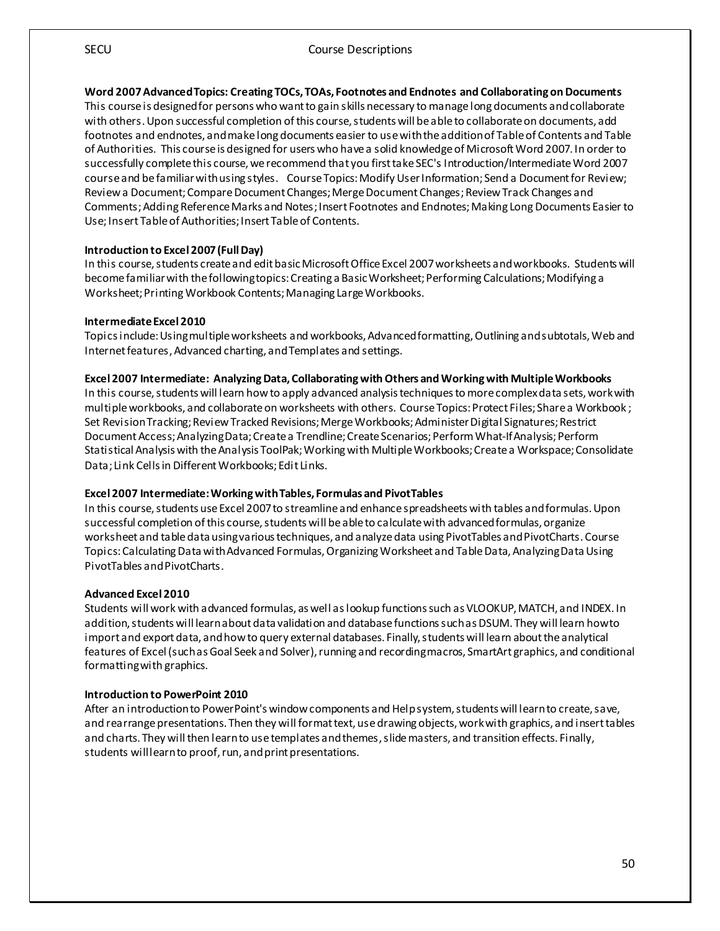#### **Word 2007 AdvancedTopics: Creating TOCs, TOAs, Footnotes and Endnotes and Collaborating on Documents**

This course is designed for persons who want to gain skills necessary to manage long documents and collaborate with others. Upon successful completion of this course, students will be able to collaborate on documents, add footnotes and endnotes, and make long documents easier to use with the addition of Table of Contents and Table of Authorities. This course is designed for users who have a solid knowledge of Microsoft Word 2007. In order to successfully complete this course, we recommend that you first take SEC's Introduction/Intermediate Word 2007 course and be familiar with using styles. Course Topics: Modify User Information; Send a Document for Review; Review a Document; Compare Document Changes; Merge Document Changes; Review Track Changes and Comments; Adding Reference Marks and Notes; Insert Footnotes and Endnotes; Making Long Documents Easier to Use; Insert Table of Authorities; Insert Table of Contents.

#### **Introduction to Excel 2007 (Full Day)**

In this course, students create and edit basic Microsoft Office Excel 2007 worksheets and workbooks. Students will become familiar with the following topics: Creating a Basic Worksheet; Performing Calculations; Modifying a Worksheet; Printing Workbook Contents; Managing Large Workbooks.

#### **Intermediate Excel 2010**

Topics include: Using multiple worksheets and workbooks, Advanced formatting, Outlining and subtotals, Web and Internet features, Advanced charting, and Templates and settings.

#### **Excel 2007 Intermediate: Analyzing Data, Collaborating with Others and Working with Multiple Workbooks**

In this course, students will learn how to apply advanced analysis techniques to more complex data sets, work with multiple workbooks, and collaborate on worksheets with others. Course Topics: Protect Files; Share a Workbook ; Set Revision Tracking; Review Tracked Revisions; Merge Workbooks; Administer Digital Signatures; Restrict Document Access; Analyzing Data; Create a Trendline; Create Scenarios; Perform What-If Analysis; Perform Statistical Analysis with the Analysis ToolPak; Working with Multiple Workbooks; Create a Workspace; Consolidate Data; Link Cells in Different Workbooks; Edit Links.

#### **Excel 2007 Intermediate: Working with Tables, Formulas and PivotTables**

In this course, students use Excel 2007 to streamline and enhance spreadsheets with tables and formulas. Upon successful completion of this course, students will be able to calculate with advanced formulas, organize worksheet and table data using various techniques, and analyzedata using PivotTables and PivotCharts. Course Topics: Calculating Data with Advanced Formulas, Organizing Worksheet and Table Data, Analyzing Data Using PivotTables and PivotCharts.

#### **Advanced Excel 2010**

Students will work with advanced formulas, as well as lookup functions such as VLOOKUP, MATCH, and INDEX. In addition, students will learn about data validation and database functions such as DSUM. They will learn how to import and export data, and how to query external databases. Finally, students will learn about the analytical features of Excel (such as Goal Seek and Solver), running and recording macros, SmartArt graphics, and conditional formatting with graphics.

#### **Introduction to PowerPoint 2010**

After an introduction to PowerPoint's window components and Help system, students will learn to create, save, and rearrange presentations. Then they will format text, use drawing objects, work with graphics, and insert tables and charts. They will then learn to use templates and themes, slide masters, and transition effects. Finally, students will learn to proof, run, and print presentations.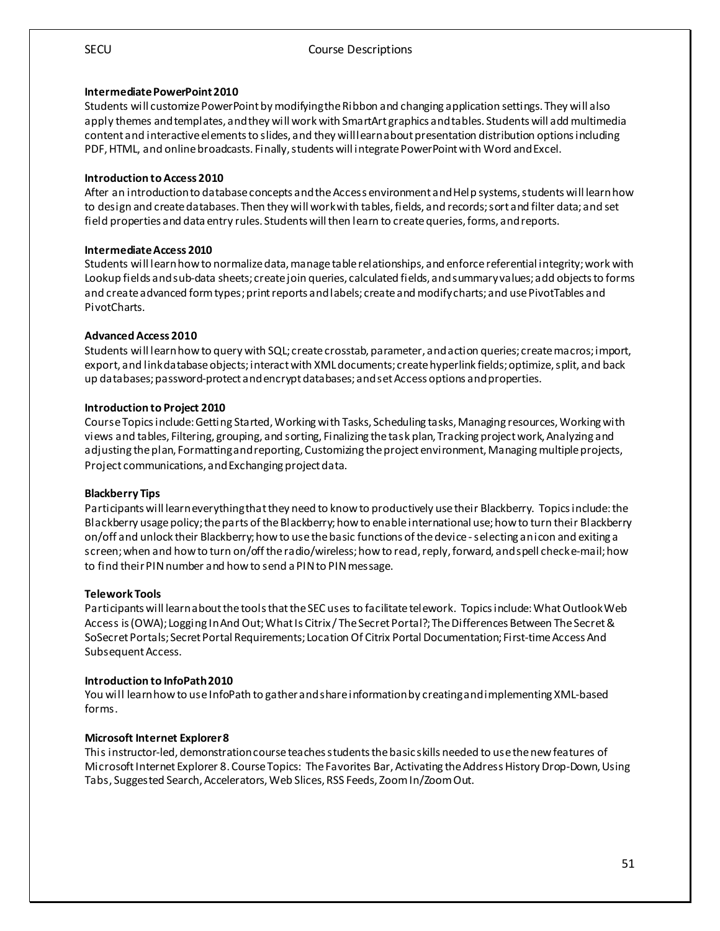#### **Intermediate PowerPoint 2010**

Students will customize PowerPoint by modifying the Ribbon and changing application settings. They will also apply themes and templates, and they will work with SmartArt graphics and tables. Students will add multimedia content and interactive elements to slides, and they will learn about presentation distribution options including PDF, HTML, and online broadcasts. Finally, students will integrate PowerPoint with Word and Excel.

#### **Introduction to Access 2010**

After an introduction to database concepts and the Access environment and Help systems, students will learn how to design and create databases. Then they will work with tables, fields, and records; sort and filter data; and set field properties and data entry rules. Students will then learn to create queries, forms, and reports.

#### **Intermediate Access 2010**

Students will learn how to normalize data, manage table relationships, and enforce referential integrity; work with Lookup fields and sub-data sheets; create join queries, calculated fields, and summary values; add objects to forms and create advanced form types; print reports and labels; create and modify charts; and use PivotTables and PivotCharts.

#### **Advanced Access 2010**

Students will learn howto query with SQL; create crosstab, parameter, and action queries; create macros; import, export, and link database objects; interact with XML documents; create hyperlink fields; optimize, split, and back up databases; password-protect and encrypt databases; and set Access options and properties.

#### **Introduction to Project 2010**

Course Topics include: Getting Started, Working with Tasks, Scheduling tasks, Managing resources, Working with views and tables, Filtering, grouping, and sorting, Finalizing the task plan, Tracking project work, Analyzing and adjusting the plan, Formatting and reporting, Customizing the project environment, Managing multiple projects, Project communications, and Exchanging project data.

#### **Blackberry Tips**

Participants will learn everything that they need to know to productively use their Blackberry. Topics include: the Blackberry usage policy; the parts of the Blackberry; how to enable international use; how to turn their Blackberry on/off and unlock their Blackberry; how to use the basic functions of the device -selecting an icon and exiting a screen; when and how to turn on/off the radio/wireless; how to read, reply, forward, and spell check e-mail; how to find their PIN number and how to send a PIN to PIN message.

#### **Telework Tools**

Participants will learn about the tools that the SEC uses to facilitate telework. Topics include: What Outlook Web Access is (OWA); Logging In And Out; What Is Citrix / The Secret Portal?; The Differences Between The Secret & SoSecret Portals; Secret Portal Requirements; Location Of Citrix Portal Documentation; First-time Access And Subsequent Access.

#### **Introduction to InfoPath 2010**

You will learn how to use InfoPath to gather and share information by creating and implementing XML-based forms.

#### **Microsoft Internet Explorer 8**

This instructor-led, demonstration course teaches students the basic skills needed to use the new features of Microsoft Internet Explorer 8. Course Topics: The Favorites Bar, Activating the Address History Drop-Down, Using Tabs, Suggested Search, Accelerators, Web Slices, RSS Feeds, Zoom In/Zoom Out.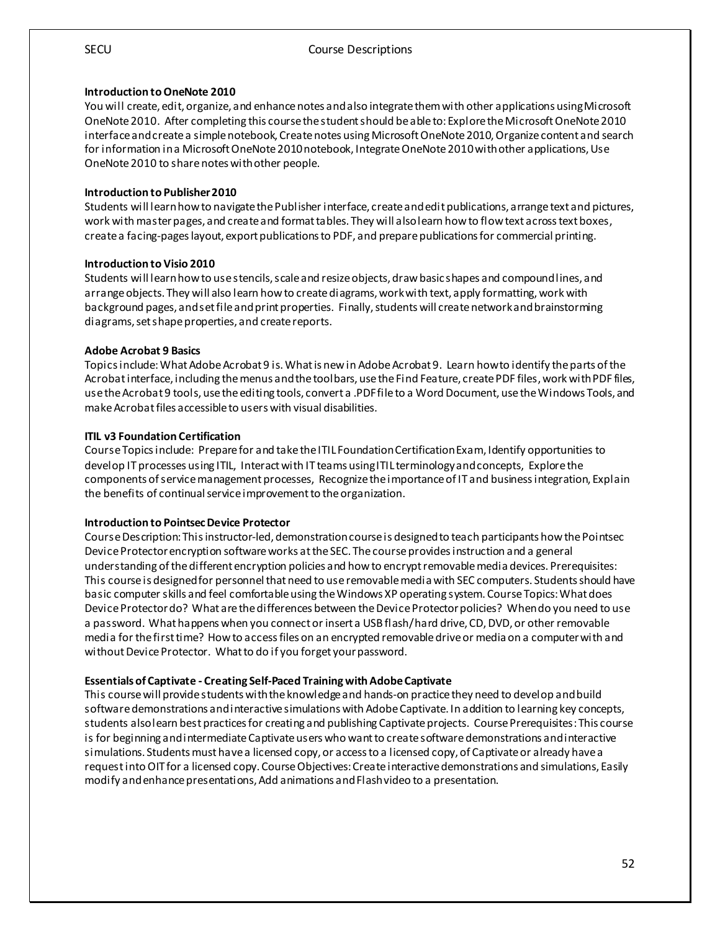#### **Introduction to OneNote 2010**

You will create, edit, organize, and enhance notes and also integrate them with other applications using Microsoft OneNote 2010. After completing this course the student should be able to: Explore the Microsoft OneNote 2010 interface and create a simple notebook, Create notes using Microsoft OneNote 2010, Organize content and search for information in a Microsoft OneNote 2010 notebook, Integrate OneNote 2010with other applications, Use OneNote 2010 to share notes with other people.

#### **Introduction to Publisher 2010**

Students will learn how to navigate the Publisher interface, create and edit publications, arrange text and pictures, work with master pages, and create and format tables. They will also learn how to flow text across text boxes, create a facing-pages layout, export publications to PDF, and prepare publications for commercial printing.

#### **Introduction to Visio 2010**

Students will learn how to use stencils, scale and resize objects, draw basic shapes and compound lines, and arrange objects. They will also learn how to create diagrams, work with text, apply formatting, work with background pages, and set file and print properties. Finally, students will create network and brainstorming diagrams, set shape properties, and create reports.

#### **Adobe Acrobat 9 Basics**

Topics include: What Adobe Acrobat 9 is. What is new in Adobe Acrobat 9. Learn howto identify the parts of the Acrobat interface, including the menus and the toolbars, use the Find Feature, create PDF files, work with PDF files, use the Acrobat 9 tools, use the editing tools, convert a .PDF file to a Word Document, use the Windows Tools, and make Acrobat files accessible to users with visual disabilities.

#### **ITIL v3 Foundation Certification**

Course Topics include: Prepare for and take the ITIL Foundation Certification Exam, Identify opportunities to develop IT processes using ITIL, Interact with IT teams using ITIL terminology and concepts, Explore the components of service management processes, Recognize the importance of IT and business integration, Explain the benefits of continual service improvement to the organization.

#### **Introduction to Pointsec Device Protector**

Course Description: This instructor-led, demonstration course is designed to teach participants how the Pointsec Device Protector encryption software works at the SEC. The course provides instruction and a general understanding of the different encryption policies and how to encrypt removable media devices. Prerequisites: This course is designed for personnel that need to use removable media with SEC computers. Students should have basic computer skills and feel comfortable using the Windows XP operating system. Course Topics: What does Device Protector do? What are the differences between the Device Protector policies? When do you need to use a password. What happens when you connect or insert a USB flash/ hard drive, CD, DVD, or other removable media for the first time? How to access files on an encrypted removable drive or media on a computer with and without Device Protector. What to do if you forget your password.

#### **Essentials of Captivate - Creating Self-Paced Training with Adobe Captivate**

This course will provide students with the knowledge and hands-on practice they need to develop and build software demonstrations and interactive simulations with Adobe Captivate. In addition to learning key concepts, students also learn best practices for creating and publishing Captivate projects. Course Prerequisites: This course is for beginning and intermediate Captivate users who want to create software demonstrations and interactive simulations. Students must have a licensed copy, or access to a licensed copy, of Captivate or already have a request into OIT for a licensed copy. Course Objectives: Create interactive demonstrations and simulations, Easily modify and enhance presentations, Add animations and Flash video to a presentation.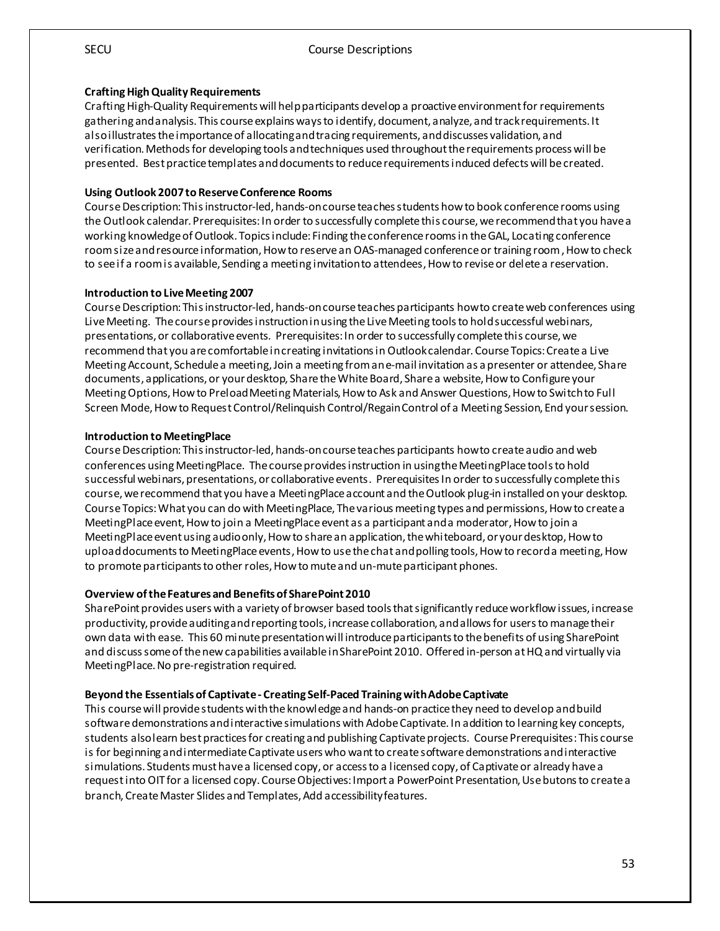#### **Crafting High Quality Requirements**

Crafting High-Quality Requirements will help participants develop a proactive environment for requirements gathering and analysis. This course explains ways to identify, document, analyze, and track requirements. It also illustrates the importance of allocating andtracing requirements, and discusses validation, and verification. Methods for developing tools and techniques used throughout the requirements process will be presented. Best practice templates and documents to reduce requirements induced defects will becreated.

#### **Using Outlook 2007 to Reserve Conference Rooms**

Course Description: This instructor-led, hands-on course teaches students how to book conference rooms using the Outlook calendar. Prerequisites: In order to successfully complete this course, we recommend that you have a working knowledge of Outlook. Topics include: Finding the conference rooms in the GAL, Locating conference room size and resource information, How to reserve an OAS-managed conference or training room , How to check to see if a room is available, Sending a meeting invitation to attendees, How to revise or delete a reservation.

#### **Introduction to Live Meeting 2007**

Course Description: This instructor-led, hands-on course teaches participants how to create web conferences using Live Meeting. The course provides instruction in using the Live Meeting tools to hold successful webinars, presentations, or collaborative events. Prerequisites: In order to successfully complete this course, we recommend that you are comfortable in creating invitations in Outlook calendar. Course Topics: Create a Live Meeting Account, Schedule a meeting, Join a meeting from an e-mail invitation as a presenter or attendee, Share documents, applications, or your desktop, Share the White Board, Share a website, How to Configure your Meeting Options, How to Preload Meeting Materials, How to Ask and Answer Questions, How to Switch to Full Screen Mode, How to Request Control/Relinquish Control/Regain Control of a Meeting Session, End your session.

#### **Introduction to MeetingPlace**

Course Description: This instructor-led, hands-on course teaches participants how to create audio and web conferences using MeetingPlace. The course provides instruction in using the MeetingPlace tools to hold successful webinars, presentations, or collaborative events. Prerequisites In order to successfully complete this course, we recommend that you have a MeetingPlace account and the Outlook plug-in installed on your desktop. Course Topics: What you can do with MeetingPlace, The various meeting types and permissions, How to create a MeetingPlace event, How to join a MeetingPlace event as a participant and a moderator, How to join a MeetingPlace event using audio only, How to share an application, the whiteboard, or your desktop, How to upload documents to MeetingPlace events, How to use the chat and polling tools, How to record a meeting, How to promote participants to other roles, How to mute and un-mute participant phones.

#### **Overview of the Features and Benefits of SharePoint 2010**

SharePoint provides users with a variety of browser based tools that significantly reduce workflow issues, increase productivity, provide auditing and reporting tools, increase collaboration, and allows for users to manage their own data with ease. This 60 minute presentation will introduce participants to the benefits of using SharePoint and discuss some of the new capabilities available in SharePoint 2010. Offered in-person at HQ and virtually via MeetingPlace. No pre-registration required.

#### **Beyond the Essentials of Captivate - Creating Self-Paced Training with Adobe Captivate**

This course will provide students with the knowledge and hands-on practice they need to develop and build software demonstrations and interactive simulations with Adobe Captivate. In addition to learning key concepts, students also learn best practices for creating and publishing Captivate projects. Course Prerequisites:This course is for beginning and intermediate Captivate users who want to create software demonstrations and interactive simulations. Students must have a licensed copy, or access to a licensed copy, of Captivate or already have a request into OIT for a licensed copy. Course Objectives: Import a PowerPoint Presentation, Use butons to create a branch, Create Master Slides and Templates, Add accessibility features.